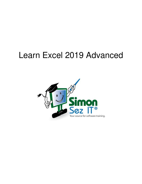# Learn Excel 2019 Advanced

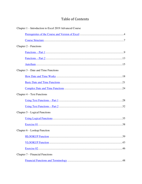# **Table of Contents**

| Chapter 1 – Introduction to Excel 2019 Advanced Course |
|--------------------------------------------------------|
|                                                        |
|                                                        |
| Chapter $2$ – Functions                                |
|                                                        |
|                                                        |
|                                                        |
| Chapter $3$ – Date and Time Functions                  |
|                                                        |
|                                                        |
|                                                        |
| Chapter $4 - Text$ Functions                           |
|                                                        |
|                                                        |
| Chapter $5 -$ Logical Functions                        |
|                                                        |
|                                                        |
| Chapter $6$ – Lookup Function                          |
|                                                        |
|                                                        |
|                                                        |
| Chapter 7 – Financial Functions                        |
|                                                        |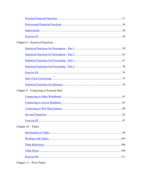| Chapter 8 – Statistical Functions       |  |
|-----------------------------------------|--|
|                                         |  |
|                                         |  |
|                                         |  |
|                                         |  |
|                                         |  |
|                                         |  |
|                                         |  |
| Chapter 9 – Connecting to External Data |  |
|                                         |  |
|                                         |  |
|                                         |  |
|                                         |  |
|                                         |  |
| Chapter $10$ – Tables                   |  |
|                                         |  |
|                                         |  |
|                                         |  |
|                                         |  |
|                                         |  |
|                                         |  |

Chapter  $11 -$ Pivot Tables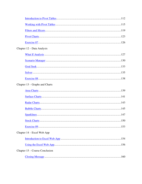| Chapter 12 – Data Analysis     |  |
|--------------------------------|--|
|                                |  |
|                                |  |
|                                |  |
|                                |  |
|                                |  |
| Chapter 13 – Graphs and Charts |  |
|                                |  |
|                                |  |
|                                |  |
|                                |  |
|                                |  |
|                                |  |
|                                |  |
| Chapter $14$ – Excel Web App   |  |
|                                |  |
|                                |  |
| Chapter 15 – Course Conclusion |  |
|                                |  |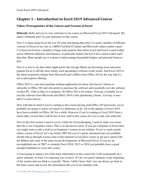# **Chapter 1 – Introduction to Excel 2019 Advanced Course**

## <span id="page-4-0"></span>**Video: Prerequisites of the Course and Version of Excel**

**Deborah:** Hello and you're very welcome to our course on Microsoft Excel 2019 Advanced. My name's Deborah and I'm your instructor on this course.

Now I've been using Excel for over 20 years and during that time I've used a number of different versions of Excel in my role as a MOS Certified IT trainer and Microsoft subject matter expert. I've been involved in a number of large scale projects that utilize Excel and Excel is used widely across different industries and business, in particular finance but Excel has a much wider reach than that. Many people use it at home to help manage household budgets and personal finances also.

Now it is true to say that whilst applications like Google Sheets are becoming more and more popular Excel is still the most widely used spreadsheet software in the world. And Excel 2019 is the latest on premise release from Microsoft and it differs from Office 365 by the way that it's not a subscription offering.

Office 2019 is a one time purchase desktop application for those who haven't chosen to subscribe to Office 365 and who prefer to purchase the software and essentially own the software on their PC. I like to liken it to property. So Office 365 is for renters. You pay a monthly fee to rent the software from Microsoft and Office 2019 is like purchasing a house. You buy it once and it's yours forever.

Now with that in mind if you're coming to this course having used Office 365 previously you're probably not going to notice too much of a difference at all. All of the updates to Excel 2019 have been available in Office 365 for a while. However if you're coming to Excel 2019 from a much older version there will be lots of new stuff in this course for you to sink your teeth into.

Now in this first section I need to cover a little bit of housekeeping. I need to make you aware that this is not a beginner course. This is an advanced course. If you are a beginner in Excel then you might want to take a look at our beginner's course on our website. If you've used a much earlier version of Excel, let's say before 2007 but you're a pretty advanced user you probably should still go through at least some of the elements of our basic course to get up to speed with the Ribbon and some of the more recent developments in Microsoft Excel. If you are an accomplished user of 2007 or certainly Excel 2010, 2013 or 2016 you probably have a good enough foundation to cover this course.

I'm not going to repeat a lot of the basic information in this course but I will occasionally do a quick summary of what I'm expecting you to know. If I do a do quick summary at the beginning of the section and you think to yourself, "Hmm. I didn't know that" you can always go back to the basic course and review the information that you're not familiar with.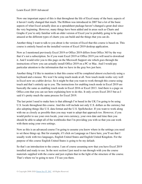Now one important aspect of this is that throughout the life of Excel many of the basic aspects of it haven't really changed that much. The Ribbon was introduced in 2007 but a lot of the basic aspects of what Excel actually does as a spreadsheet package haven't changed a great deal since the very beginning. However, many things have been added and in areas such as Charts and Graphs if you're only familiar with an older version of Excel you're probably going to be quite amazed at the different types of charts you can build and the things that you can do.

Another thing I want to talk to you about is the version of Excel that this course is based on. This course is entirely based on the installed version of Excel 2019 desktop application.

Now as I mentioned previously Excel 2019 or Office 2019 differs from Office 365 by the way that it's not a subscription. So if you want Excel 2019 or Office 2019 you will need to download it. And I would refer you to this page on the Microsoft Support site which goes through the instructions of how you can actually install Office 2019 on a PC or Mac. And I would pay particular attention to the information that we have in the gray box just here.

Another thing I'd like to mention is that this course will be completed almost exclusively using a keyboard and a mouse. We won't be using touch mode at all. Now touch mode works very well in Excel now on a tablet device. So it might be that you want to work through this course using touch and that's entirely up to you. The instructions for enabling touch mode in Excel 2019 are basically the same as enabling touch mode in Excel 2016 or Excel 2013. And there is a page on Office.com that you can see here explaining how to do this. It only covers Excel 2013 but as I said it's pretty much the same process for Excel 2019.

The last point I need to make here is that although I'm based in the UK I'm going to be using U.S. locale throughout this course. And this will include not only U.S. dollars as the currency but also adopting things like U.S. data format and the U.S. Spellchecker. If you want to work along with me as closely as possible then you may want to adopt that approach too. However, if you would prefer to use your own locale, your own currency, your own date and time then you should be able to adapt all of the workbooks that I'm providing you with so that you can work with them using your own settings.

Now as this is an advanced course I'm going to assume you know where in the settings you need to set these things up. But for example, if I click on Language as I have here, you'll see that I usually work with two languages, English United States and English United Kingdom. For the purpose of this course English United States is going to be my default.

So that's an introduction to the course. I am of course assuming now that you have Excel 2019 installed and ready to use. In the next section I just need to run through with you the course materials supplied with the course and just explain that in the light of the structure of the course. That's where we're going to next. I'll see you there.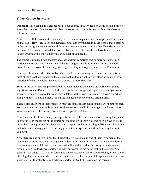#### <span id="page-6-0"></span>**Video: Course Structure**

**Deborah:** Hello again and welcome back to our course. In this video I'm going to talk a little bit about the structure of the course and give you some important information about how best to follow the course.

Now first of all this course should ideally be covered in sequence and I have prepared the course on that basis. However, this is an advanced course and if you need to cover a topic that's later on in the course right away there shouldn't be any reason why you can't do that. I've tried to make the parts of the course as standalone as possible and each of them should have limited reference to earlier parts of the course, but you can go back if you need to.

The course is arranged into chapters and each chapter comprises one or more sections. Each section consists of a single video and typically a single video is 15 minutes or less in length. Possibly one or two of them are slightly longer but I try not to go too much over 15 minutes.

Now apart from the videos themselves there is a folder containing the course files and this has most of the files that I use during the course so that if you want to work along with me or try a variation of what I've done then you have access to those files here.

Some of the very small simple workbooks are not included but where the workbook has any significant content I've tried to include it in this folder. I suggest that you make sure you know where your course files folder is and maybe take a backup copy, particularly if you're working along with me. You might break something and need to recover those original files.

There's also an Exercise Files folder. In most cases this folder includes the starter point for each exercise as well as my sample answer for the exercise as well. So once again it's important to know where these files are and take a backup copy of the folder.

Now for a couple of important general points. In Excel there are many ways of doing things and in order to keep the length of the course not too long I will show you one or two ways of doing things but I do appreciate that there are many ways to do the same thing in Excel and alternative methods that you may prefer. So I do suggest that you experiment and find the way that suites you most.

Now there are one or two things that I generally try to avoid and one of them in particular that you might be surprised by is that I generally don't use keyboard shortcuts. Now there will be a few instances where I do and when I do I will tell you that's what I'm doing. And the main reason I don't use keyboard shortcuts is that you won't see me doing that on the screen. And generally speaking I like to click something on the screen so you can see me doing it. And I will often highlight or outline where I'm clicking to make it clear. Again, I do appreciate that in many situations you'll probably use a keyboard shortcut instead of clicking on the screen.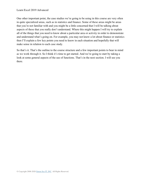One other important point, the case studies we're going to be using in this course are very often in quite specialized areas, such as in statistics and finance. Some of these areas might be areas that you're not familiar with and you might be a little concerned that I will be talking about aspects of these that you really don't understand. Where this might happen I will try to explain all of the things that you need to know about a particular area or activity in order to demonstrate and understand what's going on. For example, you may not know a lot about finance or statistics then I'll explain a few key points you need to know in each situation and hopefully that will make sense in relation to each case study.

So that's it. That's the outline to the course structure and a few important points to bear in mind as we work through it. So I think it's time to get started. And we're going to start by taking a look at some general aspects of the use of functions. That's in the next section. I will see you there.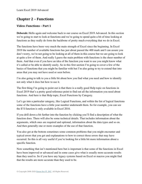# **Chapter 2 – Functions**

#### <span id="page-8-0"></span>**Video: Functions – Part 1**

**Deborah:** Hello again and welcome back to our course on Excel 2019 Advanced. In this section we're going to start to look at functions and we're going to spend quite a bit of time looking at functions as they really do form the backbone of pretty much everything that we do in Excel.

The functions have been very much the main strength of Excel since the beginning. In Excel 2019 the number of available functions has just about passed the 400 mark and I can assure you don't worry, we're not going to be looking at all of them in this course but we are going to look at quite a few of them. And really I guess the main problem with functions is the sheer number of them. And that even if you have an idea of the function you want to use you might know what it's called or be able to identify easily. So in this first section I'm going to cover a few of the basics of functions that you might be familiar with but I'm also going to try to extend that into areas that you may not have used or seen before.

I'm also going to talk to you a little bit about how you find what you need and how to identify not only what it does but how to use it.

The first thing I'm going to point out is that there is a really good Help topic on functions in Excel 2019 that's a pretty good reference point to find out all the information you need about functions. And here is that Help topic, Excel Functions by Category.

Let's go into a particular category, like Logical Functions, and within the list of logical functions some of the functions have a little year number underneath them. So for example, you can see the If S function is only available in Excel 2016.

If you drill down a bit further into the function by clicking you'll find a description of what the function does. There will also be some technical details. That includes information about the arguments, which ones are required and optional, information about the data types and so on. And then generally one or more examples of the use of that function.

You also get at the bottom sometimes some common problems that you might encounter and typical errors that you get and explanations to how to correct those errors that may have occurred. So this is all very useful if you're looking for a little bit more information about a specific function.

Now something that isn't mentioned here but is important is that some of the functions in Excel have been improved or advanced and in some cases give what is usually more accurate results than they used to. So if you have any legacy systems based on Excel or macros you might find that the results are more accurate than they used to be.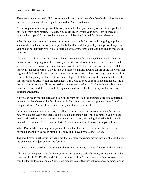There are some other useful links towards the bottom of this page but there's also a link here to the Excel Functions listed in alphabetical order. And there they are.

And a couple of other things worth bearing in mind is that you can buy or sometimes get for free functions from third parties. Of course you could always write your own. Both of these are outside the scope of this course but are well worth bearing in mind for future reference.

What I'm going to do now is a very quick demo of a simple function and I'm going to point out some of the key features that you're probably familiar with but possibly a couple of things that you're also not familiar with. So let's start out with a very simple job and just add up these four numbers.

If I want to total some numbers, as I do here, I can enter a formula anywhere on this sheet. On this occasion I'm going to write it directly under the list of four numbers. I start with an equal sign and I'm going to use the Sum function. Now if I hit S it's going to give me a list of all the functions that begin with S. Now if I hit U it narrows that list down to all the of the functions that begin with SU. And of course the one I want on this occasion is Sum. So I'm going to select it by double clicking and you'll see that not only do I get rest of the name of the function but I get the first parentheses. And within the parentheses I'm going to need to enter some arguments. And in the list of arguments you'll see the bold arguments are mandatory. So I must have at least one number in here. And then the nonbold arguments indicated also here by square brackets are optional arguments.

As you can see in the standard definition of the Sum function the arguments are also separated by commas. So whatever the function, even in functions that have no arguments you'll need to use parentheses. And we'll look at an example of that in a moment.

In those arguments I don't have to put cell references. I could put actual constants. So I could put, for example, SUM and then I could type a 6 and then when I put a comma in you will see that Excel is telling me that the next argument is mandatory as it's highlighted in bold. I could then add 8, comma, 10, so on and so forth. And it continues until I close those parentheses.

When I've finished entering the argument I can either hit Enter or I can tick the tick on the formula bar and I'm going to hit the Enter key and I have my total there of 23.

The way I have Excel set up is when I hit the Enter key the cursor moves down to the cell below the one where I've just entered the formula.

And now you can see the full formula in the formula bar using the Sum function and constants.

If instead of using constants for the argument I want to use cell references, so I want to sum the contents of cell D2, D3, D4, and D5 I can use those cell references instead of the constants. So I could enter my formula equals, Sum, open bracket, select the first cell reference, comma, second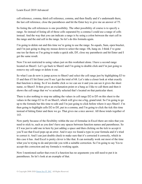cell reference, comma, third cell reference, comma, and then finally and it's underneath there, the last cell reference, close the parentheses and hit the Enter key to give me an answer of 75.

So listing the cell references is one possibility. The other possibility of course is to specify a range. So instead of listing all of those cells separated by a comma I could use a range of cells instead. And the way that you can indicate a range is by using a colon between the start cell in the range and the end cell in the range. So let's do this formula again.

I'm going to delete out and this time we're going to use the range. So equals, Sum, open bracket, and I'm just going to drag my mouse down to select the range. Oh, hang on. I think I've gone one too far there so I'm going to make a quick edit, D5, close my parenthesis and hit Enter and I get the same result.

Now I'm not restricted to using values just on this worksheet alone. I have a second range located on Sheet3. Let's go back to Sheet2 and I'm going to double click and I'm just going to remove my cell range or delete it out.

So what I can do now is jump across to Sheet3 and select the cell range just by highlighting E3 to I3 and then if I hit Enter you'll see I get the total of 68. Let's take a closer look at what exactly that function is doing. So if we double click so we can see it and you can see it gives the sheet name, so Sheet3. It then gives an exclamation point or a bang as I like to call them and then it shows the cell range that we've actually selected that's located on that particular sheet.

There is also nothing to stop me adding the values in cell range D2 to D5 on this sheet to the values in the range E3 to I3 on Sheet3, which will give me a big, grand total. So I'm going to go up to the formula bar this time to edit and I'm just going to click before where it says Sheet3. I'm then going to highlight cells D2 to D5, put in a comma, and I'm going to click the tick this time instead of hitting Enter and there we go. That gives me a nice answer. All those totals together of 143.

Now partly because of the flexibility within the use of formulae in Excel there are rules that you need to stick to, such as you don't have any spaces between function names and parentheses. So if I was just to add one in here by just adding a space and then clicking on the tick to accept it you'll see that Excel pops up an error. And it says we found a typo in your formula and it's tried to correct it. And I can just double check to make sure that it's corrected it correctly, which in this case it has. And Excel is pretty clever is like that. It can normally work out most of the time what you're trying to do and provide you with a suitable correction. So I'm going to say Yes to accept this correction and my formula is working again.

Now I mentioned earlier that even if a function has no arguments you still need to put it in parentheses. So let's look at an example of that.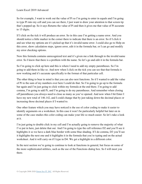So for example, I want to work out the value of Pi so I'm going to enter in equals and I'm going to type Pi into my cell and you can see there, I just want to draw your attention to that screen tip that's popped up. So it says Returns the value of Pi and then it gives me that value of Pi accurate to 15 digits.

If I click on the tick it will produce an error. So in this case I'm getting a name error. And you should notice a little marker in the corner there to indicate that there is an error. So if I click it and see what my options are it's picked up that it's invalid name error. I could also go to Help on this error, show calculation steps, ignore error, edit it in the formula bar, or I can go and modify my error checking options.

Now this formula contains unrecognized text and it's given me a link through to the invalid name error. So I know that there is a problem with the name. So let's go and edit it in the formula bar.

So I'm going to click up here and this is where I need to add my empty parentheses. So I'm going to add them in like so. And now when I click on the tick you can see that that formula is now working and it's accurate specifically to the format of that particular cell.

The other thing to bear in mind is that you can also nest functions. So if I wanted to add the value of Pi to the sum of my numbers over here I could do that. So I'm going to go up to the formula bar again and I'm just going to click within my formula at the end there. I'm going to add comma, I'm going to add Pi, and I'm going to do my parentheses. And remember when closing off parentheses you always need to close as many as you've opened. And now when I hit Enter I have my new total of 146.142, and I could change that by just taking down the decimal places or increasing those decimal places if I wanted to.

One other feature which you may have noticed is the use of color coding to make it easier to identify arguments on a worksheet. In this case it won't be particularly helpful but later on in some of the case studies this color coding can make your life so much easier. So let's take a look at it.

I'm just going to double click in my cell and I'm actually going to remove the majority of what I've put in here, just delete that out. And I'm going to type the cell reference D2 and you'll see it highlights it so we have a dark blue border with some blue shading. If I do comma, D3 you'll see it highlights the next one and it highlights it in the formula that you're typing and on the actual worksheet. And it will carry on if I type in D4. We get a highlight in a different color.

In the next section we're going to continue to look at functions in general, but focus on some of the more sophisticated utilities, such as the use of the Functions dialog box. So I will meet you there.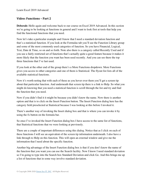#### <span id="page-12-0"></span>**Video: Functions – Part 2**

**Deborah:** Hello again and welcome back to our course on Excel 2019 Advanced. In this section we're going to be looking at functions in general and I want to look first at tools that help you find the functional functions that you need.

Now let's take a particular example and I know that I need a standard deviation function and that's a statistical function. If you look at the Formulas tab you'll see the Function Library group and some of the most commonly used categories of function. So you have Financial, Logical, Text, Date & Time, so on and so forth. Note also there is a category called Recently Used and if you use a fairly restricted set of functions that's actually quite a good feature because it makes it more likely that the function you want has been used recently. And you can see there the top three functions that I've last used.

If you look at the other end of the group there's a More Functions dropdown. More Functions gives you access to other categories and one of them is Statistical. The flyout list lists all of the available statistical functions.

Now it's worth noting that with each of these as you hover over them you'll get a screen tip about that particular function. And underneath that screen tip there is a link to Help. So what you might do knowing that you need a statistical function is scroll through the list and try and find the function that you need.

Now if you didn't find it it might be because you didn't know the name. Now there is another option and that is to click on the Insert Function button. The Insert Function dialog here has the category field preselected at Statistical because I was looking at this before I invoked it.

There's another way of invoking the Insert dialog box and that is where you can invoke it by using the fx button on the formula bar.

So once I've invoked the Insert Function dialog box I have access to the same list of functions, that Statistical functions that we were looking at previously.

There are a couple of important differences using this dialog. Notice that as I click on each of these functions I will see an equivalent of the screen tip information underneath. I also have a link through to Help on this function. This will open an external window and give me the information that I need about the specific function.

Another big advantage of the Insert Function dialog box is that if you don't know the name of the function that you want you can use the Search facility. Now I know I need standard deviation so I'm going to type into the Search box Standard Deviation and click Go. And this brings me up a list of functions that in some way involve standard deviation.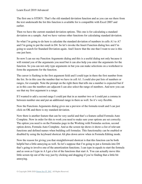The first one is STDEV. That's the old standard deviation function and as you can see there from the text underneath the list this function is available for is compatible with Excel 2007 and earlier.

Then we have the current standard deviation options. This one is for calculating a standard deviation on a sample. And we have various other functions for calculating standard deviation.

So what I'm going to do here is calculate the standard deviation of numbers in cells A1 to A7 and I'm going to put the result in D4. So let's invoke the Insert Function dialog box and I'm going to search for Standard Deviation again. And I know that the one that I want to use is this one just here.

So now I can see my Function Arguments dialog and this is a useful dialog not only because it will remind you of the arguments you need but it can also help you enter the arguments for the function. So you can not only type arguments in but you can make selections on a worksheet to form the arguments for the function.

The cursor is flashing in the first argument field and I could type in there the first number from the list. So in this case the number that we have in cell A1. I could also put lists of numbers or ranges, for example. Note the prompt on the right there that tells me a number is expected but if as in this case the numbers are adjacent I can also select the range of numbers. And now you can see that my first argument is a range.

If I wanted to add a second range I could put that in as number two or I could put a comma in between number one and put an additional range in there as well. So it's very flexible.

Now the Functions Arguments dialog gives me a preview of the formula result and I can just click on OK and there is my standard deviation.

Now there is another feature that can be very useful and that's a feature called Formula Auto Complete. Now in order for this to work you need to make sure your options are set correctly. The option you need is on the Formulas page in the Working with Formulas section, second option down, Formula Auto Complete. And as the screen tip shows it shows a list of relevant functions and defined names when building cell formulas. This functionality can be enabled or disabled by using the keyboard shortcut Alt plus down arrow when in Formula Editing mode.

Now the reason for giving you that straightforward shortcut is that this function can be both helpful but a little annoying as well. So let's suppose that I'm going to put a formula into D4 that's going to involve one of the amortization functions. I can type in equals to start the formula and as soon as I type in A I get a list of the functions that start A. You can actually move this little screen tip out of the way just by clicking and dragging if you're finding that a little bit annoying.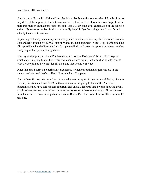Now let's say I know it's AM and I decided it's probably the first one so when I double click not only do I get the arguments for that function but the function itself has a link to a Help file with more information on that particular function. This will give me a full explanation of the function and usually some examples. So that can be really helpful if you're trying to work out if this is actually the correct function.

Depending on the arguments as you start to type in the value, so let's say the first value I want is Cost and let's assume it's \$3,000. Not only does the next argument in the list get highlighted but if it's possible what the Formula Auto Complete will do will offer me options or recognize what I'm typing in that particular argument.

Now my next argument is Date Purchased and in this case Excel won't be able to recognize which date I'm going to use, but if this was a name I was typing in it would be able to react to what I was typing to help me identify the name that I want to include.

Other than that I carry on entering my arguments. Remember optional arguments are in the square brackets. And that's it. That's Formula Auto Complete.

Now in these first two sections I've introduced you or recapped for you some of the key features for using functions in Excel 2019. In the next section I'm going to look at the AutoSum Functions as they have some rather important and unusual features that's worth knowing about. And in subsequent sections of the course as we use some of these functions you'll see some of these features I've been talking about in action. But that's it for this section so I'll see you in the next one.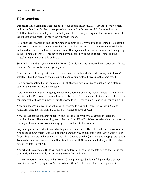#### <span id="page-15-0"></span>**Video: AutoSum**

**Deborah:** Hello again and welcome back to our course on Excel 2019 Advanced. We've been looking at functions for the last couple of sections and in this section I'd like to look at the AutoSum functions, which you've probably used before but you might not be aware of some of the aspects of their use. Let me show you what I mean.

Let's suppose I wanted to add the numbers in column B. Now you might be temped to select the numbers in column B and then insert the AutoSum function as part of the formula in B6, but in fact you don't need to select the numbers first. If you just click below the column and then go up to the Ribbon, either the Home tab or the Formulas tab, I'm going to select Home, and the AutoSum feature is available on both.

So if I click AutoSum you can see that Excel 2019 picks up the numbers listed above and if I just click the Tick to Confirm and I get my total.

Now if instead of doing that I selected those first four cells and it's worth noting that I haven't selected B6 in this case and then click on the AutoSum button it gives me the same result.

It's also worth noting that if I select cell B2 all the way down to B6 and click on the AutoSum button I get the same result once again.

Now let me undo that so I'm going to click the Undo button on my Quick Access Toolbar. Now this time what I'm going to do is select the cells from B6 to C6 and click AutoSum. In this case it can sum both of those columns. It puts the formula in B6 for column B and in C6 for column C.

Now this doesn't just work for columns. If I wanted to deal with rows, let's click in G2 and AutoSum, I get the sum from B2 to F2. So it works on rows as well.

Now let's delete the contents of cell F5 and let's look at what would happen if I click the AutoSum button. The answer it gives is the sum from F2 to F4. When AutoSum has the option of dealing with columns or rows it always give precedents to the columns.

So you might be interested to see what happens if I select cells B2 to B5 and click on AutoSum. Notice the column totals I get. And of course another way to sum totals that I don't want you to forget about is if we make a selection, so C2 to C5, and use the Quick Analysis popup, we have a Totals tab where we can access the Sum function as well. So when I click that you'll see it also puts in my total in cell C6.

And what if I select cells B2 to G6 and click AutoSum. I get all of the totals. And the 150 in the bottom right hand corner is of course is the sum from B6 to F6.

Another important point here is that Excel 2019 is pretty good at identifying entities that aren't part of what you're trying to do. So for instance, if in B1 I had a header, so let's pretend that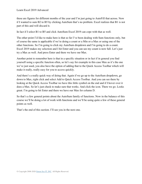these are figures for different months of the year and I'm just going to AutoFill that across. Now if I wanted to sum B2 to B5 by clicking AutoSum that's no problem. Excel realizes that B1 is not part of this and will discard it.

In fact if I select B1 to B5 and click AutoSum Excel 2019 can cope with that as well.

The other point I'd like to make here is that so far I've been dealing with Sum functions only, but of course the same is applicable if we're doing a count or a Min or a Max or using one of the other functions. So I'm going to click my AutoSum dropdown and I'm going to do a count. Excel 2019 makes my selection and I hit Enter and you can see my count is now full. Let's just try a Max as well. And press Enter and there we have our Max.

Another point to remember here is that in a specific situation or in fact if in general you find yourself using a specific function often, so let's say for example in this case Max as it's the one we've just used, you also have the option of adding that to the Quick Access Toolbar which will make it really, really easy for you to access quickly.

And there's a really quick way of doing that. Again if we go up to the AutoSum dropdown, go down to Max, right click and select Add to Quick Access Toolbar. And you can see there by looking at the Quick Access Toolbar we have this little symbol on the end and if I hover over it does a Max. So let's just check to make sure that works. And click the icon. There we go. Looks great. I'm going to hit Enter and there we have our Max for column D.

So that's a few general points about the AutoSum family of functions. Now in the balance of this course we'll be doing a lot of work with functions and we'll be using quite a few of these general points as well.

That's the end of this section. I'll see you in the next one.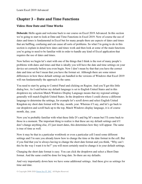# **Chapter 3 – Date and Time Functions**

## <span id="page-17-0"></span>**Video: How Date and Time Works**

**Deborah:** Hello again and welcome back to our course on Excel 2019 Advanced. In this section we're going to start to look at Date and Time Functions in Excel 2019. Now of course the use of dates and times is fundamental in Excel but for many people there are aspects of dates and times that are baffling, confusing and can cause all sorts of problems. So what I'm going to do in this section is explain in detail how dates and times work and then look at some of the main functions you're going to need to be familiar with in order to handle any kind of Excel application that requires the use of dates and times.

Now before we begin let's start with one of the things that I think is the root of many people's problems with dates and times and that is ideally you will have the date and time settings on your device set correctly before you even begin. Now I don't mean by that that you have the correct date and time set but I mean that you have the format set. Although there are some minor differences in how these default settings are handled in the versions of Windows that Excel 2019 will run fundamentally the approach is the same.

You need to start by going to Control Panel and clicking on Region. And you'll get this little dialog box. As I said before my default language is set to English United States and in this dropdown my selection Match Windows Display Language means that my regional settings generally will match English United States. In the dropdown where I could choose a different language to determine the settings, for example let's scroll down and select English United Kingdom my short date format will be day, month, year. Whereas if I say, and let's go back to our dropdown and scroll back up to the top, Match Windows display language, it is of course month, day, year.

Now you're probably familiar with what these little D's and big M's mean but I'll come back to those in a moment. The important thing to realize is that these are my default settings and if I don't change anything else, if I just insert dates, this determines how they will appear. The same is true of time as well.

Now it may be that in a particular workbook or even a particular cell I need some different settings and I'm sure you already know how to change the time or the date format in the cell. But if you find that you're always having to change the short date format and you think, "Why can't this be the way I want it to be?" you will most certainly need to change it in your default settings.

Changing the short date format is easy. You can click the dropdown and select a Short Date format. And the same could be done for long date. So there are my defaults.

And very importantly down here we have some additional settings. And these give us settings for time and date.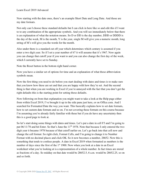Now starting with the date ones, there's an example Short Date and Long Date. And those are my date formats.

Not only can I choose these standard defaults but I can click in here like so and edit this if I want to to any combination of the appropriate symbols. And you will see immediately below that there is an explanation of what the notation means. So D or DD is the day number, DDD or DDDD is the day of the week, M is the month, Y is the year, single M will give you a numeric month, long string of M's will give you the words for the month.

Also under there is a standard cut off year which determines which century is assumed if you enter a two digit year. So if I set a year number of 67 it will assume that it's 1967. Now again you can change that cutoff year if you want to and you can also change the first day of the week, which I currently have set to Sunday.

Note the Reset button in the bottom right hand corner.

Now you have a similar set of options for time and an explanation of what those abbreviation symbols mean.

Now the first thing you need to do before you start dealing with dates and times is to make sure that you know how these are set and that you are happy with how they're set. And the second thing is that when you are working in Excel if you're annoyed with the fact that you don't get the right defaults this is the starting point for setting those defaults.

Now following on from that explanation you might want to take a look at the Help page either from within Excel 2019, I've brought it up in the side pane just here, or on Office.com. And I searched for Formatted Date the way you want. This basically explains how to set date formats, how to set custom date formats and so on. I'm not covering these formats on this course because I'm assuming you're already fairly familiar with these but if you do have any uncertainty then this is a good page to look at.

So let's start doing some things with dates and times. Let's put a date in cell F5 and I'm going to put  $06/11/78$  and hit Enter. So that's June the  $11<sup>th</sup> 1978$ . Note that because I only entered the two digit year it became 1978 because of that cutoff earlier on. Let's go back into that cell now and change the cell format. So right click, Format Cells, and I'm going to change it to Number Format with no decimal places and click OK. So it now becomes a number, 28652. Now this is something that tends to confuse people. A date in Excel 2019 when formatted as numbers is the number of days since the first of the  $1<sup>st</sup> 1900$ . Now when you look at a date in an Excel worksheet what you're looking at is a representation of a whole number. In fact times are stored as fractions of a day. So midday on that date would be 28652.5, 6 a.m. would be 28652.25, so on and so forth.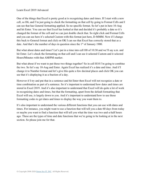One of the things that Excel is pretty good at is recognizing dates and times. If I start with a new cell, so H6, and I'm just going to check the formatting on that cell by going to Format Cells and I can see that has General formatting applied. So no specific format. So let's put in here 10-Aug and hit Enter. You can see that Excel has looked at that and decided it's probably a date so it's changed the format of the cell and we can just double check that. So right click and Format Cells and you can see here it's selected Custom with this format just here, D-MMM. Now if I change this back to General format and click on OK I can see that Excel has correctly stored that as a date. And that's the number of days in question since the  $1<sup>st</sup>$  of January 1900.

But what about dates and times? Let's put in a time into cell H8 of 10:30 and we'll say a.m. and hit Enter. Let's check the formatting on that cell and I can see it selected Custom and it selected Hours/Minutes with that AM/PM marker.

But what about if we want to put those two things together? So in cell H10 I'm going to combine the two. So let's say 10-Aug and Enter. Again Excel has realized it's a date and time. And if I change it to Number format and let's give this quite a few decimal places and click OK you can see that it's displaying it as a fraction of a day.

However if I try and put that in a sentence and hit Enter then Excel will not recognize a date or time combination as part of a sentence. So it's important to understand how dates and times are stored in Excel 2019. And it's also important to understand that Excel will do quite a lot of work in recognizing dates and times, but that the formatting, apart from the default formatting that Excel will use, is largely down to you. And it's important to understand how to use those formatting codes to get dates and times to display the way you want them to.

It's also important to understand the various different functions that you can use with dates and times. For instance, you might want to use a function that will tell you a date 60 days from today or maybe you want to find a function that will tell you what the time was two-and-a-half hours ago. These are the types of time and date functions that we're going to be looking at in the next section. So please join me for that.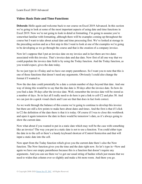#### <span id="page-20-0"></span>**Video: Basic Date and Time Functions**

**Deborah:** Hello again and welcome back to our course on Excel 2019 Advanced. In this section we're going to look at some of the most important aspects of using date and time functions in Excel 2019. Now we're not going to look in detail at formatting. I'm going to assume you're somewhat familiar with formatting, although there will be examples coming up throughout the course but I want to take about actual date and time processing first. We've looked at storage in the preceding section and as a first step in this I want to look at one of the examples we're going to be developing as we go through the course and that is the creation of a company invoice.

Now let's suppose that I put an invoice date on my invoice and in fact there are two dates associated with this invoice. That's invoice date and due date. Now first of all one way that we could populate the invoice date field is by using the Today function. And the Today function, as you would expect, gives the date today.

So we just type in =Today and we have our empty parentheses. So I want you to note that this is one of those functions that doesn't need any arguments. Obviously I could also change the format if I wanted to.

Now the due date could potentially be a date a certain number of days beyond that date. And one way of doing this would be to say that the due date is 30 days after the invoice date. So how do you find a date 30 days after the invoice date. Well, remember the invoice date will be stored as a number of days. So in fact all I really need to do here is put a link to cell C2 and plus 30. And we can just do a quick visual check and I can see that that does in fact look correct.

As we work through the balance of this course we're going to continue to develop this invoice but there are still a few points to make here about dates and times. And the first is that if I click in C2 the definition of the date there is that it is today. Of course if I was to close this workbook and open it again tomorrow the date in there would be tomorrow's date, as it's always going to show the current date.

Now what about if you wanted to put in a static date which may well be the case with something like an invoice? The way you put in a static date is not to use a function. You could either type the date in to the cell or there's a handy keyboard shortcut of Control-Semicolon and that will input a static date into the cell.

Now apart from the Today function which gives you the current date there's also the Now function. The Now function gives you the time and the date right now. So let's type in =Now and again we have our empty parentheses because this is a function that doesn't require any arguments. And you can see there we've got our usual string of hashes which just means that we need to widen that column ever so slightly and make a bit more room. And there you go.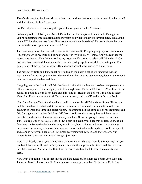There's also another keyboard shortcut that you could use just to input the current time into a cell and that's Control-Shift-Semicolon.

So it's really worth remembering this point. C2 is dynamic and D2 is static.

So having looked at Today and Now let's look at another important function. Let's suppose you're importing some data from another system and what you have is several dates, such as the one in D7, but they are text dates. How do you make them into dates? For example, so that you can store them as regular dates in Excel 2019.

The function you use for that is the Date Value function. So I'm going to go up to Formulas and I'm going to go to my Date and Time dropdown in my Functions library. And you cans see the second one down is Date Value. And as my argument I'm going to select cell D7 and click OK. So Excel has converted that to a number. So I can just go apply some date formatting and I'm going to select the top one, click on OK and now I have that formatted as a short date.

The next set of Date and Time functions I'd like to look at is a set of six functions that can separate out for me the year number, the month number, and the day number, down to the second number of any given date and time.

I'm going to use the date in cell D4. Just bear in mind that a minute or two has now passed since D4 was last updated. So it's slightly out of date right now. But if in F4 I use the Year function, so again I'm going to go up to my Date and Time and it's right at the bottom. I'm going to select Year. And I'm going to select cell D4 as my argument, click on OK and it pulls back 2019.

Now I invoked the Year function what actually happened is cell D4 updates. So you'll see now that the time has refreshed and it is now the current time. Let me do the same for month. So again up to Date and Time and select Month. I'm going to use the same cell as my argument, cell D4. And again watch when I click on OK. You should see that time update and there we go. Let's fill out the rest of them so I can show you all six. So we're going to do up to Date and Time, we're going to do Day, select cell D4 again and again you'll see this update. So those six functions can be used to isolate the year, month, day, hour, minute, and second. Any change made to cell values anywhere on this sheet will cause that value to be updated. So if I was just to add a one in here you'll see when I hit Enter everything will refresh, and there we go. And hopefully you saw that that minute changed just there.

Now I've already shown you how to get a date from a text date but there is another way that you can build dates as well. And in fact you can use a similar approach for times, and that is to use the Date function. And what the Date function does is to build a date from three constituent parts.

Now what I'm going to do is first invoke the Date function. So again let's jump up to Date and Time and Date is the top one. So I'm going to choose a year number. So let's say 2018. I'm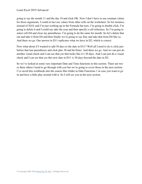going to say the month 11 and the day 10 and click OK. Now I don't have to use constant values for those arguments. I could in fact use values from other cells on the worksheet. So for instance, instead of 2018, and I'm just working up in the Formula bar now, I'm going to double click, I'm going to delete it and I could say take the year and then specify a cell reference. So I'm going to select cell D4 and close my parentheses. I'm going to do the same for month. So let's delete that out and take it from D4 and then finally we're going to say Day and take that from D4 like so. And there we go. Our answer in D11 replicates what we have in D2, which is correct.

Now what about if I wanted to add 30 days to the date in D11? Well all I need to do is click just before that last parentheses and click plus 30 and hit Enter. And there we go. And we can just do another visual check and I can see that yes that looks like it's 30 days. And I can just do a visual check and I can see that yes this new date in D11 is 30 days beyond the date in D2.

So we've looked at some very important Date and Time functions in this section. There are two or three others I need to go through with you but we're going to cover those in the next section. I've saved this workbook into the course files folder as Date Functions 1 in case you want to go in and have a little play around with it. So I will see you in the next section.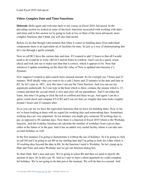## <span id="page-23-0"></span>**Video: Complex Date and Time Functions**

**Deborah:** Hello again and welcome back to our course on Excel 2019 Advanced. In the preceding section we looked at some of the basic functions associated with working with dates and times and in this section we're going to look at two or three of the more advanced, more complex functions that I think you will also find useful.

Before we do that though I did mention that when it comes to building dates from individual components there is an equivalent set of facilities for time. So just as a way of demonstrating this let's run through a quick example.

Now in cell B2 I have the current date and time. If I wanted to add 12 hours to that all I would need to do would be to write =B2+0.5 and hit Enter to confirm. And I can do a quick visual check and look and see to make sure that that is correct, which it appears to be. Note that whenever I update something on the sheet the value of Now is updated also because it's dynamic.

Now suppose I wanted to add a much more unusual amount. So for example say 3 hours and 23 minutes. Well ideally what you want to do is add 3 hours and 23 minutes to the date and time in B2. So let's type in =B2+, now this time I can use the Time function. And you can see my arguments underneath. So I can type in the hour which is three, comma, the minute which is 23, comma and then the second which is zero and close off my parentheses. And I can either hit Enter, this time I'm going to click the tick to confirm and there we go. And again I can do a quick visual check and compare F2 to B2 and I can see that yes roughly that time looks roughly around 3 hours and 23 minutes after.

So as you can see we have the equivalent functions that we have for building dates. Now so far we've been looking at dates with no regard for working days and nonworking days. Sometimes working days are very important. So for instance you might give someone 30 working days to pay as opposed to 30 calendar days. Now there is a function in Excel 2019 which is the Workday function. And the workday function can calculate the number of workdays from a given date, either in the future or in the past. And it has an added very useful facility where it can take into account holidays as well.

In the first instance I'm going to demonstrate it without the use of holidays. So I'm going to click in cell D4 and I'm going to use B4 as my starting date and I'm going to look for a date which is 30 working days beyond the date in B4. So the function I need is Workday. So let's jump up to Date and Time and select Workday and we get our function dialog box.

So Start Date, that's nice and easy. We're going to select B4 and then we need to specify the amount of days. So in this case 30. And as I said we have a third argument we could complete for holidays. We're not going to do that just at the moment. We will do that in a second. And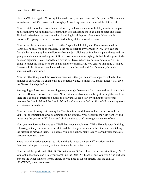click on OK. And again if I do a quick visual check, and you can check this yourself if you want to make sure that it's correct, that is roughly 30 working days in advance of the date in B4.

Now let's take a look at this holiday feature. If you have a number of holidays, so for example public holidays, work holidays, etcetera, then you can define those as a list of dates and Excel 2019 will take those into account when it's doing it's doing its calculations. Now on this occasion I'm going to put in a few assorted holiday dates or vacation days.

Now one of the holidays where I live is the August bank holiday and I've also included the Labor day holiday for good measure. So let me go back to my formula in D4. Let's edit the formula by jumping up into the Formula bar and just clicking before the last parentheses and I'm going to add an additional argument. So if I do comma, it now highlights that third argument, the holidays argument. So all I need to do now is tell Excel where my holiday dates are. So I'm going to select my range F4 to F5 and hit enter to confirm. And you can see that mine's jumped forward a little bit more than that to take in account the weekend. So it's actually brought it across into the next week.

Now the other thing about the Workday function is that you can have a negative value for the number of days. And if I change this to a negative value, so minus-30, and hit Enter it will give me 30 working days before.

We're going to look now at something else you might have to do from time to time. And that's to find the difference between two dates. Now that sounds like it could be quite straightforward but there are a couple of interesting quirks to be aware. So let's start by finding the difference between the date in B7 and the date in D7 and we're going to find out first of all how many years are between those dates.

Now one way of doing that is using the Year function. And if you look up in the Formula bar you'll see the function that we're doing there. So essentially we're taking the year from D7 and minus-ing the year from B7. So when I click the tick to confirm we get an answer of one.

Now you may look at that and say, "Well that's not a whole year." What Excel is actually doing is looking at the year number in one date and then the year number in the other date and taking the difference between them. It's not really looking at how many totally elapsed years there are between those two dates.

There is an alternative approach to this and that is to use the Date Diff function. And this function is designed to show you the difference between two dates.

Now one of the quirks with Date Diff is that you won't find it listed in the Function library. So if you look under Date and Time you won't find the Date Diff function and you won't find it if you explore the wider function library either. So you need to type it directly into the cell. So =DATEDIF, open parentheses.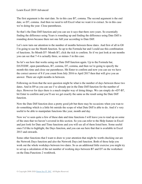The first argument is the start date. So in this case B7, comma. The second argument is the end date, so D7, comma. And then we need to tell Excel what we want it to extract. So in this case we're doing the year. Close parentheses.

So that's the Date Diff function and you can see it says that there zero years. So essentially finding the difference using Years is rounding up and finding the difference using Date Diff is rounding down because there not one full year according to Date Diff.

Let's now turn our attention to the number of months between those dates. And first of all in G8 I'm going to use the Month function. So up to the Formula bar and I could use this combination of functions. So Month D7- Month B7, click the tick to confirm. So if we just look at our months you can see that 7-4 is actually three, so minus-3 in this case.

So let's see how that works using our Date Diff function again. Up to the Formula bar, DATEDIF, open parentheses, B7, comma, D7, comma, and then we're going to specify the month this time and close our parentheses. Hit Enter to confirm and now you can see we have the correct answer of 8 if you count from July 2016 to April 2017 then that will give you an answer. There are eight months in between.

Following on from that the next question might be what is the number of days between those two dates. And in H9 as you can see I've already put in the Date Diff function for the number of days. However for days there is a much simpler way of doing things. We can simply do =D7-B7, hit Enter to confirm and you'll see we get exactly the same as the result using the Date Diff function.

Now the Date Diff function does a pretty good job but there may be occasions when you wan to do something which is a little bit outside the scope of what Date Diff is able to do. And it's very useful to be able to manipulate functions like year, month and day.

Now we've seen quite a few of these date and time functions I will leave you to read up on some of the ones that we haven't covered in this section. So you can refer to the Help feature in Excel and just look for Date and Time functions and you will see all of them listed here. Some useful ones I'd like to highlight, the Days function, and you can see here that that is available in Excel 2013 and onwards.

Some other functions that I want to draw to your attention that might be worth checking out are the Network Days function and also the Network Days.intl function. Both of those help you work out the whole workdays between two dates. So as an additional little exercise you might try to set up a calculation of the net number of working days between B7 and D7 on the worksheet on the Data Functions 2 workbook.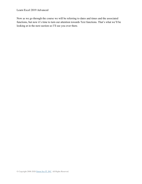Now as we go through the course we will be referring to dates and times and the associated functions, but now it's time to turn our attention towards Text functions. That's what we'll be looking at in the next section so I'll see you over there.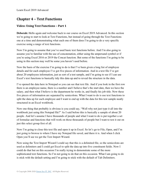# **Chapter 4 – Text Functions**

## <span id="page-27-0"></span>**Video: Using Text Functions – Part 1**

**Deborah:** Hello again and welcome back to our course on Excel 2019 Advanced. In this section we're going to start to look at Text Functions, but instead of going through the Text Functions one at a time and demonstrating what each one of them does I'm going to do a very specific exercise using a range of text functions.

Now I'm going to assume that you've used basic text functions before. And I'm also going to assume you're familiar with the use of concatenation, either using the ampersand symbol or if you're using Excel 2016 or 2019 the Concat function. But some of the functions I'm going to be using in this section may well be some you haven't used before.

Now the basis of the exercise I'm going to do is that I've been given a long list of employee details and for each employee I've got five pieces of information. And in a text file I've got about 20 employees information, just as sort of a test sample, and I'm going to see if I can use Excel's text functions to basically tidy this data up and to reveal the structure in the data.

I've opened the data here in Notepad so you can see that text file. And if you look in the first row there is an employee name, there is a number and I believe that's the start date, then we have the salary, and then what I believe is the department he works in, and finally his job title. Now these five pieces of information are separated by semicolons. What I want to do is use text functions to split the data up for each employee and I want to end up with the data for this test sample neatly structured in an Excel workbook.

Now one thing that probably is obvious is you could say, "Well why not just type it all into the workbook just using this Notepad file?" As I said before this is basically a sample of about 20 people. And let's assume I have thousands of people and what I want to do is put together a set of formulae and functions that will work on those thousands of people but I want to test it out on just this select group first of all.

Now I'm going to close this text file and open it up in Excel. So let's go to File, Open, and I'm just going to browse to where I have my Notepad file saved, and there it is. And when I click Open you'll see we get the Text Import Wizard.

Now using the Text Import Wizard I could say that this is a delimited file, so the semicolons are used as delimiters and I could get Excel to split the data up into five constituent fields. Now I could do that but on this occasion I'm really trying to demonstrate some of the more sophisticated text functions. So I'm not going to do that on this occasion. What I am going to do is stick with the default setting and I'm going to stick with the default of Tab Delimiters.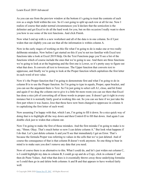As you can see from the preview window at the bottom it's going to treat the contents of each row as a single field within the row. So it's not going to split up each row at all for me. Now I realize of course that under normal circumstances you'd declare that the semicolon is the delimiter and get Excel to do all the hard work for you, but on this occasion I really want to show you how to use some of the text functions. And click Finish.

Now what I end up with is a new worksheet and all of the data is in one column. So if I just widen that out slightly you can see that all the information is within column A.

Now in the early stages of working on this file what I'm going to do is make one or two really deliberate mistakes. Now before I get started on this if you're not too familiar with Excel text functions take a look at Excel 2019 Help. On the Text Functions page you'll see a list of the functions which of course include the ones that we're going to use. And there are three functions we're going to look at at the beginning and the first one is Lower, so it's pretty easy to figure out what that does. It converts all text to lowercase. The Upper function that converts text to uppercase, and finally we're going to look at the Proper function which capitalizes the first letter in each word of text value.

Now it's the Proper function that I'm going to demonstrate first and what I'm going to do in column B is to use the Proper function. So I'm going to type in equals, Proper, open bracket, and you can see the argument there is Text. So I'm just going to select cell A1, close, and hit Enter and again if we drag the column out to give it a little bit more room you can see there that Excel has done a nice job of converting all of those words to proper case. It doesn't get it right in every instance but it is normally fairly good at working this out. So you can see here if we just take the first part where it was Juarez, Jose that those have now been changed to uppercase in column A to capitalizing the first letter of each word.

Now assuming I'm happy with that, which I am, I'm going to fill it down. So a nice quick way of doing that is to highlight all the way down and then Control-D to fill that down. And again I can double click just to widen that column out.

Now I'm going to make the first of those mistakes. And the first mistake I'm going to make is to say, "Hmm. Okay. That's much better so now I can delete column A." But look what happens if I do that. Let's just delete column A and you'll see that immediately I get an Error. That's because the formula Proper was referring to values in the cells that we've just deleted. And of course the consequence of that is that column B doesn't work anymore. So one thing to bear in mind is to make sure you don't remove any data that you need.

Now of course there is an alternative to this. What I could do, and let's just widen out column C, is I could highlight my data in column B, I could go up and do a Copy, click in column C and then do Paste Values. And what that does is it essentially throws away those underlying formulas so I could then go in and delete both columns A and B and that appears to have worked fairly well.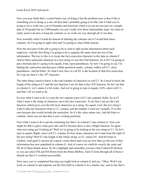Now you may think that's a much better way of doing it but the problem now is that if this is something you're doing as a one off then that's probably going to be fine, but if what you're trying to do is work out a set of formulae and functions which you can use not just on a sample data of 20 people but on 2,000 people you can't really lose those intermediate steps. So what we really need to do here is keep the columns as we work our way through all of our data.

Now normally what I would do instead of deleting the columns out is I would hide those columns. So I'm going to right click and I'm going to select Hide instead.

Now the next part of the job is going to be to start to split up the information about each employee. And the first thing I'm going to do is separate the name from the rest of the information. The key to this is to locate the first semicolon character in the data in column C. And to find a particular character in a text string we use the Find function. So in D1 I'm going to put a formula and it's going to be equals, Find, open parentheses. So now I'm going to say I'm finding the semicolon and that goes within quotation marks, comma, within cell C1, close parentheses. And hit Enter. So what I now have in cell D1 is the location of that first semicolon. So I can see that it's the  $14<sup>th</sup>$  character.

The other thing I need to know is the total number of characters in cell C1. So I need to know the length of the string in C1 and the text function I use for that is the LEN function. So let's do that in column E. Let's make it a bit wider. And we're going to type in equals, LEN, select cell C1, and that's all we need to do.

So now what I want to do is to get the two separate parts of C1 into separate fields. So in F1 what I want is the string of characters up to the first semicolon. To do that I can use the Left function, which gives you the left most characters in a string. So equals, Left, the text string I want to take the characters from is C1, comma, and the number I want isn't actually 14 in this case because that would include the semicolon. So it's the value minus one. And hit Enter to confirm. And I can see that that is now working perfectly.

Now what I want to do is put the remaining text that's in column C into column G. Now you might be able to guess what goes into cell G1 because there is also a Right function. So again what text string am I looking at? Well we're going to be looking at the text string in C1. So let's type in equals, Right, select cell C1, comma. So how many characters do I want from the right of the text string? Well it's the length of the whole string, so E1, minus D1. And hit Enter to confirm. And again I can just do a quick visual check and I can see now that yes the rest of that information has now populated in column G. And of course we could do exactly the same and fill all of these details down. So let's highlight and remember you have that Control-D shortcut or you can select Fill and Fill Down from the Home Ribbon. And if I look through all of those I should see that it's worked successfully.

Now once you've completed that step you might look at column G and say, "Okay. Well I can work on column G and separate out the first field in column G in a similar way. and in fact that's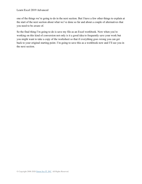one of the things we're going to do in the next section. But I have a few other things to explain at the start of the next section about what we've done so far and about a couple of alternatives that you need to be aware of.

So the final thing I'm going to do is save my file as an Excel workbook. Now when you're working on this kind of conversion not only is it a good idea to frequently save your work but you might want to take a copy of the worksheet so that if everything goes wrong you can get back to your original starting point. I'm going to save this as a workbook now and I'll see you in the next section.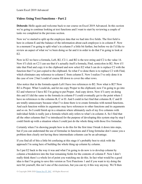#### <span id="page-31-0"></span>**Video: Using Text Functions – Part 2**

**Deborah:** Hello again and welcome back to our course on Excel 2019 Advanced. In this section we're going to continue looking at text functions and I want to start by reviewing a couple of tasks we completed in the previous section.

Now we've started to split up the employee data that we had into five fields. The first field is here in column E and the balance of the information about each employee is in column F. Now in a moment I'm going to split what's in column F a little bit further, but before we do I'd like to review an aspect of what we've been doing so far and it in order to do that I'm going to look at E2.

Now in E2 we have a formula, Left, B2, C2-1, and B2 is the text string and C2 is the value 14. Now if I click on C2 I can see that it's actually itself a formula, Find, semicolon in B2. Now if I take that Find and copy it to the clipboard and now select E2 what I can do is replace C2 with the function that I've just copied to the clipboard. So what I've done there is to replace C2 with Find, which eliminates any reference to column C from column E. Now I realize I've only done it in the case of row 2 but I could of course fill down to cover the other rows.

Also notice that in the formula equals Left I have two references to B2. Now what is B2? Now B2 is Proper. What I could do, and let me copy Proper to the clipboard, now I'm going to go into E2 and wherever I have B2 I'm going to put Proper. And copy down. Now if I carry on doing this and if I did the same to the formula in column F I could eventually get to the point where I have no references to the columns B, C or D. And I could in fact find that columns B, C and D are totally unnecessary because what I've done there is to create formulas with nested functions. And each function within its arguments may have references to other functions and its arguments and so on. So I could finish up in a situation where ultimately each of my five columns with individual fields is really just a formula which only refers to what's in column A. So I find that all the other columns that I've introduced for the purpose of developing this system step by step I could finish up with a situation where I could just do the whole thing with those five formulae.

Certainly when I'm showing people how to do this for the first time I break it down into steps, but if you can understand the use of formulae in functions and if long formulae don't cause you a problem then clearly not having these intermediate columns can be an advantage.

If you find all of this a little bit confusing at this stage it's probably best to stick with the approach I'm using here of building the whole thing up column by column.

So I put E2 back to the way it was and what I'm going to do now is to develop column by column a breakdown into the four remaining fields for the contents of column F. Now I don't really think there's a whole lot of point you watching me do this. In fact what would be a good idea is that I'm going to save this version as Text Functions 1 and if you want to try doing the next bit yourself, this isn't one of the exercises, but you can try it this way anyway. We'll then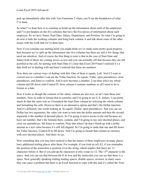pick up immediately after this with Text Functions 2 where you'll see the breakdown of what I've done.

So what I've done here is to continue to break up the information about each of the employees and I've put headers on the five columns that have the five pieces of information about each employee. So we have Name, Start Date, Salary, Department, and Position. So what I'm going to do now is hide the working columns and bring back column A and talk about some of the other issues with the work that we've done here.

Now if you consider our starting point you might think we've made some pretty good progress here because we've split up the information into five columns but there are still a few things that need our attention. And of course the first thing to note is that in the case of Start Date and Salary both of those are coming across as text and you can normally tell that because they are left justified in the cell. So starting with Start Date it's clear that Excel 2019 hasn't realized it's a date field we're dealing with and hasn't realized that these are numbers.

Now there are various ways of dealing with this. One of them is equals, Left. And if I want to convert text to a number I can use the Value function. So equals, Value, open parentheses, close parentheses, and Enter to confirm. And it now becomes a number. I can then select my whole column and fill down with Control-D. Now column I contains numbers so all I need to do is format as a date.

Now it looks as though the contents of the salary column are also text, so let's turn those into numbers. Now in order to format that as currency and I'm going to use U.S. dollars, I can pretty much do that the same way as I formatted the Start Date column by selecting the whole column and formatting the cells. However there is an alternative option and that's the Dollar function. And it's definitely one worth looking at. So equals, Dollar, open parentheses. And you can see Dollar has two arguments, the value you want to turn into the dollar amount and then the second argument is the number of decimal places. So I'm going to move across to the end because we have our number, that's the formula there, comma, and I'm going to say zero decimal places, and close my parentheses. Hit Enter to confirm. Note that when I do that I finish up with a dollar amount as a text value because it's still left aligned. So I'm going to undo that one and fill down the Value function. Control-D to fill down. And I'm going to format that column as currency with zero decimal places. And there we go.

Now something that you may have noticed is that the names of these employees in many places have additional trailing places after them. For example, if you look in cell A2, if you remember the position of the semicolon is position 14 in the string, which implies that there are 13 characters before it. But if you add up the characters it only comes to 12. The 13<sup>th</sup> character is the space. And you can see that between the E in Jose and the semicolon you can see that there is a space. Now generally speaking trailing leading spaces, double spaces, etcetera, in many cases they can cause a problem but there is an Excel function to cope with this and it's called the Trim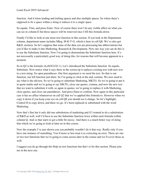function. And it trims leading and trailing spaces and also multiple spaces. So where there's supposed to be a space within a string it reduces it to a single space.

So equals, Trim, and press Enter. Now of course there won't be any visible affect on what you can see in column E but those spaces will be removed once I fill this formula down.

Finally I'd like to look at one more text function in this section. If you look at the Department column, department name includes Mktg, M-K-T-G, which is here in cell Q8. We've also got R&D, etcetera. So let's suppose that some of the data you are processing has abbreviations but you'd like to make it into Marketing, Research & Development. Now one way you can do this is to use the Substitute function. Now I'm going to demonstrate the Substitute function here. It's not necessarily a particularly good way of doing this, for reasons that will become apparent in a moment.

So in Q2 is the formula =Left(N2,O2-1). Let's introduced the Substitute function. So equals, Substitute. Now notice what it says there in the screen tip it replaces existing text with new text in a text string. So open parentheses. Our first argument is we need the text. So that is our function, our left function just there. So I'm going to click at the end, comma. We now need to say what is the old text. So we're going to substitute Marketing, MKTG. So we're going to put it in quote marks and we're going to say MKTG, close our quotes, comma, and now the new text that we want to substitute it with, so again in quotes, we're going to replace it with Marketing, close quotes, and close our parentheses. And press Enter to confirm. Now again in this particular case it has no affect whatsoever on cell Q2 that we've applied this formula to. However when we copy it down if you keep your eye on cell Q8 you should see it change. So let's highlight, Control-D to copy down, and there we go. It's been replaced or substituted with the word Marketing.

Now that's fine but it only did one substitution of marketing and if I wanted to do a substitution of R&D as well, well I'd have to use the Substitute function twice within each formula within column Q. And so that starts to get a little bit messy. And there is a much better way of doing that which we're going to look at later on in this course.

Now the example I've just shown you you probably wouldn't do it that way. Really only if you have one instance of something. You'd more or less treat it as correcting an error. There are one or two text functions that we're going to come across later in the course and we'll cover those as well.

I suggest you do go through the Help on text functions but that's it for this section. Please join me in the next one.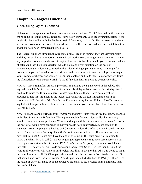# **Chapter 5 – Logical Functions**

## <span id="page-34-0"></span>**Video: Using Logical Functions**

**Deborah:** Hello again and welcome back to our course on Excel 2019 Advanced. In this section we're going to look at Logical functions. Now you've probably used the If function before. You might also be familiar with the Boolean Logical functions, so And, Or, Not, etcetera. And there are one or two newer functions introduced, such as the If S function and also the Switch function and those have been introduced in Excel 2016.

The Logical functions although they're quite a small group in number they are very important and they are particularly important as your Excel workbooks start to get more complex. And the key important points about the use of Logical functions is that they enable you to evaluate values of cells. And they help you ascertain what to do in any given situation on the basis of circumstances that might vary. So rather than always doing a particular thing, you might for instance compare a few values on a worksheet and put a number in another cell, perhaps maybe you'll compare whether one value is bigger than another, and in its most basic form we will use the If function for this purpose. And it's the If function that I'm going to demonstrate first.

Now as a very straightforward example what I'm going to do is put a word in the cell C3 that says whether John's birthday is earlier than Jane's birthday or later than Jane's birthday. So all I need to do is use the If function here. So let's type. Equals, If and I have basically three arguments. The first argument is the logical test itself. And the test I'm going to do in this scenario is, is B3 less than D3. If that's true I'm going to say Earlier. If that's false I'm going to say Later. Close parentheses, click the tick to confirm and you can see that I have that answer of Later in cell C3.

Now if I change Jane's birthday from 1990 to 92 and press Enter you can see that it now changes to Earlier. So that's the If function. That's pretty straightforward. Now whilst that was very simple it does have some problems. What would happen if the birthdays were the same? Now in the past what would have happened is that you would have constructed a more complex If statement. For example, going back to cell C3 here we might first of all say If B3 equals D3 then put the Same or leave C3 empty. Then if it's not true we would put the If statement we have now. But in Excel 2019 we now have the option of using an If S statement. So I'm going to delete out what I have in cell C3 and we're going to type equals, If S, open parentheses. So our first logical condition is Is B3 equal to D3? If that's true we're going to input the word Twins into cell C3. Then we're going to do our second logical test. So If B3 is less than D3 input the word Earlier into cell C3. And our third logical test, if B3 is greater than D3 we're going to input the word Later into cell C3. Close parentheses and click the tick to confirm. So there we are. So that should start with Earlier of course. And if I put Jane's birthday back to 1990 you'll see I get the result of Later. If I make both the birthdays the same, so let's change John's birthday, I get the result of Twins.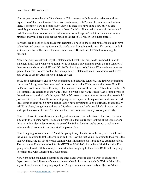Now as you can see there in C3 we have an If S statement with three alternative conditions. Equals, Less Than, and Greater Than. You can have up to 127 pairs of conditions and values there. It probably starts to become a bit unwieldy once you have quite a few but you can certainly put many different conditions in there. But it's still not really quite right because if I hadn't have entered John or Jane's birthday what would happen? So let me delete out John's birthday and you'll see I still get the result of Earlier in C3, which isn't quite correct.

So what I really need to do to make this accurate is I need to check that both of those cells have values before I construct my formula. So that's what I'm going to do next. I'm going to build in a little check that will check if there is a value in cell B3 and in cell D3 before running the function.

Now I'm going to stick with my If S statement but what I'm going to do is embed it in an If statement itself. And what we're going to say is that it's only going to apply the If S function if there are valid dates in both B3 and D3. So I'm looking at both B3 and D3 containing numbers greater than zero. So let's do that. Let's wrap this If S statement in an If condition. And we're also going to use the And function in here as well.

So If, open parentheses, and now we're going to use that And function. And first we're going to check that B3 is greater than zero. And our next check is that D3 is greater than zero. Now if that's true, so if both B3 and D3 are greater than zero then we'll run our If S function. So the If S is essentially the condition of the value if true. So what's our value if false? Let's jump across to the end, comma, and if that's false, so if B3 or D3 doesn't have a number greater than zero in it I just want it to put a blank. So we're just going to put a space within quotation marks on the end. Press Enter to confirm. So now because I don't have anything in John's birthday, so essentially cell B3 is blank, I'm getting nothing in C3, which is correct. Let's pop John's birthday back in and I get the answer of Later. So I can see that that formula is actually working correctly.

Now let's look at one of the other new logical functions. This is the Switch function. It's quite similar to If S in some ways. The main difference is that we're only looking at the value of one thing. And in order to demonstrate the use of the Switch function we're going to look at the values in the Q column in our Imported Employee Data.

Now I'm going to work on cell S2 and I'm going to say that the formula is equals, Switch, and the value I'm going to test is the value in cell Q2. Now the first value I'm going to look for is the value Admin. And if I see the value Admin what I'm going to do is put into S2 Administration. The next value I'm going to look for is MKTG, or M-K-T-G. And where I find that value I'm going to replace it with Marketing. The next value I'm going to look for is R&D and I'm going to replace that with Research & Development.

Now right at the end having identified the three cases where in effect I want to change the department to the full name of the department what do I put as my default. Well if I don't find any of those the value I'm going to put in Q2 is just whatever is currently in Q2. So Admin,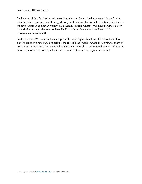Engineering, Sales, Marketing, whatever that might be. So my final argument is just Q2. And click the tick to confirm. And if I copy down you should see that formula in action. So wherever we have Admin in column Q we now have Administration, wherever we have MKTG we now have Marketing, and wherever we have R&D in column Q we now have Research & Development in column S.

So there we are. We've looked at a couple of the basic logical functions, If and And, and I've also looked at two new logical functions, the If S and the Switch. And in the coming sections of the course we're going to be using logical functions quite a bit. And so the first way we're going to use them is in Exercise 01, which is in the next section, so please join me for that.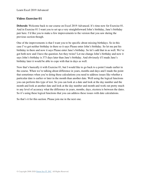#### **Video: Exercise 01**

**Deborah:** Welcome back to our course on Excel 2019 Advanced. It's time now for Exercise 01. And in Exercise 01 I want you to set up a very straightforward John's birthday, Jane's birthday pair here. I'd like you to make a few improvements to the version that you saw during the previous section though.

One of the improvements is that I want you to be specific about missing birthdays. So in this case I've got neither birthday in there so it says Please enter John's birthday. So let me put his birthday in there and now it says Please enter Jane's birthday. So let's add that in as well. We've got both now and I have the question Are they twins? Let me change John's birthday and now it says John's birthday is 373 days later than Jane's birthday. And obviously if I made Jane's birthday later it would be able to cope with that in days as well.

Now that's basically it with Exercise 01, but I would like to go back to a point I made earlier in the course. When we're talking about difference in years, months and days and I made the point that sometimes when you're doing these calculations you need to address issues like whether a particular date is earlier or later in the month than another date. Well using the logical functions you can perform this type of test. So you can look at a date and look at the day number and the month and look at another date and look at the day number and month and work out pretty much to any level of accuracy what the difference in years, months, days, etcetera is between the dates. So it's using these logical functions that you can address these issues with date calculations.

So that's it for this section. Please join me in the next one.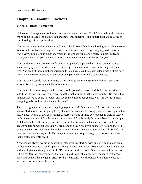# **Chapter 6 – Lookup Functions**

## **Video: HLOOKUP Function**

**Deborah:** Hello again and welcome back to our course on Excel 2019 Advanced. In this section we're going to take a look at Lookup and Reference functions, and in particular we're going to start looking at Lookup functions.

Now as the name implies what we're doing with a Lookup function is looking up a value in some kind of index or list and using the returned or identified value. Now I'm going to demonstrate first a very simple lookup function, which is the Choose function. It really is quite limited in what you can do but you may come across situations where it does the job for you.

Now by the way of a very straightforward example let's suppose that I have some responses to some survey types of questions and the people give a numeric response in the range of one to five. And each of those numbers corresponds to a phrase. And in a particular situation I not only want to show the response as a number but the particular phrase it's equivalent to.

Now the way I can do that in this case is I'm going to put my phrases in column D and I can accomplish that by using the Choose function.

Now I can either start to type =Choose or I could go to the Lookup and Reference functions and select the Choose function from there. And the first argument is the index number. So this is the number that we're going to look at and use as the basis of our choice. Now for D3 the number I'm going to be looking at is the number in C3.

The next argument is the value I'm going to put into D3 if the value in C3 is one. And we must always start at one. So I'm going to say that one corresponds to Strongly Agree. Now I put in the next value. A value of two corresponds to Agree, a value of three corresponds to Neither Agree or Disagree, a value of four Disagree, and a value of five Strongly Disagree. Now I can put up to 2,504 values there. So at the moment I've put in five values which means in this case I can accommodate numerical values in C3 from one to five. Now any time there is nothing there I'm going to get an error message. So in this case #Value. Let me put a number into C3. So let's try two. And now it says Agree. Let's change it to four and we get Disagree. Now as you can see that's pretty straightforward.

Now Choose always works with positive integer values starting with one on a continuous scale. In fact in the response there if I put something like 3.6 what Excel 2019 does is round that down and it will give me the equivalent of if I'd put three in there. And if it comes out below one, so I'd put say 0.8 I'd get an error. At the same time if I put value outside of the range that we've specified, so six I'll also get an error. So that's basically how the Choose function works, but it also presents us with another issue.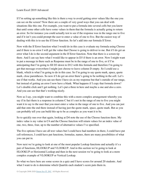If I'm setting up something like this is there a way to avoid getting error values like the one you can see on the screen? Now there are a couple of very good ways that you can deal with situations like this one. For example, you want to put a formula into several cells but you know that until some other cells have some values in them that the formula is actually going to return an error. So for instance you could actually test to see if the response was in the range one to five and if it isn't you could prompt the user to enter a value of one to five. But the easiest way of dealing with this is to use the If Error function. So let's add into our formula If Error.

Now with the If Error function what I would do in this case is evaluate my formula using Choose and if there is no error I will get the value that Choose is going to deliver to me. But if I do get an error what I do is the second argument in the If Error function. Note that there is a screen tip there. And I can say here what I would like to appear in D3 if there is an error. Now I might want to put a message in there such as Response must be in the range of one to five, or if I'm anticipating that I'm going to fill D3 down to D12 with this formula and therefore I'm going to get that message everywhere I might just choose to leave column D empty. So I could use a blank, which is what I'm going to do in this case. So I'm going to say quote mark, space, quote mark, close parentheses. So now if I do get an error there's going to be nothing in the cell. Let's see if that works. And you can see there I have six as my response but that's outside of our range, but instead of getting an error I now have a blank. What happens if I copy that formula down? Let's double click and I get nothing. Let's put a three in here and maybe a one and also a zero. And you can see that that's working nicely.

Now as I say, you might want to combine this with a more complex arrangement whereby you say if in fact there is a response in column C but it's not in the range of one to five you might want it to say to the user that you must enter a value in the range of one to five. And you can just add that onto the end there instead of having just the quote mark, space, quote mark. But as you can probably tell you can build this up to be as complex as you want it to be.

So to quickly run over that again, looking at D4 note the use of the Choose function there. My index value is my value in C4 and the Choose function will return values for an index value of one, two, three, four, up to the number of alternative values I've specified.

The five options I have are all text values but I could have had numbers in there, I could have put cell references, I could have put functions, formulas, names, there are many possibilities of what you can put in.

Now next we're going to look at one of the most popular Lookup functions and actually it's a pair of functions, HLOOKUP and VLOOKUP. And in this section we're going to look at HLOOKUP or Horizontal Lookup and then in the next session we're going to look at a more complex example of VLOOKUP or Vertical Lookup.

So what we have here are some scores in a quiz and I have scores for around 20 students. And what I want to do is determine which Quartile each student's score puts them in.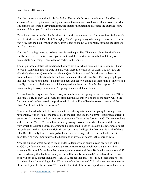#### Learn Excel 2019 Advanced

Now the lowest score in this list is for Parker, Hector who's down here in row 12 and he has a score of 43. We've got some very high scores in there as well. We have a 98 and so on. So what I'm going to do is use a very straightforward statistical function to calculate the quartiles. Now let me explain to you first what quartiles are.

If you have a set of results like this think of it as slicing them up into four even bits. So I actually have 19 students but let's call it 20 roughly. You're going to say what range of scores covers the first five, then the next five, then the next five, and so on. So you're really dividing the class up into four quarters.

Now the first thing I need to do here is evaluate the quartiles. There are values that divide my results into four even sets. Now if you've not used the Quartile function before let me just demonstrate something I mentioned on earlier in the course.

You might need a statistical function but you're not sure which function it is so you might start to type in something like Quartile and ah, look, there is a whole set of them. The first two are effectively the same. Quartile is the original Quartile function and Quartile.inc replaces it because there is a distinction between Quartile.inc and Quartile.exc. Now I'm not going to go into that too much and there is a distinction between the two and it's an important distinction and it really has to do with the use to which the quartile is being put. But for the purpose of demonstrating Lookup functions we're going to stick with Quartile.inc.

And we have two arguments. Which array of numbers are we going to find the quartile of? So in this case it's B2 to B20. And I want the first quartile. So this will be the score below which the first quarter of students would be positioned. So this is if you like the weakest quarter of the class. And I find that that score is 72.5.

Now what I need to be able to do is evaluate the other quartiles and I'm going to arrange them horizontally. And if I select the three cells to the right and use the Control-R keyboard shortcut I get errors. And the reason I get an error is because if I look at the formula in G2 I'm now looking at the scores in C2 to C20, which is definitely wrong. So of course when I specified the array from which the quartile scores are going to be calculated I need to use absolute references, so let me go in and do that. Now I can right fill and of course I will get the first quartile in all of those cells. But all I really have to do is go back and edit those to get the second and subsequent quartiles. And very importantly at the beginning of my set of scores is the score of zero.

Now the function we're going to use in order to decide which quartile each score is in is the HLOOKUP function. And the way that the HLOOKUP function will work is that I will tell it where the list is and for each student's score, so let's start with John Beale who has a score of 82 it will read along that list horizontally and it will basically compare 82 to each of these figures. So it will say is 82 bigger than zero? Yes. Is 82 bigger than that? Yes. Is 82 bigger than 76? Yes. And then oh no I'm not bigger than 87 and therefore the score of 76 in this case denotes the start of the third quartile, the score of 72.5 denotes the start of the second quartile and zero denotes the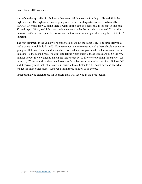start of the first quartile. So obviously that means 87 denotes the fourth quartile and 98 is the highest score. The high score is also going to be in the fourth quartile as well. So basically as HLOOKUP works its way along there it waits until it gets to a score that is too big, in this case 87, and says, "Okay, well John must be in the category that begins with a score of 76." And in this case that's the third quartile. So we're all set to work out our quartiles using the HLOOKUP Function.

The first argument is the value we're going to look up. So the value is B2. The table array that we're going to look in is E2 to I3. Now remember there we need to make these absolute as we're going to fill down. The row index number, this is which row gives us the value we want. So in this case it's the second row. We want it to tell us which quartile these values are in. So the row number is two. If we wanted to match the values exactly, so if we were looking for exactly 72.5 or exactly 76 we would set the range lookup to false, but we want it to be true. And click on OK and it correctly says that John Beale is in quartile three. Let's do a fill down now and see what we get for those other scores. And yep I think those all look to be correct.

I suggest that you check those for yourself and I will see you in the next section.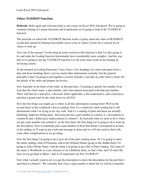## **Video: VLOOKUP Function**

**Deborah:** Hello again and welcome back to our course on Excel 2019 Advanced. We're going to continue looking at Lookup functions and in particular we're going to look at the VLOOKUP function.

The principle on which this VLOOKUP function works is pretty much the same as HLOOKUP, except that instead of looking horizontally across a list of values it looks for a vertical list of values to look up.

Now one of the reasons I'm devoting an entire section to this function is that I'm also going to try and make the Lookup function functionality here considerably more complex. And the way that we're going to use the VLOOKUP function is to do some more work on developing an invoicing system.

At the moment in Lookup Functions 3 here I have a few headings on a sheet and apart from a date and those headings there's not too much other information currently, but the general principle is that I'm going to put together a system whereby I can take an order from a client, list the details of the order and prepare an invoice.

Now basically in the body of the order, in this part here, I'm going to specify the number of an item that the client wants, a part number, and a description associated with that part number. There will then be a unit price, a discount where applicable, a discounted price, and a total price, and then a grand total for the order down in cell H12.

Now the first thing you might say is where is all this information coming from? Well on the second sheet in this workbook I have a catalog. Now it's a relatively small catalog but it will demonstrate what I'm trying to do very well. And it's a catalog of parts and these are actually plumbing, bathroom fitting parts. And each part has a part number in column A, a description in column B, and a dollar price undiscounted in column C. So basically what we need to do is when we put a part number into column C on the first sheet, the first thing we're going to do is look up the description. Now if somebody puts a part number in there that doesn't correspond to an item in the catalog we'll want to put a relevant message in there and we will also need to deal with some other complications as we go along.

Now the first thing I'm going to do is give all of the parts catalog name. So I'm going to select the entire catalog, click of Formulas, and in the Defined Names group in the middle there I'm going to select Define Name. And the name I'm going to give this is Parts Catalog. The scope of the name is Workbook so I can reference it on a different sheet, so that's fine, and I'll click OK. Now let me go back to Sheet 1 and we'll implement our first VLOOKUP.

Now what I actually want to do is to get the description to show the description for the part that's specified in column C. We currently don't have a part number in there but we will do eventually.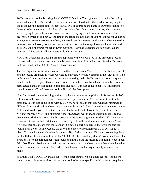So I'm going to do that by using the VLOOKUP function. The arguments start with the lookup value, which will be C7. So when that part number is entered in C7 that's what we're going to use to lookup the description. The table array will of course be the name of our parts catalog. So I need to select the range, so it's Parts Catalog. Now the column index number, which column are we trying to pull information back for? So we're trying to pull back information on the description which is column 2. And finally the range lookup. Here if you're looking for values in a range, say between two part numbers, you would set this to true, but that's not what we need in this case. We're looking for an exact match. So in this case the range lookup value is false and click OK. And of course we get an Error message. Now that's because we don't have a part number in C7 as yet. So all we're getting is a N/A message.

Now I can overcome that using a similar approach to the one we used in the preceding section for cases where we get an error message because there is an If N/A function. So what I'm going to do is embed that VLOOKUP in an If N/A function.

The first argument is the value to assign. So there we have our VLOOKUP as our first argument and the second argument is where we want to put what we want to happen if the value is N/A. So in this case I'm just going to set it to be an empty string again. So I'm going to do just a space in double quotes, close parentheses, Enter. So let's try that out now by selecting a number from the parts catalog and I'm just going to grab this one in A3. I'm just going to copy it. I'm going to paste it into cell C7 and there we go. It pulls back the description.

Now I want to do one more thing to this to make it a little more helpful and informative. So let's fill this formula down to D11 and let me say put a part number in C9 that doesn't exist in the database. So I'm just going to go with 1234. Now notice that in this case what has happened is different from the situation where the part number is just left blank. I actually show the text there Not Found. And if you look at the version of the formula that I have in here, I still have the If N/A and the VLOOKUP and of course if the VLOOKUP works and the part number is found then the description is shown. But if it doesn't in the second argument for the If N/A I've put an If statement. And in that If statement I've said if you trim the part number, in this case C9, and it's blank then that means that the user hasn't entered a part number. So therefore the fact the lookup didn't work is fine because the user didn't specify a part number. So in D9 just put a blank. That's what the double-double quote is. But if when trimming C9 there's something there but I still don't find a description, so the VLOOKUP still essentially doesn't work then I've got a situation where the part number is not found and in that case the message I'm going to put in cell D9 is Not Found. So that draws a distinction between the case where the user has entered a value in the relevant cell in column C and where they haven't. So that's quite a helpful change to make.

So armed with VLOOKUP and a couple of the other things I've explained recently I think we can do quite a bit more work on this invoice. And to be more specific I think you can do quite a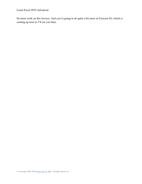Learn Excel 2019 Advanced

bit more work on this invoice. And you're going to do quite a bit more in Exercise 02, which is coming up next so I'll see you then.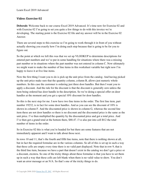## **Video: Exercise 02**

**Deborah:** Welcome back to our course Excel 2019 Advanced. It's time now for Exercise 02 and with Exercise 02 I'm going to set you quite a few things to do with this invoice we're developing. The starting point is the Exercise 02 file and my answer will be in the Exercise 02 Answer.

There are several steps to this exercise so I'm going to work through it in front of you without actually showing you exactly how I'm doing each step because that is going to be for you to figure out.

So the point at which we left this was that we set up VLOOKUP to determine descriptions for entered part numbers and we've put in some handling for situations where there was a missing part number or in situations where the part number was not entered in column C. Now ultimately we might want to make the number of line items in this worksheet variable but right now I'm happy to leave it at five line items.

Now the first thing I want you to do is pick up the unit price from the catalog. And having picked up the unit price make sure that the quantity column, column B, allows just numeric whole numbers. In this case the customer is ordering just three door handles. But then I want you to apply a discount. And the rule for the discount is that the discount is generally zero unless the item being ordered has door handle in the description. So we're doing a special offer on door handles at the moment and you get a special 10% discount for door handles.

So this is the next step for me. I now have two line items in the order. The first line item, part number 19232, is in fact for some door handles. And as you can see the discount of 10% is shown in column F. And the discounted price is shown in column G, whereas the second line item these are not door handles so there is no discount and the discounted price is the same as the unit price. I've then multiplied the quantity by the discounted price and got a total price. And I've then got a grand total at the bottom there, \$88.47. I've also put into cell B12 the total number of items in the order.

So in Exercise 02 this is what you're headed for but there are some features that are not immediately apparent and I want to talk about those next.

In rows 10 and 11, that's the fourth and fifth line items, note that there is nothing shown at all, but in fact the required formulae are in the various columns. So all of this is set up in such a way that these cells are empty every time there is no valid part displayed. Note that in row 9, that is the third line item, because we have a part that doesn't exist in the catalog we don't get a price or a discount, etcetera. So one of the tricky things about these formulae is that you have to set them up in such a way that these cells are left blank when there is no valid value to show. You don't want an error message or an N/A. So that's one of the tricky things to do.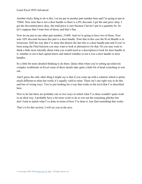Another tricky thing to do is this. Let me put in another part number here and I'm going to put in 75664. Now note that is not a door handle so there is a 0% discount. I get the unit price okay, I get the discounted price okay, the total price is zero because I haven't put in a quantity let. So let's suppose that I want four of those, and that's fine.

Now let me put in one other part number, 51609. And we're going to have two of those. Now note 10% discount because this part is a door handle. Note that in this case the H on Handle is in lowercase. Still the way that I've done this detects the fact this is a door handle part and if you've been using the Find function you may want to look at alternatives for that. Or you may want to think a little more laterally about what you would need as a description to look for door handle in it, whether or not it had capital letters and indeed whether or not it was a door handle or door handles.

So a little bit more detailed thinking to do there. Quite often when you're setting up relatively complex workbooks in Excel some of these details take quite a little bit of head scratching to sort out.

And I guess the only other thing I might say is that if you come up with a solution which is pretty much different to mine but works it's equally valid to mine. There isn't one right way to do this and lots of wrong ways. You're just looking for a way that works to the level that I've described here.

Now to be fair there are probably one or two ways in which what I've done wouldn't quite work in an ideal way. I probably have a bit more work to do to sort out the remaining glitches but don't look to match what I've done in terms of how I've done it. Just find something that works.

That's it for this section. I will see you in the next.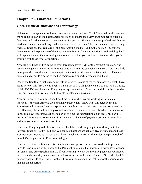## **Chapter 7 – Financial Functions**

## **Video: Financial Functions and Terminology**

**Deborah:** Hello again and welcome back to our course on Excel 2019 Advanced. In this section we're going to start to look at financial functions and there are a very large number of financial functions in Excel and some of them are used for personal finance, some for professional finance used in commerce and industry, and some can be used in either. There are some aspects of using financial functions that can take a little bit of getting used to. And in this section I'm going to demonstrate and explain one of the most commonly used financial functions. And in doing that I will explain some of the terminology and other issues that you need to be aware of when you're working with these types of functions.

Now the first function I'm going to work through today is PMT or the Payment function. And basically we generally use the PMT function to work out the payments on a loan. Now it's a little more powerful than that and there are quite a few options that are associated with the Payment function and again I'm going to use this section as an opportunity to explain these.

One of the first things that takes some getting used to is some of the terminology. So what I have set up here on this first sheet to begin with is a set of five things in cells B2 to B6. We have Rate, NPER, PV, FV, and Type and I'm going to explain what all of those are and then subject to what I'm going to explain we're going to be able to calculate a payment.

Now one other term you might see from time to time when you're working with financial functions is the term Amortization and many people don't know what this actually means. Amortization in a general sense is spreading something out, in this case payments on a loan, or it's effectively the schedule of repayment for a loan. It can also be used elsewhere in finance for things like how you spread out over a period of time the depreciation on an asset, but don't let the term Amortization confuse you. It just means a schedule of payments, or in this case a loan and how you spread those out over time.

Now what I'm going to do first is click in cell C8 here and I'm going to introduce you to the Payment function. So it's PMT and you can see that there are actually five arguments and those arguments correspond to the terms I've listed in cells B2 to B6. And in order to explain each of these let's bring up useful Functions dialog box.

Now the first term is Rate and this is the interest rate period for the loan. And one important thing to bear in mind with Excel and the Payment function is that it doesn't always have to work in years or any other specific unit. So if you're trying to work out monthly payments you need to put in here the monthly interest rate. And look at the example there. You use 6% divided by 4 for quarterly payments at 6% APR. So that's how you can enter an interest rate for the period other than an annual period.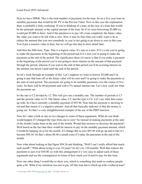Next we have NPER. This is the total number of payments for the loan. So on a five year loan on monthly payments that would be 60. PV is the Prevent Value. Now in this case the explanation there is probably a little confusing. If you're thinking of a loan, in the case of a loan that would be the principle amount or the capital amount of the loan. So if we were borrowing \$5,000 we would put \$5,000 in there. And if the intention is to pay off a loan completely the future value, the value you want to be left with is zero. Now it may be that what you really want to do is reduce the amount that you owe somebody so you're not going to go down to zero in this case. You'd put a nonzero value in here, but we will go into that in more detail later.

And then the fifth item, Type. This is a logical value. It's one or a zero. If it's a one you're going to make the payments at the beginning of the period and if it's zero you're going to make the payments at the end of the period. The significance there of course is that if you make a payment at the beginning of the period you're not going to incur interest on the amount of that payment through the period, whereas if you wait to the end of that period you'll be accruing interest on the amount you haven't paid until the end of the period.

So let's work through an example of this. Let's suppose we want to borrow \$5,000 and I'm going to pay that loan off so the future value will be zero and I'm going to make the payments at the start of each period. The payments are going to be monthly payments over the course of five years. So there will be 60 payments and with a 5% annual interest rate. Let's now work out what the payments are.

So the rate is C2 divided by 12. This will give me a monthly rate. The number of periods is C3 and the present value is C4. The future value, C5, and the type is C6. Let's see what that comes up with. So I have currently a monthly payment of \$93.96. Note that the payment is showing in red and that means it's a negative amount. And all that basically indicates is that the money is going out. So that's a very straightforward example of the use of the PMT function.

Now let's take a look at one or two changes to some of these arguments. What do you think would happen if I changed the type from one to zero? So instead of making payments at the start of the month I make them at the end of the month. Would that increase or decrease the payment? Well based on the fact that there would be interest to pay on the monthly payment amount, which I would be hanging on to for the month, if I change this to zero \$93.96 will go up and in fact it's become \$94.36. So that's about \$0.40 a month extra if I make the payments at the end of the month.

Now what about looking at that figure \$94.36 and thinking, "Well I can't really afford that much each month." What about trying it over 10 years? So let's try 120 months. Well that reduces the payments to just over \$50.00. so with this arrangement it's very easy to adjust each of those arguments and see the consequences in terms of how much you'd need to pay for this loan.

Now one other thing I would like to show you, which is something that tends to confuse people quite a bit. What if my intention was not to pay off this loan but to finish up with a reduced loan?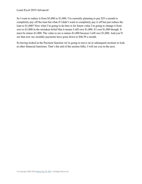So I want to reduce it from \$5,000 to \$1,000. I'm currently planning to pay \$53 a month to completely pay off the loan but what if I didn't want to completely pay it off but just reduce the loan to \$1,000? Now what I'm going to do here is for future value I'm going to change it from zero to \$1,000 in the mistaken belief that it means I still owe \$1,000. It's not \$1,000 though. It must be minus-\$1,000. The value to me is minus-\$1,000 because I still owe \$1,000. And you'll see that now my monthly payments have gone down to \$46.59 a month.

So having looked at the Payment function we're going to move on in subsequent sections to look at other financial functions. That's the end of the section folks. I will see you in the next.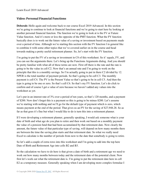### **Video: Personal Financial Functions**

**Deborah:** Hello again and welcome back to our course Excel 2019 Advanced. In this section we're going to continue to look at financial functions and we're going to start here by looking at another personal financial function. The function we're going to look at is the FV or Future Value function. And it's more or less the opposite of the PMT function. What the FV function basically does is to work out the future value of a saving or investment based on payments made over a period of time. Although we're starting this section with the FV function I in general like to combine it with some other topics that we've covered earlier on in the course and head towards making a pretty useful retirement planner. So, let's start with the FV function.

I'm going to put the FV of a saving or investment in C8 of this worksheet. So it' equals, FV, and you can see the arguments there. Let's bring up the Functions Arguments dialog. And you should be pretty familiar with what all of these terms are now. First off there is the rate and the rate is going to be the value in cell C2. Now that's an annual rate and I'm going to work on the principle that this is a monthly savings. So I'm actually going to put in there C2 divided by 12. NPER is the total number of payment periods. So that's going to be cell C3. The monthly payment is cell C4. The PV is the Present Value so that's going to be in cell C5. And then the type is going to be one or zero. So that's cell C6. So that's my FV function. Let's do click to confirm and of course I get a value of zero because we haven't added any values into the worksheet as yet.

Let's put in an interest rate of 3% over a period of ten years, so that's 120 months, and a payment of \$200. Now don't forget this is a payment so this is going to be minus-\$200. Let's assume we're starting with nothing and we'll go for the default type of payment which is zero, which means payment at the end of the period. That gives us an FV for the saving of \$27,948.28. So as far as that goes it's fine but what I would like to do is turn this into a retirement planner.

If I were developing a retirement planner, generally speaking, I would ask someone what is your date of birth and what age do you plan to retire and then work out based on a monthly payment the value of a pension fund that had been accumulated by that retirement date. Now clearly the amount, the future value of that particular type of saving, will depend on how many months there are between the time the saving plan starts and that retirement date. So what we really need Excel to calculate is the number of periods from now to the date that somebody is going to retire.

So let's add a couple of extra rows into this worksheet and I'm going to add into the top here Date of Birth and Retirement Age into cells B2 and B3.

So the calculation we have to do here is that given a date of birth and a retirement age we need to work out how many months between today and the retirement date of the potential client. Now first let's work out what the retirement date is. I'm going to put the retirement date here in cell E2 as a temporary measure. Generally speaking when I am developing more complex formulae I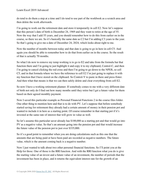do tend to do them a step at a time and I do tend to use part of the workbook as a scratch area and then delete the work afterwards.

I'm going to work out the retirement date and store it temporarily in cell E2. Now let's suppose that this person's date of birth is December 24, 1969 and they want to retire at the age of 55. Now the way that I add 55 years, and you should remember how to do this from earlier on in the course, so there we are. So it's basically the same date as C2 but I'm adding C3 years to the year. So that's going to give me a date of December 24, 2024, which looks about right to me.

Now the number of months between today and that date is going to go in here in cell C5. And again you should be able to remember how to do that from earlier on in the course. So the result of that is actually 70 months.

So what I do now to remove my temp working is to go to E2 and take from the formula bar that function there and I'm going to just highlight it and copy it to my clipboard, Control-C, and then I'm going to cancel clicking the red cross and then I'm going to go down to the NPER, so cell C5, and in that formula where we have the reference to cell E2 I'm just going to replace it with my function that I have stored on the clipboard. So Control-V to paste in there and press Enter. And then what that means is that we can then safely delete and clear everything from cell E2.

So now I have a working retirement planner. If somebody comes to me with a very different date of birth not only do I find out how many months until they retire but I get a future value for them based on their agreed monthly payment.

Now I saved this particular example as Personal Financial Functions 2 in the course files folder. One other thing to mention here and that is to do with PV. Let's suppose that before somebody started saving for retirement they already had a certain amount of money in their pension pot and wanted to include it in here as a starting point. Of course remember in that starting pot if it's invested at the same rate of interest that will grow in value as well.

So let's assume this particular saver already has \$100,000 as a starting pot and that would go into PV as a negative value. So that's an amount going into the pension pot and that would increase the future value of the pension pot to just over \$335,000.

So it's a good point to remember when you are doing calculations such as this one that the amounts that are being paid or have been paid are recorded as negative numbers. The future value, which is the amount coming back is a negative number.

Now I just wanted to talk about two other personal financial functions. So I'll point you at the Help for those. One of those is the RRI function. And with the RRI function what you do is give the starting value of an invest and a future value of an investment, the number of periods that the investment has been in place, and it returns the equivalent interest rate for the growth of an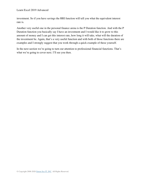investment. So if you have savings the RRI function will tell you what the equivalent interest rate is.

Another very useful one in the personal finance arena is the P Duration function. And with the P Duration function you basically say I have an investment and I would like it to grow to this amount of money and I can get this interest rate, how long it will take, what will the duration of the investment be. Again, that's a very useful function and with both of those functions there are examples and I strongly suggest that you work through a quick example of these yourself.

In the next section we're going to turn our attention to professional financial functions. That's what we're going to cover next. I'll see you then.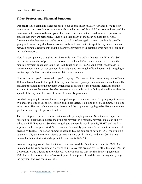#### **Video: Professional Financial Functions**

**Deborah:** Hello again and welcome back to our course on Excel 2019 Advanced. We're now going to turn our attention to some more advanced aspects of financial functions and many of the functions that come into the category of advanced are ones that are used more in a professional context then they are personally. Having said that, many of them can be used for personal finance and the first case that we're going to look at relates again to loans, but in this case I'm going to do something that business often needs to do and that is to split the payments on a loan between principle repayments and the interest repayments to understand what part of a loan falls into each category.

Now I've set up a very straightforward example here. The table of values is in B2 to C6. So I have a rate, a number of periods, the amount of the loan, FV or Future Value is zero, and the monthly payment calculated using the PMT function is \$1,109.53. And what I want to do is determine how much of that payment is principle and how much of it is interest and I'm going to use two specific Excel functions to calculate those amounts.

Now as I'm sure you're aware when you're paying off a loan and this loan is being paid off over 180 months each month the split of the payment between principle and interest varies. Generally speaking the amount of the payment which goes to paying off the principle increases and the amount of interest decreases. So what we need to do now is put in a facility that will calculate the spread of the payment for each of these 180 monthly payments.

So what I'm going to do in column E is to put in a period number. So we're going to put one and two and I'm going to use the Fill option and select Series. It's going to be by columns. It's going to be linear. The step value is going to be one and the stop value is going to be 180 and there we go. I now have my 180 periods listed out.

The next step is to put in a column that shows the principle payment. Now there is a specific function in Excel that calculates the principle payment in a monthly payment on a loan and it's called the PPMT function. So what I'm going to do here is type in equals, PPMT, and the first argument is the rate per period. So remember it's monthly payments. So we want the annual rate divided by twelve. The period number is actually E2, the number of periods is C3, the principle value is in C4, and the future value is currently at zero but it's in C5, and click OK. So that means that in the first period the principle payment is \$609.53.

So next I'm going to calculate the interest payment. And the function I use here is IPMT. And this one has the same argument. So we're going to say rate divided by 12, PR is E2, and NPER is C3, present value C4, and future value C5. And you can see that my first interest payment is \$500 for the first month. And of course if you add the principle and the interest together you get the payment that you can in cell C8.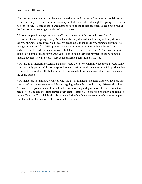Now the next step I did is a deliberate error earlier on and we really don't need to do deliberate errors for this type of thing now because as you'll already realize although I'm going to fill down all of these values some of those arguments need to be made into absolute. So let's just bring up the function arguments again and check which ones.

C2, for example, is always going to be C2, but as the use of this formula goes from F2 downwards C2 isn't going to vary. Now the only thing that will tend to vary as I drag down is the row number. So technically all I really need to do is to make the row numbers absolute. So let's go through and for NPER, present value, and future value. We're fine to leave E2 as it is and click OK. Let's do the same for our IPMT function that we have in G2. And now I'm just going to fill both of those down. And you'll notice in the very last payment at the bottom the interest payment is only \$3.69, whereas the principle payment is \$1,105.85.

Now just as an interesting exercise having selected those two columns what about an AutoSum? Now hopefully you won't be too surprised to learn that the total amount of principle paid, the last figure in F182, is \$150,000, but you can also see exactly how much interest has been paid over the entire period.

Now make sure to familiarize yourself with the list of financial functions. Many of them are very specialized but there are some which you're going to be able to use in many different situations. And one of the popular uses of these function is in looking at depreciation of assets. So in the next section I'm going to demonstrate a very simple depreciation function and then I'm going to set you Exercise 03, which is also about depreciation but things do get a little bit more complex. But that's it for this section. I'll see you in the next one.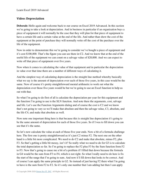## **Video: Depreciation**

**Deborah:** Hello again and welcome back to our course on Excel 2019 Advanced. In this section we're going to take a look at depreciation. And in business in particular if an organization buys a piece of equipment it will normally be the case that they will plan for that piece of equipment to have a certain life and a certain value at the end of the life. And rather than show the cost of the equipment at the point of purchase they will normally write off the cost of the purchase over the life of the equipment.

Now in order to demonstrate this we're going to consider we've bought a piece of equipment and it's cost \$100,000. That's the figure you can see there in C2. And we know that at the end of the useful life of the equipment we can count on a salvage value of \$20,000. And we can expect to write off that piece of equipment over five years.

Now when it comes to calculating the value of that equipment and in particular the depreciation in value over that time there are a number of different ways of calculating it.

And the simplest way of calculating depreciation is the straight line method whereby basically what we say is the amount of depreciation over each of those five years, in this case would be the same. Now of course it's pretty straightforward mental arithmetic to work out what the depreciation over those five years would be but we're going to use an Excel function to help us out with that.

So what I'm going to do first of all is calculate the depreciation per year for this equipment and the function I'm going to use is the SLN function. And note there the arguments, cost, salvage and life. Let's use the Function Arguments dialog and of course the cost is C2 and we know that's not going to vary so we'll make that absolute and then the salvage value, C3, absolute, and the life C4, and make that absolute as well.

Now note one important thing here is that because this is straight line depreciation it's going to be the same amount of depreciation for each of those five years. So if I was to fill down you can see that it's the same.

So let's now calculate the value at each of those five year ends. Now a bit of a formula challenge here. The first one is pretty straightforward as it's just C2 minus F2. The next one on the other hand is a little bit more complicated. We need to do C2 and make that absolute, minus F2, plus F3. So that's getting a little bit messy, isn't it? So really what we need to do for G3 is to calculate the total depreciation so far. So I'm going to replace the F2 plus F3 by the Sum function from F2 to F3. Now that's going to cause me a bit of a problem if I filled that down because the formula in G4 would be the sum from F3 to F4, which is not right. So what I really need to do here is fix the start of the range that I'm going to sum. And now if I fill down that looks to be correct. And of course I can apply the same principle in G2. So instead of just having F2 there what I'm going to have is the sum from F2 to F2. So it's only one number that I am adding but then I can apply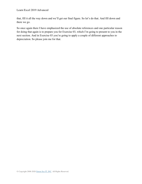that, fill it all the way down and we'll get our final figure. So let's do that. And fill down and there we go.

So once again there I have emphasized the use of absolute references and one particular reason for doing that again is to prepare you for Exercise 03, which I'm going to present to you in the next section. And in Exercise 03 you're going to apply a couple of different approaches to depreciation. So please join me for that.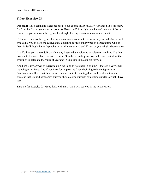### **Video: Exercise 03**

**Deborah:** Hello again and welcome back to our course on Excel 2019 Advanced. It's time now for Exercise 03 and your starting point for Exercise 03 is a slightly enhanced version of the last course file you saw with the figures for straight line depreciation in columns F and G.

Column F contains the figures for depreciation and column G the value at year end. And what I would like you to do is the equivalent calculation for two other types of depreciation. One of them is declining balance depreciation. And in columns J and K sum of years digits depreciation.

And I'd like you to avoid, if possible, any intermediate columns or values or anything like that. So as with the work that I did with column G in the preceding section make sure that all of the workings to calculate the value at year end in this case is in a single formula.

And here is my answer to Exercise 03. One thing to note here in column I, there is a very small rounding error there. And if you look for help on the fixed declining balance depreciation function you will see that there is a certain amount of rounding done in the calculation which explains that slight discrepancy, but you should come out with something similar to what I have here.

That's it for Exercise 03. Good luck with that. And I will see you in the next section.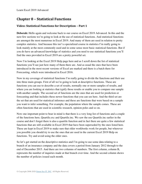## **Chapter 8 – Statistical Functions**

## **Video: Statistical Functions for Description – Part 1**

**Deborah:** Hello again and welcome back to our course on Excel 2019 Advanced. In this and the next few sections we're going to look at the use of statistical functions. And statistical functions are amongst the most numerous in Excel 2019. And many of them are used in relation to pretty complex statistics. And because this isn't a specialized course in statistics I'm really going to look mainly at the most commonly used and in some sense most basic statistical functions. But if you do have an advanced knowledge of statistics and you need to use statistical functions you'll find the ones provided in Excel 2019 are a pretty powerful set.

Now I'm looking at the Excel 2019 Help page here and as I scroll down the list of statistical functions you'll see just how many of them there are. And as usual the ones that have been introduced in the most recent versions of Excel are marked and there is a batch there for Forecasting, which were introduced in Excel 2016.

Now in my coverage of statistical functions I'm really going to divide the functions and their use into three main groups. First of all we're going to look at descriptive functions. These are functions you can use to describe a set of results, normally one or more samples of results, and where you are looking at statistics that typify those results or enable you to compare one sample with another sample. The second set of functions are the ones that are used for prediction or forecasting and that includes these newer functions that you can see here. And the third set are the set that are used for statistical inference and these are functions that were based on a sample you want to infer something. For example, the population where the sample comes. These are often functions that are used in scientific research, opinion poles and so on.

Now one important point to bear in mind is that there is a very long list of functions and a couple of the functions here, Quartile.exc and Quartile.inc. We saw the use Quartile.inc earlier in the course and don't forget there is also a quartile function and in fact there are quite a few statistical functions that are still available in Excel 2019 that have been superseded by the ones listed here. These are kept in Excel 2019 to make sure that older workbooks work for people, but wherever you possible you should try to use the ones that are used in the current Excel 2019 Help on functions. Try and avoid using the older ones.

So let's get started on the descriptive statistics and I'm going to use some data relating to a branch of an insurance company and the data covers a period from January 2012 through to the end of December 2015. And there are two columns of numbers. The first column, column B, represents the number of inquiries made at that branch over time. And the second column shows the number of policies issued each month.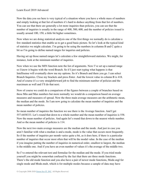Now the data you see here is very typical of a situation where you have a whole mass of numbers and simply looking at that list of numbers it's hard to deduce anything from that list of numbers. You can see that there are generally a lot more inquiries than policies, you can see that the number of inquiries is usually in the range of 400, 500, 600, and the number of policies issued is usually around 100, 150, a little bit higher sometimes.

Now when we are doing statistical analysis one of the first things we normally do is calculate a few standard statistics that enable us to get a good basic picture. So let's look at the typical kind of statistics we might calculate. I'm going to be using the numbers in columns B and C quite a bit so I'm going to define named ranges for inquiries and policies.

Having set up those named ranges let's calculate a few straightforward statistics. We might, for instance, look at the minimum number of inquiries.

Now when we use the MIN function note the list of arguments. Now I've set up a named range so I know it begins with the word Branch. So if I just start typing what happens is that Intellisense will eventually show me my options. So it's Branch and there you go. I can select Branch Inquiries. Close my brackets and press Enter. And the lowest value in column B is 418. And of course it's a very straightforward job to find the minimum number of policies and the maximum as well and I'll do that next.

Now of course we could do a comparison of the figures between a couple of branches based on these Min and Max numbers but more normally we would do a comparison based on average measures and measures of spread. Now the three main average measures are the arithmetic mean, the median and the mode. So I am now going to calculate the mean number of inquiries and the mean number of policies.

So mean number of inquiries the function we use there is the Average function. And I get 557.6458333. Let's round that down to a whole number and the mean number of inquiries is 558. Now the mean number of policies. And again let's round that down to the nearest whole number. And so the mean number of policies is 114.

Now the next two main average measures are the median and the mode. And just in case you aren't familiar with what a median is and a mode, mode is the value that occurs most frequently. So if the number of inquiries per month varies quite a bit, as it does here, if there is a particular number of inquiries that occur most often that will be the modal value. In the case of the median if you imagine putting the number of inquiries in numerical order, smallest to largest, the median is the middle one. And if you have an even number of values it's the average of the middle two.

So I've entered the relevant text and formulae for the median and the mode. If you tried mode yourself you might be somewhat confused by the fact that there are three mode functions. There's the old mode function and you also have a pair of newer mode functions, Mode.sngl for single mode and Mode.mult, which is for multiple modes because a sample of data may have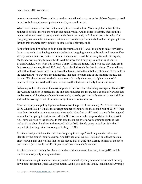more than one mode. There can be more than one value that occurs at the highest frequency. And in fact for both inquiries and policies here they are multimodal.

What I used here is a function that you might have used before, Mode.sngl, but in fact for the number of policies there is more than one modal value. And in order to identify these multiple modal values you need to set up the formula that is currently in F17 as an array formula. Now I'm going to assume for a moment that you have used array formulas before but I'm going to run through this example fairly quickly in case you're a bit rusty on it.

So the first thing I'm going to do is clear the formula in F17. And I'm going to select say half a dozen or so cells. And having made that selection I'm going to enter a formula and because I've already made a selection that covers more than one cell it will be an array formula. So equals, Mode, and we're going to select Mult. And the array that I'm going to look in is of course Branch Policies. Now what I do is press Control-Shift and Enter. And I will see that there are in fact two modal values, 99 and 132. And if you check through the data in column C you will see that both of those occur three times. Note that having made the initial selection and of the cells in the selection F17 to F24 that are not needed, that don't contain one of the multiple modes, they have an N/A there instead. And of course we could apply the same principle to the modal number of inquiries. And in this case we can see that there are actually four modal values.

So having looked at some of the most important functions for calculating averages in Excel 2019 the Average function in particular, the one that calculates the mean, has a couple of variants that can be very useful and one of them is AverageIf, whereby you can apply one or more conditions and find the average of set of numbers subject to a set of conditions.

Now the inquiry and policy figures we have cover the period from January 2012 to December 2015. What if I said, "What's the average number of inquiries in the second half of 2015?" Well what I can do in this case is say equals, AverageIf. Now first of all I need to specify the range of values that I'm going to test for a condition. So this case it's the range of dates. So that's A4 to A51. Now we specify the criteria. In this case the single criteria we're going to apply is that we're talking about inquiries in the second half of 2015. So it's going to be from July the 1<sup>st</sup> onward. So that is greater than or equal to July 1, 2015.

And then finally which are the values we're going to average? Well they are the values we identify by the branch inquiries name. And let's see what we get. Let's just take those decimal places down again and we find that for the second half of 2015 the average number of inquiries per month is just over 461 or 461 if you round down to a whole number.

And it's also worth noting that there is another arithmetic mean function, AverageIfS, which enables you to specify multiple criteria.

Just one other thing to mention here, if you take this list of policy sales and select it all the way down don't forget the Quick Analysis button. And if you click on Totals, totals include Average,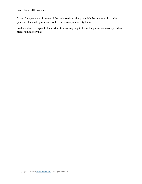Count, Sum, etcetera. So some of the basic statistics that you might be interested in can be quickly calculated by referring to the Quick Analysis facility there.

So that's it on averages. In the next section we're going to be looking at measures of spread so please join me for that.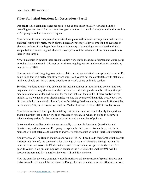### **Video: Statistical Functions for Description – Part 2**

**Deborah:** Hello again and welcome back to our course on Excel 2019 Advanced. In the preceding section we looked at some averages in relation to statistical samples and in this section we're going to look at measures of spread.

Now in order to do an analysis of a statistical sample or indeed to do a comparison with another statistical sample it's pretty much always necessary not only to have some kind of averages to give you an idea of how big or how long or how many of something are associated with that sample but also to have a good idea as to how spread out the values are, how much variation is there in this sample.

Now in statistics in general there are quite a few very useful measures of spread and we're going to look at the main ones in this section. And we are going to look at alternatives for calculating them in Excel 2019.

Now as part of that I'm going to need to explain one or two statistical concepts and terms but I'm going to do that in a pretty straightforward way. So if you're not too comfortable with statistics I think you should still have a pretty good idea of what's going on in this section.

So what I've done already is to calculate the median number of inquiries and policies and you may recall that the way that we calculate the median is that we put the number of inquiries per month in numerical order and we look for the one that is in the middle. If there are two in the middle, so we've got an even sized sample, we take the average of the middle two. Now if you did that with the contents of column B, so we're talking B4 downwards, you would find out that the median is 574, but of course we used the Median function in Excel 2019 to do that for us.

Now I also mentioned that apart from taking that middle value we could identify the quartiles and the quartiles lead us to a very good measure of spread. So what I'm going to do now is calculate the quartiles for the number of inquiries and the number of policies.

I also mentioned earlier on that there are actually two quartile functions, Quartile.inc and Quartile.exc, and in a moment I'm going to explain the difference between them, but for the moment let's just calculate the quartiles and we're going to start with the Quartile.inc function.

And my array will be Branch Inquiries and we get 418. All I need to do then for the first quartile is repeat that. Identify the same name for the range of inquiry values and change the quartile number to one and so on. So I'll do that next and let's see where we get to. So there are five quartile values. If we put our inquiries in sequence the first  $25\%$ , the smallest  $25\%$  will be between the zero and first quartiles, between 418 and 493, etcetera.

Now the quartiles are very commonly used in statistics and the measure of spreads that we can derive from there is called the Interquartile Range. And we calculate it as the difference between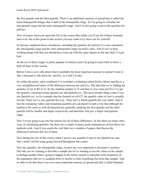the first quartile and the third quartile. There is an additional measure of spread that is called the Semi-Interquartile Range, that is half of the interquartile range. So I'm going to calculate the interquartile range and the semi-interquartile range. And I'm also going to put in the quartiles for policies.

Now of course when you open this file in the course files folder you'll see all of these formulae and so on, but at this point in this section you may want to try these out for yourself.

So having completed those calculations, including the quartiles for policies I've also calculated the interquartile range and the semi-interquartile range for policy sales. And if you've been working along with this you should have come up with the same figures as the ones that I've got here.

So the use of these ranges is pretty popular in statistics and I'm going to come back to those a little bit later in this section.

Before I move on to talk about what is probably the most important measure in spread I want to take a moment to talk about Inc and Exc, as I said I would.

So within the policy sales workbook I've included a worksheet called IncExc Demo and this is a very straightforward demo of the difference between Inc and Exc. The data that we're finding the quartiles of are in B2 to I2. So the smallest number is 23 and then in rows four and five I've got the quartiles calculated using Quartile.inc and Quartile.exc. The most notable thing is that if you use Quartile.exc, so for example that the formula in cell C5, the quartile value of zero is actually invalid. There isn't a zero quartile this way. There isn't a fourth quartile this way either. And in fact the remaining values and remaining quartiles are calculated in such a way that although the median is the same as with the Quartile.inc generally speaking the first quartile and the third quartile will be smaller and larger respectively and therefore will give a larger interquartile range.

Now I'm not going to go into the reasons for all of these differences. In fact there are many other ways of calculating quartiles, but there are a couple of pretty good explanations of how these two methods work. And if you search the web there are a number of papers that discuss the differences between the two of these.

Now during the rest of this course when I need to use quartiles I tend to use Quartile.inc and that's what I will be using going forward throughout this course.

Now the quartiles, the interquartile range, etcetera are very important in descriptive statistics. Not only are we wanting to describe a sample but we're wanting to use the values in the sample to perhaps predict what's going to happen in the future, maybe to calculate some properties of the population that we've sampled from or maybe to infer something else from that sample. And in order to do that there is an even more important measure of spread and that's called Standard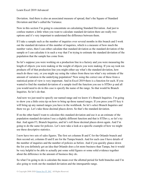Deviation. And there is also an associated measure of spread, that's the Square of Standard Deviation and that's called the Variance.

Now in this section I'm going to concentrate on calculating Standard Deviation. And just to confuse matters a little when you want to calculate standard deviation there are really two options and it's very important to understand the difference between them.

If I take a sample such as the number of inquiries over several months in this branch and I work out the standard deviation of this number of inquiries, which is a measure of how much the number varies, then I can either calculate that standard deviation as the standard deviation of the sample or I can calculate it in such a way that I'm trying to estimate the standard deviation of the population that the sample has come from.

So let's suppose you were working on a production line in a factory and you were measuring the length of objects you were making or the weight of objects you were making. If you say took ten products off of that production line you might either say what's the standard deviation, how much do these vary, or you might say using the values from these ten what's my estimate of the amount of variation in the underlying population? Now using the correct one of these from a statistical point of view is very important. And in Excel 2019 there is a function for each. If you wanted to find the standard deviation of a sample itself the function you use is STDev.p and all you would need to do in this case is specify the name of the range. So that would be Branch Inquiries. So let's do that.

And now we just need to specify our named range and we know it's Branch Inquiries. I'm going to show you a little extra tip on how to bring up those named ranges. If you press your F3 key it will bring up any named ranges you have in the workbook. So let's select Branch Inquiries and there we go. Let's take those decimal places down. So that's the standard deviation.

If on the other hand I want to calculate this standard deviation and use it as an estimate of the population standard deviation I use a slightly different function and that is STDev.s, so let's try that. And again F3, Branch Inquiries, and let's roll those decimal places down again. And I'm going to do the same for policies. Let's now take a look at a specific example of how we might use these descriptive statistics.

I now have two sets of sales figures. The first set columns B and C for the Orlando branch and then second set, columns D and E are for the Tampa branch. And for each case I have details of the number of inquiries and the number of policies as before. And if you quickly glance down the list you definitely get an idea that Orlando does a lot more business than Tampa, but it would be very helpful to be able to actually put some solid figures or some solid evidence together about the difference in the amount of business they do.

So what I'm going to do is calculate the mean over the allotted period for both branches and I'm also going to work out the standard deviation and the interquartile range.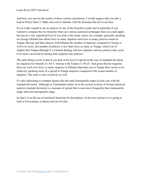And here you can see the results of these various calculations. I would suggest that you take a look at Policy Sales 5. Make sure you're familiar with the formulae that are in use here.

If you really wanted to do an analysis of one of the branches results and in particular if you wanted to compare the two branches there are various statistical techniques that you could apply, but just at a very superficial level if you look at the mean values, for example, generally speaking on average Orlando has about twice as many inquiries and twice as many policies issued as Tampa. Having said that whereas with Orlando the number of inquiries compared to Tampa is well over twice, the number of policies is less than twice as many as Tampa, which sort of implies that Tampa although it's a branch dealing with less inquiries and less policies they seem to be more successful at turning their inquiries into policies.

The other thing to note is that if you look at the level of spread in the case of standard deviation for inquiries for Orlando it's 64.5, whereas with Tampa it's 49.25. And given that for inquiries there are well over twice as many inquiries in Orlando than there are in Tampa there seems to be relatively speaking more of a spread in Tampa inquiries compared to the actual number of inquiries. The same is true of policies as well.

It's also interesting to compare figures like the semi-interquartile range in each case with the standard deviation. Although as I mentioned earlier on in the section in terms of formal statistical analysis standard deviation is a measure of spread that is used more frequently than interquartile range and semi-interquartile range.

So that's it on the use of statistical functions for description. In the next section we're going to look at Forecasting, so please join me for that.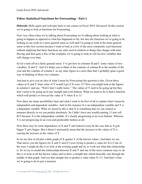## **Video: Statistical Functions for Forecasting – Part 1**

**Deborah:** Hello again and welcome back to our course on Excel 2019 Advanced. In this section we're going to look at functions for Forecasting.

Now very often when we're talking about Forecasting we're talking about looking at what is going to happen as opposed to what has happened so far, but also the functions we're going to be looking at can work in a more general sense as well and I'm going to look at the more general sense in this first section because I want to look at a few of the most commonly used functions without implying that these functions are only used in relation to things that change with time. Having said that quite a few of the examples we're going to look at will involve variables that will change over time.

So let's start off in a fairly general sense. I've got here in columns B and C some values of two variables, X and Y. And if it helps you to think of the contents of column B as the months of the year and the contents of column C as say sales figure in a store then that's probably quite a good way of thinking of those two columns.

And just to give you an idea of what I mean by Forecasting the question is this. Given those values in X and Y what value of Y would I get if X were 13? Now you might look at the figures in column C and say, "Well I don't really know." The values of Y tend to be going up but they don't seem to be going up in any straight and even fashion. What we need to do is find a function which will predict or forecast the value of Y when X is 13.

Now there are many possibilities here and what I want to do first of all is explain what I mean by independent and dependent variables. And in this instance X is an independent variable and Y is a dependent variable. What we mean by this is that X is something that we can control or measure directly or we can predict absolutely. So I didn't have any trouble putting 13 into cell B15 because X is the independent variable. It's clearly progressing in an even fashion. Whereas Y is not progressing in an even and predictable fashion at all.

Now there may be some dependence of X and Y and indeed it may be the case that as X gets bigger Y gets bigger. But it doesn't necessarily mean that the increase in the values of X is causing the increase in the values of Y.

So let me first of all plot a little graph of X against Y of the known values. And there we are. That shows you the figures for X and Y and if I were trying to predict a value for  $X=13$  one of the ways I might do this is to look at the existing graph and try to work out what that relationship is. So we try to model the relationship between X and Y and one of the most common ways to do this is to look at all the known values and to draw a straight line which basically cuts through the middle of that graph. And use that straight line to predict a value when  $X=13$ . And that's what we're going to do in just a moment.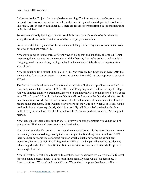Before we do that I'd just like to emphasize something. The forecasting that we're doing here, the prediction is of one dependent variable, in this case Y, against one independent variable, in this case X. But in fact within Excel 2019 there are facilities for performing this regression using multiple variables.

So we are really only looking at the most straightforward case, although to be fair the most straightforward case is the case that is used by most people most often.

So let me just delete my chart for the moment and let's go back to my numeric values and work out what to put here when X=13.

Now we're going to look at three different ways of doing this and hopefully all of the different ways are going to give us the same results. And the first way that we're going to look at this is I'm going to take you back to your high school mathematics and talk about the equation for a straight line.

Now the equation for a straight line is  $Y=MX+C$ . And there are two functions in Excel 2019 that can calculate from a set of values, XY pairs, the values of M and C that best represent that set of XY pairs.

The first of those functions is the Slope function and this will give us a predicted value for M. so I'm going to calculate the value of M in cell E4 and I'm going to use the function equals, Slope. And you'll notice it has two arguments, known Y's and known X's. For the known Y's it's going to be C3 to C14 and I'll put in the known X's as well. And let's use the Functions dialog box. So there is my value for M. And to find the value of C I use the Intersect function and that function has the same arguments. So if I wanted now to work out the value of Y when X is 13 all I would need to do is put in here equals, M, which is essentially cell E4 and let's make that absolute, multiplied by X, which is B15, plus C which is cell E5. So my predicted value is 127 using that method.

Now let me just predict a little further on. Let's say we're going to predict five values. So I'm going to just fill down and there are my predicted values.

Now when I said that I'm going to show you three ways of doing this the second way is different but actually amounts to doing exactly the same thing as the first thing because in Excel 2019 there has been for some time a forecast function which actually performs the same linear regression, the same straight line fitting to the available X and Y pairs that we've just done by calculating M and C for the best fit line. But this function forecast bundles the whole operation into a single function.

Now in Excel 2019 that single function forecast has been superseded by a more specific forecast function called Forecast.linear. But Forecast.linear basically does what I just described. It forecasts values of X based on known X's and Y's on the assumption that there is a linear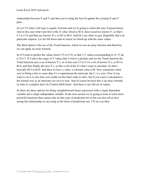relationship between X and Y and that you're using the best fit against the existing X and Y pairs.

So in C15 what I will type is equals, Forecast and we're going to select this one, Forecast.linear. And in this case what I put first is the X value which is B15, then I need my known Y, so that's C3 to C14 and then my known X's, so B3 to B14. And let's see what we get. Hopefully that's no particular surprise. Let me fill down and of course we finish up with the same values.

The third option is the use of the Trend function, which we use an array function and therefore we can apply an array formula.

So if I want to predict the values from C15 to C19, so that's Y values corresponding to  $X=13$  up to X=17. If I select the range of Y values that I wish to calculate and use the Trend function the Trend function uses a set of known Y's, so in this case C3 to C14, a set of known X's, so B3 to B14, and then finally the new X's, so this is all of the X's that I want to calculate. So that's basically B15 to B19. And then we have a value, a constant value of B. Now sometimes when you're fitting a line to some data it's a requirement the intercept, the C, is a zero. Now if you want to set it to zero then you would set this final value to false, but if you want it calculated in the normal way as an intercept you set it to true. And of course because this is an array formula in order to complete that I do Control-Shift-Enter. And there is my full set of values.

So there are three options for doing straightforward linear regression with a single dependent variable and a single independent variable. In the next section we're going to look at some more powerful functions that cannot only do this type of prediction for us but can also tell us how strong the relationship we are using as the basis of predictions are. I'll see you then.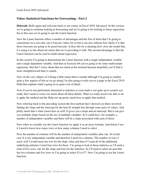## **Video: Statistical Functions for Forecasting – Part 2**

**Deborah:** Hello again and welcome back to our course on Excel 2019 Advanced. In this section we're going to continue looking at forecasting and we're going to be looking at linear regression, but in this case we're going to use the Linest function.

Now the Linest function offers a number of advantages and the first of them that I'm going to concentrate on is not only can it forecast values for us but it can also indicate how likely it is that those forecasts are going to be good forecasts. It does this by evaluating how close the model that it's using is to the observed values that we're providing it with. The second advantage is that the Linest function can be used in multivariant regression.

In this section I'm going to demonstrate the Linest function with a single independent variable and a single dependent variable. And then in Exercise 04 you're going to do some multivariant regression. But don't worry about that too much at the moment because hopefully you'll find it more straightforward than it sounds.

Now on the very subject of it being a little easier than it sounds although I'm going to explain quite a few aspects of this as we go along I'm also going to refer you to a page in the Excel 2019 Help that explains what's going on in quite a lot of detail.

Now if you're not particularly interested in statistics or your math is not quite up to scratch you really don't need to worry too much about all these details. What we really need to be able to do is apply the method and the Help sets up pretty much how to apply that method.

Now referring back to the preceding section the first method that I showed you there involved finding the slope and the intercept for the best fit straight line through some pairs of values. And pretty much that's what Linest does as well. It gives you a slope and an intercept. But it can give you multiple slopes based on the use of multiple variables. So I could have, for example, a number of independent variables and there will be a slope associated with each of those.

Now when we actually use the Linest function we apply it as an array formula. And before I use it I need to know how many rows or how many columns I need to select.

Now the number of columns will be the number of independent variables plus one. So in this case X is my independent variable and therefore I need two columns. The number of rows I need, well I would need one row for the slope value and then if I want all of the additional underlying statistics I need four rows for those. I'm going to look at those statistics so I'll need a total of five rows, one for the slope and four for the statistics. So I'll need to select an area that has two columns and five rows so I'm going to select E3 to F7. Now I'm going to use the Linest function.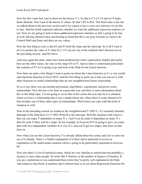Now the first value that I put in there are the known Y's. So that is C3 to C14 and we'll make those absolute. Next I put in the known X values. So that's B3 to B14. The third value is the one we talked about in the previous section and if we expect to have a non-zero intersect we set this to true. And the fourth argument indicates whether we want the additional regression statistics or not. Now we are going to look at those additional regression statistics so that's going to be true as well. Having entered Linest and bearing in mind that this is an array formula we need to do Control-Shift and Enter and there are my values.

Now the first thing to note is that E3 and F3 hold the slope and the intercept. So if all I want to do is to predict the value of Y when X is 13 I can use one of the methods that I showed you in the preceding section. And fill down.

And once again the same values have been predicted but what's particularly helpful and useful here are the other values, the ones in the range E4 to F7. And in order to understand particularly the contents of E5 we're going to go and look at the Help for the Linest function.

Now there are quite a few things I want to point out about the Linest function as it's a very useful and important function in Excel 2019. And the first thing to point out is that you can use it with other functions to model relationships that are not straightforward linear relationship.

So as it says there you can include polynomial, algorithmic, exponential, and power series relationships. Now this has to be done in a particular way and there is more information about this in this Help topic. I'm not going to cover that in this course but you may be in a situation where you have a relationship that is not a simple linear one, where there is some element of it that includes one of those other types of relationships. Well Linest can cope with that kind of situation as well.

Now in the preceding section we looked at the straightforward Y=MX+C. It's normally denoted, although in the Help here it's  $Y=MX+B$  but B is the intercept. Well the situation with Linest is that you can make Y dependent on many X's. And if you do make it dependent on many X's then for each X there will be a slope. So for example, in Exercise 04 I'm going to give you some data with two independent variables in it, two X's, and you'll get two slopes. But more on that later on.

Now when you use the Linest function, I've already talked about the syntax and you've seen one use of it already. There's a further explanation of it there and in particular it covers an explanation of the multivariant situation which is going to be particularly important in Exercise 04.

Now also there's a list of statistical terms, which are very familiar to statisticians but probably a mystery to most other people. So terms like F Statistic or the number of degrees of freedom. If you are a statistician or you understand these terms they're pretty well explained in the Help. And related to that block of numbers that I referred back to in our sheet Regression Functions 04.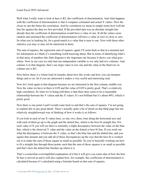Well what I really want to look at here is R2, the coefficient of determination. And what happens with the coefficient of determination is that it compares estimated and actual Y values. Now the closer to one the better the correlation. And by correlation we mean in simple terms how well the line fits against the data we first provided. If the provided data was an absolute straight line already then the coefficient of determination would have a value of one. If all the values seem random and unrelated the coefficient of determination will have a value of zero or close to zero. So what you're looking for, for a good match is a value that is near to one. Now with these other statistics you may or may not be interested in them.

The sum of squares, the regression sum of squares, again I'll come back to that in a moment just for information as I think it's something worth knowing about. But in terms of identifying what's in that array of numbers this little diagram is the important one because it shows you what goes where. Now in our case we only had one independent variable so we only had two columns. And column A in that diagram, that's our slope value in row one and the value in the third row in column one is R2.

Now below there is a whole load of remarks about how this works and how you can interpret things and so on. So if you are interested it makes a very useful and interesting read.

Now let's look again at that diagram because we are interested in the first column, middle row. Now the value we have in there is 0.89 and the value of 0.89 is pretty good. That's a relatively high correlation. So what we're being told there is that there does seem to be a reasonable relationship between the Y values and the X values. It's not brilliant but it's about 90%, which is pretty good.

Now there is one point I said I would come back to and that's the sum of squares. I'm not going to explain this in any great detail. There's actually quite a bit of detail on that Help page but one relatively straightforward way of thinking of how it works is as follows.

If you look at each of our X values here, so one, two, three, four along the horizontal axis and with each of them go up to the graph and the dotted line, which is the best fit straight line. For each value of X you will see there is normally a slight discrepancy between the value on the blue line, which is the observed Y value and the value on the dotted or best fit line. If you work out what the discrepancy is between the Y value, so that's the blue line and the dotted line, and you square that amount and you add all of those discrepancies up the way that the best fit is worked out is to make the sum of those square as small as possible. So you're basically working out how to fit a straight line through those points such that the sum of those squares is as small as possible and that's how the dotted line finishes up where it is.

That's a somewhat oversimplified explanation of it but it will give you some idea of how the best fit line is arrived at and it will also explain how, for example, this coefficient of determination is calculated because it's calculated using a formula based on that sum of squares.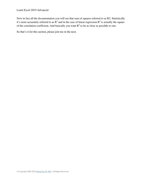#### Learn Excel 2019 Advanced

Now in fact all the documentation you will see that sum of squares referred to as R2. Statistically it's more accurately referred to as  $R^2$  and in the case of linear regression  $R^2$  is actually the square of the correlation coefficient. And basically you want  $R^2$  to be as close as possible to one.

So that's it for this section, please join me in the next.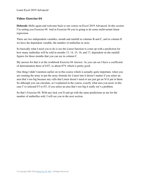# **Video: Exercise 04**

**Deborah:** Hello again and welcome back to our course on Excel 2019 Advanced. In this section I'm setting you Exercise 04. And in Exercise 04 you're going to do some multivariant linear regression.

There are two independent variables, month and rainfall in columns B and C, and in column D we have the dependent variable, the number of umbrellas in store.

So basically what I need you to do is use the Linest function to come up with a prediction for how many umbrellas will be sold in months 13, 14, 15, 16, and 17, dependent on the rainfall figures for those months that you can see in column C.

My answer for that is in the workbook Exercise 04 Answer. As you can see I have a coefficient of determination there of 0.87, so about 87% which is pretty good.

One thing I didn't mention earlier on in this course which is actually quite important, when you are creating the array to put the array formula for Linest into it doesn't matter if you select an area that's too big because any cells that Linest doesn't need or use just get an N/A put in them. So although you can calculate, as I explained in the course, exactly what area you need, in this case I've selected F3 to H7, if you select an area that's too big it really isn't a problem.

So that's Exercise 04. With any luck you'll end up with the same predictions as me for the number of umbrellas sold. I will see you in the next section.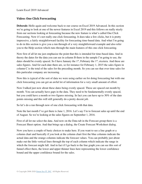#### **Video: One Click Forecasting**

**Deborah:** Hello again and welcome back to our course on Excel 2019 Advanced. In this section we're going to look at one of the newer features in Excel 2019 and this follows on really nicely from our sections looking at forecasting because the new feature is what's called One Click Forecasting. Now it's not really one click forecasting. It does take a few clicks, but it is pretty impressive, a fairly straightforward facility for forecasting time-based data. And what I'm going to do in this section is give you a run through of a very straightforward example and also refer you to the Help section which runs through the main features of this one click forecasting.

Now first of all let me just emphasize the point that this is intended for time-based data. And in theory the dates for the data you can see in column B there in the sample I'm going to use, the dates should be evenly spaced. So I have January the 1<sup>st</sup>, February the 1<sup>st</sup>, etcetera. And these are sales figures. And for each date there are, so for instance for February 1, 2015 the sales figure in column C is the total of the sales for the preceding month. So you can see that over time sales for this particular company are increasing.

Now this is typical of the sort of data we were using earlier on for doing forecasting but with one click forecasting you can get an awful lot of information for a very small amount of effort.

Now I talked just now about these dates being evenly spaced. These are spaced out month by month. You can actually have gaps in the data. They need to be fundamentally evenly spaced, but you could have a month or two figures missing. In fact you can have up to 30% of the date points missing and this will still generally do a pretty decent job.

So let's do a run through now of one click forecasting with that data.

Note the last month I've got there is June 1, 2016. Let's say I'm to forecast sales up until the end of August. So we're looking at the sales figures on September 1, 2016.

First of all let me select the data. And now on the Data tab in the Forecast group there is a Forecast Sheet option. And that brings up a dialog, the Create Forecast Worksheet dialog.

Now you have a couple of basic choices to make here. If you want to see a line graph or a column chart and basically if you look at the column chart first the blue columns indicate the actual data and the orange columns indicate the forecast values. You can probably just about make out the little vertical lines through the top of each column which indicate the range in which the forecast might fall. And in fact if I go back to the line graph you can see this sort of funnel effect there, the lower and upper thinner lines here representing the lower confidence bound and the upper confidence bound for the sales.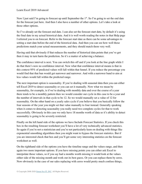Now I just said I'm going to forecast up until September the  $1<sup>st</sup>$ . So I'm going to set the end date for the forecast just here. And then I also have a number of other options. Let's take a look at those other options.

So I've already set the forecast end date. I can also set the forecast start date, by default it's using the final date in my actual historical data. And it is well worth reading the notes in that Help page I referred you to on forecast. Refer to the forecast start date as there can be some advantages to setting a start date before the end of the historical data. And then you can see how well those predictions match your actual measurements, and they should match them very well.

Having said that obviously if that reduces the number of historical data points that you've got then it may in turn harm the prediction. So it's a matter of achieving a balance.

The confidence interval is next. You can switch this off and if you look at the line graph while I do that there's now no confidence interval. Now what that confidence interval means is that in this context 95% of predicted values will fall within that funnel. If you reduce the percentage you would find that that ban would get narrower and narrower. And with a narrower band to aim at less values would fall within the predicted range.

The next important option is seasonality. If you're dealing with seasonal data then you can either tell Excel 2019 to detect seasonality or you can set it manually. Now what we mean by seasonality, for example, is if we're dealing with monthly data and over the course of a year there tends to be a monthly pattern then we would consider our cycle in this case to be a year and the number of intervals in that cycle to be 12. So we would manually set a value of 12 for seasonality. On the other hand on a yearly sales cycle if you believe that you basically follow the four seasons of the year you might set that value manually to four instead. Generally speaking when it comes to detecting seasonality you really need two complete cycles for that to work successfully. Obviously in this case we only have 18 months worth of data so it's ability to detect seasonality is going to be severely restricted.

Finally on the left hand side of the options we have Include Forecast Statistics. If you check this box in the resulting forecast worksheet you'll have a lot of very technically advanced statistics. So again if you're not a statistician and you're not particularly keen on dealing with things like exponential smoothing algorithms then you might want to bypass the forecast statistics. But if you are interested check that box and you'll get some very interesting statistics on the forecast worksheet as well.

On the righthand side of the options you have the timeline range and the values range, and then again two more important options. If you have missing points you can either ask Excel to interpolate those values, so if you say had a months worth missing it would look at the values either side of the missing month and work out its best guess. Or you can replace them by zeros. Now obviously in the case of our sales replacing with zeros would pretty much confuse things,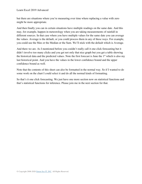but there are situations where you're measuring over time where replacing a value with zero might be more appropriate.

And then finally you can in certain situations have multiple readings on the same date. And this may, for example, happen in meteorology when you are taking measurements of rainfall in different sources. In that case where you have multiple values for the same date you can average the values. Average is the default, or you could process them in any of these ways. For example, you could use the Max or the Median or the Sum. We'll stick with the default which is Average.

And there we are. As I mentioned before you couldn't really call it one click forecasting but it didn't involve too many clicks and you get not only that nice graph but you get a table showing the historical data and the predicted values. Note the first forecast is June the 1<sup>st</sup> which is also my last historical point. And you have the values in the lower confidence bound and the upper confidence bound as well.

Note that the contents of this sheet can also be formatted in the normal way. So if I wanted to do some work on the chart I could select it and do all the normal kinds of formatting.

So that's it one click forecasting. We just have one more section now on statistical functions and that's statistical functions for inference. Please join me in the next section for that.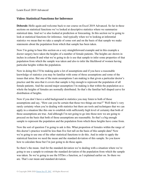#### **Video: Statistical Functions for Inference**

**Deborah:** Hello again and welcome back to our course on Excel 2019 Advanced. So far in these sections on statistical functions we've looked at descriptive statistics where we summarize statistical data. And we've also looked at prediction or forecasting. In this section we're going to look at statistical functions for inference. And typically when we're looking at inferential statistics we mean that we take a sample of some sort and on the basis of that sample we make statements about the population from which that sample has been taken.

Now I'm going to base this section on a very straightforward example and in this example a doctor surgery have taken the heights of a number of female patients. The heights are shown in inches in column B and what we're going to do is use that sample to infer some properties of that population from which the sample was taken and also to infer the likelihood of women having particular heights within the population.

Now in doing this I'll be making quite a lot of assumptions and if you have a reasonable knowledge of statistics you may be familiar with some of those assumptions and some of the issues that arise. But one of the main assumptions I am making is that given a particular doctor's practice and the area that it covers that sample is big enough to represent the population of all female patients. And the second major assumption I'm making is that within the population as a whole the heights of females are normally distributed. So that's the familiar bell shaped curve for distribution of heights.

Now if you don't have a solid background in statistics you may listen to both of those assumptions and say, "How can you be certain that those two things are true?" Well there's very rarely certainty when you're dealing with statistics but there are tools and techniques that we can apply in a situation like this one to establish with sufficiently high level of certainty that both of those assumptions are true. And although I'm not going to go into those now we are going to proceed on the basis that both of those assumptions are reasonable. So that's a big enough sample to represent the population and the population from which these heights have come from.

Now the sort of question I'm going to ask is this. What proportion of females within the range of this doctor's practice would be less than five feet tall on the basis of this sample data? Now we're going to use one of the other statistical functions to do this. And in order to apply the statistical function we need the mean and the standard deviation of this sample. So you know how to calculate those but I'm just going to do those again.

So there's the mean. And for the standard deviation we're dealing with a situation where we're going to use a sample to estimate the standard deviation of the population from which the sample was taken. So we're going to use the STDev.s function, as I explained earlier on. So there we are. That's our mean and standard deviation.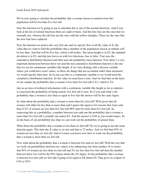We're now going to calculate the probability that a woman chosen at random from this population will be less than five feet tall.

Now the function we're going to use to calculate this is one of the normal functions. And if you look at the list of normal functions there are eight of them. And the first four are the ones that we normally use, whereas the old four are the ones with the yellow triangles. These are the ones that the new four have replaced.

Now the function we need is the very first one and we specify first of all the value of X, the value that we want to find the probability that a member of the population chosen at random will be less than. And that will be five feet, which is 60 inches. The mean height is in E2, the standard deviation is in E3, and that just leaves us with two functions, true or false. True uses the cumulative distribution function and false uses the probability mass function. Now there's a very important distinction between these two and the true cumulative distribution function is the one that we use for continuous variables like height. If we were dealing with a discreet variable where you could have exact values, so these are things that are accounted rather than measured, we would specify false here. So in our case this is a continuous variable so we would need the cumulative distribution function. So the value we need here is true. And we find that on the basis of our sample the probability that a woman is less than five feet tall is 0.2, which is 2%.

Just as an item of technical information with a continuous variable like height as far as statistics is concerned the probability of being exactly five feet tall is zero. So if you said what's the probability that a woman is less than or equal to five feet the answer will be the same figure.

So what about the probability that a woman is more than five feet tall? Well given that all women will either be less than or more than and I ignore the equal to for reasons that I just said, then if 2% of women are less than five feet tall 98% must be more than five feet tall. So expressing this as a probability, a number between zero and one the probability that a woman is more than five feet tall is actually one minus E5. And the answer is 0.98 as you would expect. So on the basis of one probability less than we can work out the probability of greater than.

What about the probability that a woman is less than six feet tall? So we're going to use the same function again. This time the X value is six feet and that is 72 inches. And we find that 95% of women are less than six feet tall. And of course you know now how to work out the probability that a woman is more than six feet tall.

Now what about the probability that a woman is between five and six feet tall? Well the way that we work out probabilities between two values is by subtracting one from another. If we know that 95% of women are less than six feet tall and 2% are less than five feet tall then the number between those two will be the 95% figure minus the 2% figure. So the probability that a woman is between five feet and six feet tall is going to be equal to E8 minus E5. That gives us a figure of 0.93 or 93%.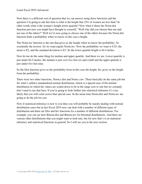Now there is a different sort of question that we can answer using these functions and the question I'm going to ask this time is what is the height that 25% of women are less than? In other words what is the woman's height lower quartile? Now when I chose the Norm.dist function just now you might have thought to yourself, "Well why did you choose that one and not one of the others?" Well we're now going to choose one of the others because the Norm.dist function finds a probability when we know in this case a height.

The Norm.inv function is the one that gives us the height when we know the probability. So essentially the inverse. So we want equals Norm.inv. Now the probability we want is 0.25, the mean is E2, and the standard deviation is E3. So the lower quartile height is 64.4 inches.

Now let me do the same thing for median and upper quartile. And there we are. Lower quartile is just under 64.5 inches, the median is just over five feet six-and-a-half and the upper quartile is just under five feet nine.

So the Dist function gives us the probability from in this case the height. Inv gives us the height from the probability.

There were two other functions, Norm.s.dist and Norm.s.inv. These basically do the same job but for what's called a standardized normal distribution, which is a special case of the normal distribution in which the values are scaled down to be in the range zero to one but we certainly don't need to use that here. If you're going to look further into statistical inference it's very likely that you will come across that special case. In the mean time Norm.dist and Norm.inv are going to do the job for you.

Now if statistical inference is new to you then you will probably be mainly dealing with normal distribution cases but in fact Excel 2019 now can deal with a number of different types of distribution and there are Dist and Inv functions for a number of different distributions. For example, you can see here Binom.dist and Binom.inv for binomial distributions. And there are various other distributions that you might want to look into, but for now that's it on statistical inference and statistical functions in general. So I will see you in the next section.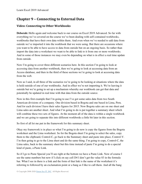# **Chapter 9 – Connecting to External Data**

# **Video: Connecting to Other Workbooks**

**Deborah:** Hello again and welcome back to our course on Excel 2019 Advanced. So far with everything we've covered on the course we've been dealing with self-contained workbooks, workbooks that have their own data within them. And even when we've needed to add data from outside we've imported it into the workbook that we were using. But there are occasions where you want to be able to have access to data from outside but on an ongoing basis. So rather than import the data into a worksheet we want to be able to link to it from one or more workbooks. And in some of those instances we may even be depending on what is in effect a real time update from outside.

Now I'm going to cover three different scenarios here. In this section I'm going to look at accessing data from another workbook, then we're going to look at accessing data from an Access database, and then in the third of these sections we're going to look at accessing data from the web.

Now as I said, in all three of the scenarios we're going to be looking at situations where the data is held outside of one of our workbooks. And in effect we're not importing it. We're leaving it outside but we're going to set up a mechanism whereby our workbook can get that data and potentially be updated in real time with that data from the outside source.

Now in this first example that I'm going to use I've got some sales data from two South American divisions of a company. One division based in Bogota and one based in Lima, Peru. And for each division I have their sales figures for 2015. Now Bogota sales are on one sheet and Lima sales are another sheet. And what I'm going to do is put together a summary sheet which will combine these two sets of figures. At the moment all of the data is within a single workbook and we are going to separate this into different workbooks a little bit later in this section.

So first of all let me put in the framework for this summary sheet.

Okay my framework is in place so what I'm going to do now is copy the figures from the Bogota worksheet and the Lima worksheet. So for the Bogota sheet I'm going to select the sales, copy them to the clipboard, Control-C, go back to the Summary sheet and paste into place, Control-V. I'm then going to go to the Lima sheet and do the same thing. I'm going to copy, Control-C, the Lima sales, back to the summary sheet but this time instead of paste I'm going to do a special kind of paste, a Paste Link.

So if I go to Paste Special you'll see right at the bottom we have a Paste Link. Now of course I see the same numbers but now if I click on say cell D4 I don't get the value 83 in the formula bar. What I see in there is a link and the form of that link is the name of the worksheet it's referring to followed by an exclamation point or a bang as I like to call them. And all the bang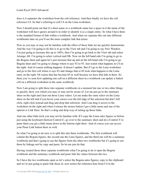does is it separates the worksheet from the cell reference. And then finally we have the cell reference C4. So that's referring to cell C4 on the Lima worksheet.

Now I should point out that if a sheet name or a workbook name has a space in it the name of the worksheet will have quotes around it in order to identify it as a single entity. So what I have there is the standard format of link within a workbook. And when we separate this out into different workbooks later on you'll see the more complex link that arises.

Now as you may or may not be familiar with the effect of these links let me quickly demonstrate. And the way I'm going to do this is to go to the View tab and I'm going to say New Window. I'm just going to increase this up to 160%, then I'm going to go back to the View tab and select Arrange All. I'm going to select vertical and OK. Now on the left hand side I'm going to go to the Bogota sheet and again let's just increase that up and on the left hand side I'm going to go Bogota sheet and I'm going to change where it says 92 to 93. Just watch what happens in C4 on the right. And of course nothing happens. It doesn't update. But if I go to the Lima worksheet and go to the first cell where it says 83 and change that to 85 look what happens to the Lima entry on the right. Of course that has become 85 as well because we have that link in there. So there you've seen how updating one cell on a different sheet in a workbook can update a linked cell on a different worksheet in the same workbook.

Now I am going to split these into separate workbooks in a moment but one or two other things to quickly show you which you may or may not be aware of. Let me just go to the summary sheet on the right and clear out those Lima values. Let me make the same select on the Lima sheet on the left and if you hover your cursor over the left edge of the selection but don't left click, right click instead and drag and drop that selection. And I can drag it across to the worksheet on the right and when I release the mouse button I get a little menu and one of the options is Link Here. So that's a drag and drop way of setting up those links.

And one other little trick you may not be familiar with. If I copy the Lima sales figures as before just using the keyboard shortcut Control-C, go over to the summary sheet and do a Control-V to paste them you get a little menu down in the bottom right there. And of course you can access your Paste Link button there as well.

So what I'm going to do now is to split this into three workbooks. The first workbook will contain the Bogota figures, the second one the Lima figures, and the third one will be a summary workbook and that's going to use the figures from the other two workbooks but it's going to use them by linkage not by copy and paste. So let me just do that.

Having created those three separate workbooks what I'm going to do is open the Bogota workbook and the summary workbook and paste link the values between the two.

So I have the two workbooks open so let's select the Bogota sales figures, copy to the clipboard and we're just going to paste link those in. now notice the reference here from C4 in the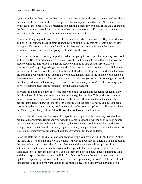righthand window. You can see that I've got the name of the workbook in square brackets, then the name of the worksheet, then the bang or exclamation point, and then the C4 reference. So with each of these cells I have a reference to a cell in a different workbook. If I make a change in the February sales where I find that this number is maybe wrong, so I'm going to change that to 94, that will also be updated in the summary sheet on the right.

Now what I'm going to do now is close the summary workbook and with the Bogota workbook still open I'm going to make another change. So I'm going to say that my March figure is also wrong and I'm going to change it from 94 to 91. Notice I am doing this when the summary workbook is closed and now I'm going to close this workbook.

Now what happens next is very important. What I'm going to do is open the summary workbook without the Bogota workbook already open. Now the first noticeable thing there is that you get a security warning. The reason you get the security warning is that as far as Excel 2019 is concerned you're opening a dangerous workbook because it's a workbook that has a link to the outside world. You're probably fairly familiar with the dangers of opening workbooks that have programming code in them but opening a workbook that has links to the outside world can be a dangerous exercise as well. The good news is that in this case you know it's not dangerous. And the other good news is that once you've trusted this document you won't get this warning again. So we're going to trust this document by saying Enable Content.

So what I'm going to do now is to close this workbook yet again and reopen it yet again. Now this time instead of the security warning we get the regular warning. This workbook contains links to one or more external sources that could be unsafe. If you trust the links update them to get the latest data. Otherwise you can keep working with the data you have. So now you get a choice of updating or you can say don't update. So we're going to update. And if you saw there the March figure changed from 94 to 91 now that we have updated that link.

However this does raise another issue. Perhaps the whole point of this summary workbook is to produce a management report and you want to be able to send this workbook to various people but they won't have the individual workbooks, the Bogota workbook or the Lima workbook. You just want them to see the summary figures basically at a point in time. But what you can do is set up this summary workbook so that it doesn't prompt for those updates.

So on the Data tab in the Queries and Connections group you have an Edit Links button. Notice the links are listed and the link we've got here is the Bogota workbook. There's a small button in the bottom left hand corner called Startup Prompt and there we have three options. So what action do we want to take when this workbook is opened? The three options that we have are let users choose to display the alert or not, don't display the alert and don't update automatic links and don't display the alert and update links. So if you don't want the alert and you want the updates to happen anyway you could choose that third option and you won't get the alert. It will just happen. The option we want though is the middle one, Don't display the alert and don't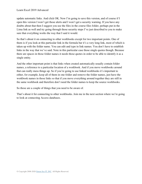update automatic links. And click OK. Now I'm going to save this version, and of course if I open this version I won't get those alerts and I won't get a security warning. If you have any doubts about that then I suggest you use the files in the course files folder, perhaps put in the Lima link as well and try going through those security steps I've just described to you to make sure that everything works the way that I said it would.

So that's about it on connecting to other workbooks except for two important points. One of them is if you look at this particular link in the formula bar it's a very long link, most of which is taken up with the folder name. You can edit and type in link names. You don't have to establish links in the way that we've said. Note in this particular case those single quotes though. Because there are spaces in those folder names it needs those quotes in order to be able to identify it as a single entity.

And the other important point is that links when created automatically usually contain folder names, a reference to a particular location of a workbook. And if you move workbooks around that can really mess things up. So if you're going to use linked workbooks it's important to either, for example, keep all of them in one folder and remove the folder names, just have the workbook names in those links so that if you move everything around together they are still in the same workbook and therefore don't need the folder names to keep the source workbooks.

So those are a couple of things that you need to be aware of.

That's about it for connecting to other workbooks. Join me in the next section where we're going to look at connecting Access databases.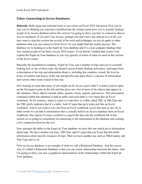#### **Video: Connecting to Access Databases**

**Deborah:** Hello again and welcome back to our course on Excel 2019 Advanced. Now just in case you're thinking you may have stumbled into the wrong course here you're actually looking at part of an Access database and in this section I'm going to show you how to connect to data in Access databases. If you don't use Access, perhaps you don't have any interest in it at all, you may want to skip this section but several of the tools and techniques we use do apply to other databases that you can connect to from Excel. So you might find this useful anyway. The database we're looking at is the Esprit de Tour database and it's a tour company database that was created as part of our basic Access 2016 course. If you haven't studied that course I can explain the Esprit de Tour database to you very quickly in terms of what we need in this section of the Excel course.

Basically the hypothetical company, Esprit de Tour, run a number of trips and you're currently looking now at one of those trips, the Grand Canyon Family Rafting Adventure. And apart from a description of the trip and information about it, including the countries visited, the level in terms of comfort and luxury of the trip and specific tour dates there's a dossier of information and various other items related to that trip.

Now bearing in mind that many of you might not be Access users what I've done is just to open up the Navigation pane on the left and that gives me a list of most of the objects that appear in this database. These objects include tables, queries, forms, reports, and macros. The information contained within this database is held in tables and each table is very much like an Excel worksheet. So for instance, when it comes to a trip there is a table called TBL or TBLTrip and the TBL prefix indicates that it's a table. And if I open that up it looks just like an Excel worksheet. And if you want to you can from an Excel workbook access this data in situ. So in other words we can link to information that is actually held in an Access database from an Excel workbook. One option of course would be to import the data into the workbook but in this section we're going to concentrate on connecting to the information in the database and creating a live connection between the two.

Now amongst the tables in the Esprit de Tour database we have this one which gives information about trips. We have another one here, TBLTour, and if I open that you'll see that this holds information about specific instances of trips. Then we have another one such as TBLCountry and Trip Type and so on.

Now an Access database is an example of what we call a Relational Database. And the reason why it's called a Relational Database is that you can create relationships between the tables. And I'm going to show you now a graphical representation of the relationships within the Esprit de Tour database.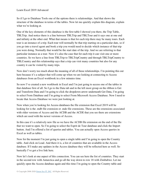So if I go to Database Tools one of the options there is relationships. And that shows the structure of the database in terms of the tables. Now let me quickly explain this diagram, explain what we're looking at.

One of the key elements of this database is the first table I showed you there, the Trip Table, TBLTrip. And notice there is a line between TBLTrip and TBLTour and it says one at one end and infinity at the other end. What that means is that for each trip there may be many tours. Each tour is an instance of a trip. Each tour will normally be that trip starting on a particular date, so if you go into a travel agent and book a trip you would need to decide which instance of that trip you were doing. Normally that would be the start date of the trip. And we are referring to that particular instance as a tour. Now it's also the case that for each trip it can visit one or more countries. So we have a line from TBLTrip to TBLTripCountry and through TBLTripCountry to TBLCountry and this relationship says that a trip can visit many countries but also for any country it can be visited by many trips.

Now don't worry too much about the meaning of all of these relationships. I'm pointing this out here because it's a subject that will come up when we are looking at connecting to Access databases from an Excel workbook in a few minutes time.

So now I've created a new workbook in Excel and I'm just going to access one of the tables in that database first of all. So I go to the Data tab and in the left most group on the ribbon is Get and Transform Data and I'm going to click the dropdown arrow underneath Get Data, I'm going to select From Database and I'm going to select From Microsoft Access Database. Now I need to locate that Access Database we were just looking at.

Now when you're looking for Access databases the file extension that Excel 2019 will be looking for is the .mdb file extension or .mde file extensions. These are the extensions associated with older versions of Access and the ACDB and the ACDE that you see there are extensions which are used with the newer versions of Access.

In this case it's a relatively new file so we have the ACDB file extension on the end of the file that we want to open. So I'm going to select the Esprit de Tour database and click the Import button. And I'm offered a list of queries and tables. You can actually open Access queries in Excel as well as tables.

Now for the moment I'm just going to open a single table and I'm going to open the Country table. And click on Load. And there it is, a list of countries that are available in the Access database. If I make any updates in the Access database they will be reflected here as well. So basically I've got a live link here.

Now let's look at one aspect of this connection. You can see here the list of countries. They start in the second row with Antarctica and go all the way down to row 18 with Zimbabwe. Let me quickly open the Access database again and this time I'm going to open the Country table and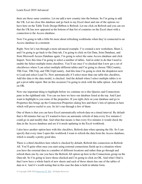there are those same countries. Let me add a new country into the bottom. So I'm going to add the UK. Let me close this database and go back to my Excel sheet and one of the options we have here on the Table Tools Design Ribbon is Refresh. Let me click on Refresh and you can see that the UK has now appeared at the bottom of that list of countries on the Excel sheet with a connection to the Access database.

Now I'm going to talk a little bit more about refreshing workbooks when they're connected to an Access database in a moment.

Right. Now let's run through a more advanced example. I've created a new worksheet, Sheet 2, and I'm going to go back to the Data tab, I'm going to click on Get Data, from Database, and from Microsoft Access Database again. I'm going to select the same Access database and click Import. Now this time I'm going to select a number of tables. And in order to do that I need to enable the Select multiple items checkbox. You'll see once I've checked that I now get a set of checkboxes where I can select multiple different tables and I'm going to choose TBLCountry, TBLTour, TBLTrip, and TBLTripCountry. And this time I'm going to click the dropdown next to Load and select Load To. Now automatically if I select more than one table this checkbox, Add this data to the data model, is checked. And the default when I select multiple tables is to get a pivot table report. But on this occasion I'm going to stick with the table option. And click on OK.

Now one important thing to highlight before we continue on is this Queries and Connections pane in the righthand side. You can see here we have our database listed at the top. And I just want to highlight to you some of the properties. If you right click on your database and go to Properties this brings up the Connection Properties dialog box and there's lots of options in here which will prove useful to you. So let's run through a few of them.

One of them is that you can have Excel automatically refresh data on a timed interval. By default that is 60 minutes but say if I wanted to have an automatic refresh of data every five minutes I could go in and modify that. And what that means is that every five minutes it would check the data in the Access database and see if it needs updating in the Excel workbook.

I also have another option here with this checkbox, Refresh data when opening the file. So I can specify that every time I open this workbook I want to refresh the data from the Access database, which is usually a pretty good idea.

There is a third checkbox here which is checked by default, Refresh this connection on Refresh All. You'll quite often once you start using external connections finish up in a situation where you have the external data in a number of different locations and rather than go through and refresh them one by one you have the Refresh All option up here in the Connections group on the Data tab. So I'm going to leave those checked and I'm going to click on OK. And what I find is that I now have a whole batch of new sheets and each of those sheets has one of the tables of data in it. And it's worth noting that in this case the data is held in tabular form.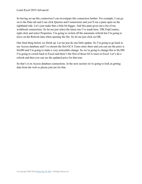So having set up this connection I can investigate this connection further. For example, I can go on to the Data tab and I can click Queries and Connections and you'll see a pane open on the righthand side. Let's just make that a little bit bigger. And this pane gives me a list of my workbook connections. So let me just select the latest one I've made here, TBLTripCountry, right click and select Properties. I'm going to switch off the automatic refresh but I'm going to leave on the Refresh data when opening the file. So let me just click on OK.

One final thing before we finish up. Let me just do one little update. So I'm going to go back to my Access database and I've chosen the first GCA Tours entry there and you can see the price is \$4,080 and I'm going to make a very noticeable change. So we're going to change this to \$6,500. I'm going to switch back to Excel and there's the first of those GCA tours in Excel. Let's do a refresh and then you can see the updated price for that tour.

So that's it on Access database connections. In the next section we're going to look at getting data from the web so please join me for that.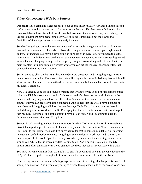### **Video: Connecting to Web Data Sources**

**Deborah:** Hello again and welcome back to our course on Excel 2019 Advanced. In this section we're going to look at connecting to data sources on the web. This has been a facility that has been available in Excel for a little while now but over recent versions not only has it changed in the sense that there have been some new ways of doing it introduced but the power and flexibility of these approaches has also greatly increased.

So what I'm going to do in this section by way of an example is to get some live stock market data and put it into an Excel workbook. Now there might be various reasons you might want to do this. For instance you may be developing an application in Excel where you need to get the latest value of an index or maybe the latest exchange rate. Maybe you're doing something related to travel and exchanging money. But it is a pretty straightforward thing to do. And as I said, the main problem is finding suitable websites where you can get the indexes, exchange rates, that you need without too much trouble.

So I'm going to click on the Data ribbon, the Get Data dropdown and I'm going to go to From Other Sources and select From Web. And this will bring up the From Web dialog box which will allow me to enter in a URL where the data resides. So basically the data that I want to bring in to my Excel workbook.

Now I've already gone off and found a website that I want to bring in so I'm just going to paste it into the URL box so you can see it's Yahoo.com and it's given me the world indices or the indexes and I'm going to click on the OK button. Sometimes this can take a few moments to connect but you can see now that it's connected. And underneath the URL I have a couple of items here and I'm going to click on the one that says Table Zero. And you can see there it's pulled through those world indexes. So I'm happy that that's the information that I want to pull into my Excel workbook and at the bottom I have a Load button and I'm going to click the dropdown and select the Load To option.

So now Excel is asking me how I want to import this data. Do I want to import it into a table, a pivot table report, a pivot chart, or do I want to only create the connection? Now in this instance I just want to pull it into Excel and I'm fairly happy for that to come in as a table. So I'm going to leave that default option selected. I'm going to select Existing Worksheet and you can see there it says cell A1. And if you look on my worksheet you can see the marching ants are now around cell A1. So that is where my data is going to go. And I'm going to click on the OK button. And after a moment or two you can now see those indexes in my worksheet in a table.

So I have here in column B from the FTSE 100 and if I do Control-down all the way down to the Nifty 50. And it's pulled through all of those values that were available on that website.

Now having done that a number of things happen and one of the things that happens is that Excel sets up a connection. And if you cast your eyes over to the righthand side of the screen you'll see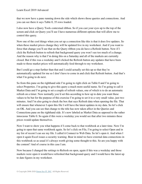that we now have a pane running down the side which shows those queries and connections. And you can see there it says Table 0, 35 rows loaded.

I also now have a Query Tools contextual ribbon. So if you cast your eyes up to the top of the screen and click on Query you'll see I have numerous different options that will allow me to control this query.

Now one of the cool things when you set up a connection like this is that it does live updates. So when these market prices change they will be updated live in my worksheet. And if you want to force that change you'll see that on the Query ribbon you do have a Refresh button. Now if I click the Refresh button to refresh that background query you won't see too much of a change. And the reason why is that I'm doing this on a Saturday and all of the markets are currently closed. But if this was a weekday and I clicked the Refresh button any updates that have been made to those market prices will automatically feed through to my worksheet.

But I could go a step further than that and I could actually set this up so that they're automatically updated for me so I don't have to come in and click that Refresh button. And that's what I'm going to do next.

So from this pane on the righthand side I'm going to right click on Table 0 and I'm going to select Properties. I'm going to give this query a much more useful name. So I'm going to call it Market Data and I'm going to set a couple of refresh values, one of which is to do an automatic refresh on a timer. Now normally you'd set this according to how up to date you want these values to be but for the purpose of this exercise I'm going to set it to a very small value, just two minutes. And I'm also going to check the box that says Refresh data when opening the file. That will ensure that whenever I open this file I will have the latest updates in my data. So let's click on OK. And you can see that change to the title has now taken affect in the Queries and Connections pane on the righthand side. It's now labeled as Market Data as opposed to the rather innocuous Table 0. So again if this were a weekday you would see that after two minutes these prices would update themselves.

Now I want to show you what happens if I come back to that workbook at a later time. Now I'm going to open that same workbook again. So let's click on File, I'm going to select Open and in my list of recent I can see my file. I called it Connect to Web Data. So let's open it. And when I open it again Excel issues a security warning. Bear in mind we have external data connections in this workbook so as usual it's always worth giving some thought to this. So are you happy with the content? And of course in this case I am.

Now because I changed the settings to Refresh on open, again if this was a weekday and those markets were open it would have refreshed that background query and I would have the latest up to date figures in my worksheet.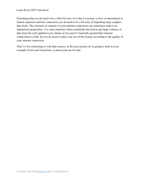Something that you do need to be a little bit wary of is that if you have a slow or intermittent or indeed expensive internet connection you do need to be a bit wary of importing large complex data feeds. The slowness or expense of your internet connection can sometimes make it an impractical proposition. I've seen situations where somebody has tried to get large volumes of data from the web updated every minute or two and it's basically ground their internet connection to a halt. So you do need to tailor your use of this feature according to the quality of your internet connection.

That's it for connecting to web data sources. In the next section we're going to look in at an example of Get and Transform, so please join me for that.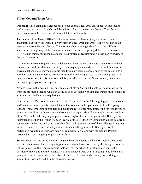### **Video: Get and Transform**

**Deborah:** Hello again and welcome back to our course Excel 2019 Advanced. In this section we're going to take a look at Get and Transform. Now to some extent Get and Transform is a progression from the earlier facilities to get data from the web.

The facilities from Excel 2010 to 2013 became known as Power Query and now Get and Transform has really superseded Power Query in Excel 2016 and 2019. But it's not just about getting data from the web. Get and Transform enables you to get data from many different sources, including many of the ones we've seen so far, such as getting data from Access or a CSV file and transforming the data to suit your particular requirement. So that's an overview of Get and Transform.

And there are two subsequent steps which are combined when you create a data model and you can combine multiple data sources. So you can maybe get some data from the web, such as the current exchange rate, maybe get some data from an Access database, such as the cost of a trip, and then combine them both to provide some additional insights into the underlying data. And there is a fourth step in this process which is generally described as Share, where you can share the data or perhaps use it in reports.

Now as I say, in this section I'm going to concentrate on Get and Transform. And following on from the preceding section what I'm going to do is get some web data and transform it to make it a little more suitable to my requirements.

Now in the next I'm going to set you Exercise 05 and in Exercise 05 I'm going to ask you to Get and Transform some specific data related to the weather. In this particular section I'm going to Get and Transform some sports data and just to make it a little more interesting for you, if you're going to work along with me you could try your local sports data. For example, this is a section of the NFL table and I'm going to process some English Premier League results. But if you're interested in neither the British Premier League or the NFL then try some other tabular data from somewhere on the web and you'll probably find it will present some of the challenges I'm going to face in this section and probably a few different challenges as well. But if you don't particularly want to use your own data you can just follow along with the English Premier League data that I'm going to get and transform.

So we're now looking at the Premier League table as it is today on the BBC website. The BBC website is not known for moving things around too much so I hope that by the time you come to follow this course the Premier League table will still be where it is, although of course the position of the teams and the statistics will have changed. And what I'm going to do here is I'm going to set up a regular feed from this table into Excel. Now fundamentally we're doing a similar thing to what we did in the preceding section.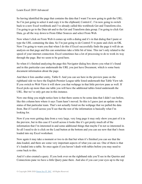So having identified the page that contains the data that I want I'm now going to grab the URL. So I'm just going to select it and copy it to the clipboard, Control-C. I'm now going to switch back to a new Excel workbook and I've already called this workbook Get and Transform.xlsx. I'm going to go to the Data tab and to the Get and Transform data group. I'm going to click Get Data, go all the way down to From Other Sources and select From Web.

Now when I click on From Web it comes up with a dialog and it's in that dialog that I paste or type the URL containing the data. So I'm just going to do Control-V to paste and click on OK. Now I'm going to warn you that when I do this if Excel successfully finds the page it will do an analysis on that page and this can sometimes take a little bit of time. This isn't only related to the speed of your internet connection. Excel sometimes has a lot of processing to do to work its way through the page. But we seem to be good here.

So when it's finished analyzing the page this Navigator dialog box shows you what it's found and in this particular case underneath the URL you just have Document, which is some basic document information about the page.

And then it lists another entity, Table 0. And you can see here in the preview pane on the righthand side we have the English Premier League table listed underneath that Table View tab. If you switch to Web View it will show you that webpage in that little preview pane as well. If Excel picks up more than one table you will have the additional tables listed underneath the URL. But we've only got one in this instance.

Now one thing you might notice here is that there seems to be some data that I didn't see before, like this column here where it says Team hasn't moved. So this is I guess just an update on the status of that particular team. That's not actually listed on the webpage that we pulled the data from. But if I scroll across you'll see that the rest of the information is basically what I'm looking for.

Now if you were getting data from a very large, very long page it may only show you part of it in the preview, but in this case if I scroll across it looks like it's got pretty much all of the information that I'm interested in and some additional things that maybe I'm not so interested in. So all I need to do is click on the Load button at the bottom and you can see now that that's been loaded into my Excel worksheet.

Now again it may take a moment or two to do that but when it's finished you can see that the data loaded, and there are some very important aspects of what you can see. One of them is that it's loaded into a table. So once again if you haven't dealt with tables before you may need to come back to this.

And it's also created a query. If you look over on the righthand side you'll see in the Queries and Connections pane we have a little Query pane there. And also if you cast your eyes up to the top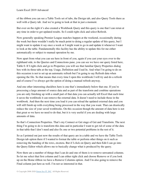of the ribbon you can see a Table Tools set of tabs, the Design tab, and also Query Tools there as well with a Query tab. And we're going to look at that in just a moment.

But over on the right it's also created a Workbook Query and this query is one that I can rerun at any time in order to get updated results. So I could right click and select Refresh.

Now generally speaking Premier League matches happen at the weekend, occasionally during the week but there wouldn't really be much point to doing a regular update of this query, but I might want to update it say once a week or I might want to go in and update it whenever I want to look at the table. Fundamentally this facility has the ability to update this for me either automatically or subject to manual operation by me.

Now apart from what you can see here in front of you, again if you cast your eyes over to the righthand side, to the Queries and Connections pane, you can see we have our query listed here, Table 0. If I right click and go to Properties you will see that familiar Query Properties dialog box with its three tabs at the top, Usage, Definition and Used In. And what I'm going to do on this occasion is not to set up an automatic refresh but I'm going to say Refresh data when opening the file. So that means that every time I open this workbook I will try and do a refresh and of course I've always got the option of doing a manual refresh anyway.

And one other interesting checkbox here is one that's immediately below that one. If you're processing a large amount of source data and as part of the transform and combine operations you are only finishing up with a small part of that data you can actually tell Excel that each time it saves the workbook it can remove the external data. It doesn't need to include those in the workbook. And then the next time you load it you can reload the updated external data and you will still finish up with everything being processed in the way that you want. That can drastically reduce the size of your saved workbooks. On this occasion though the amount of data here is not that great so we have no need to do that, but it is very useful if you are dealing with large amounts of data.

So that's Connection Properties. That's my Connect or Get stage of Get and Transform. The next thing I'm going to do is transform this data and in particular I want to get rid of some of the data in that table that I don't need and also fix one or two potential problems in the rest of it.

So as I pointed out just now the results of that query are in a table and we have the Table Tools Design tab option there if I wanted to format the table or perform other things on it such as removing the banding of the rows, etcetera. But if I click on Query and then Edit I can go into the Query Editor which allows me to basically change what is produced by the query.

Now there are a number of things that I can do and one of them is to remove unwanted columns. So let me select that first column and I can either right click and choose Remove or if you look up on the Home ribbon we have a Remove Columns option. And I'm also going to remove the Final column just here as well. I'm not so interested in that.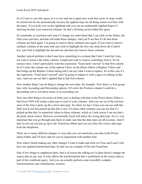So if I were to save this query as it is now and run it again next week that series of steps would be carried out for me automatically because the applied steps are all being stored over here with the query. If you look over on the righthand side you can see underneath Applied Steps it's showing me that I just removed columns. So that's all being saved within this query.

So essentially as I perform each step if I change my mind about that I can click on the Delete, the little cross just here, and that will undo those changes. And you'll see that if I do that those columns are back again. I'm going to remove those columns once again. If you want to remove multiple columns at the same time just click to highlight the first one, hold down the Control key, and click to highlight the Second one and then just remove those columns.

Another typical problem is that I may have something in a column that I don't want but I may not want to remove the entire column. I might just want to remove something from it. So for instance here. I don't particularly want the expression "Team hasn't moved" in that first column. So if I select the column one of the options I have on the Home ribbon is Replace Values and that brings up the Replace Values dialog and I can say what I want to replace. So in this case it's the expression "Team hasn't moved" and I'm going to replace it with a space or nothing in this case. And you can see that's applied that to that first column.

Now another thing I can do thing is change the sort order, for example. Now there's a Sort group here with Ascending and Descending options. If I select the Position column I could do a descending sort to sort those teams or an ascending sort.

Now one other thing to be aware of when you're dealing with data in the Power Query Editor is that Excel 2019 will assign a data type to each of your columns. And you can see at the top here most of the time it picks up the correct data type. So where we have Team you can see with this little icon Excel has picked up that that is text. For these other columns you can see that it's picked up that they're numerical values in those columns, which as I look across I can see that's all pretty much correct. However occasionally Excel will detect the wrong data type. So it's very important that you go through and check to make sure that the data types are all accurate. And if they're not you can just go up to the Transform ribbon and you can select the correct data type from the dropdown.

There are so many different changes or ways that you can transform your data in the Power Query Editor and I'll leave that for you to experiment with another time.

Now when I finish making any other changes I want to make and click on Close and Load I will have my updated transformed data. So that was an example of Get and Transform.

One of two things to emphasize there, that is of course the editing we've done doesn't change the source data in any way. It only affects the transformation that is performed on the source data as part of this workbook query. And you can actually perform some incredibly complex transformations and combinations, etcetera.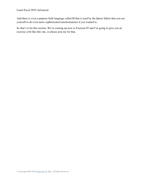And there is even a purpose built language called M that is used by the Query Editor that you use yourself to do even more sophisticated transformations if you wanted to.

So that's it for this section. We're coming up now to Exercise 05 and I'm going to give you an exercise a bit like this one, so please join me for that.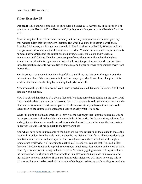# **Video: Exercise 05**

**Deborah:** Hello and welcome back to our course on Excel 2019 Advanced. In this section I'm going to set you Exercise 05 but Exercise 05 is going to involve getting some live data from the web.

Now the way that I have done this is certainly not the only way you can do this and you may well want to adapt this for your own location. But what I've done is to set up a workbook, Exercise 05 Answer, and it's got two sheets in it. The first sheet is called My Weather and in it I've got some information about the weather in London. You can currently see it says Sunday 44 minutes past midnight and the conditions are passing clouds, quite cool and we have a temperature of 5<sup>o</sup> Celsius. I've then got a couple of rows down from that what the highest temperature worldwide is right now and what the lowest temperature worldwide is now. Now those temperatures refer to world cities so there may be higher or lower temperatures away from those cities.

This is going to be updated live. Now hopefully you will see the tick over. I've got it on a five minute timer. And if the temperature in London changes you should see those changes on this worksheet without me cheating by touching the keyboard at all.

Now where did I get this data from? Well I used a website called TimeandDate.com. And I used data on world capitals.

Now I've edited that data so I've done a Get and I've done some basic editing on the query. And I've edited the data for a number of reasons. One of the reasons is to do with temperature and the other reason is to remove extraneous pieces of information. So if you have a think back to the last section of the course you'll get a good idea of exactly what I've done.

What I'm going to do in a moment is to show you the webpages that I got this source data from but as you can see within the table we have capitals of the world, the day and time, columns four and eight show the current weather conditions and columns five and nine show the temperature in degrees Celsius. Let me go back to the first worksheet.

And what I have done is used some of the functions we saw earlier on in the course to locate the weather in London from the table that's created by the Get and Transform. The connection is set on a five minute refresh and amongst the functions I have used there let's look at the highest temperature worldwide. So I'm going to click in cell F5 and you can see that I've used a Max function. The Max function is applied to two ranges. Each range is a column in the weather table. Now if you're not used to using tables in Excel we're actually going to start looking at tables in the next section. So if you're not comfortable with tables you can maybe do this exercise after the next few sections on tables. If you are familiar with tables you will know how easy it is to refer to a column in a table. And of course one of the biggest advantages of referring to a column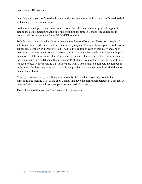in a table is that you don't need to know exactly how many rows in it and you don't need to deal with changes in the number of rows.

So that is where I get the max temperature from. And of course a similar principle applies to getting the Min temperature. And in terms of finding the time in London, the conditions in London and the temperature I used VLOOKUP functions.

So let's switch over and take a look at that website TimeandDate.com. There are a couple of selections I have made there. So I have said sort by city and I've said show capitals. So this is the capital cities of the world. And as I said, I had to do a couple of edits to this query and one of them was to remove at least one extraneous column. And the other one is that when you import this into Excel the temperature doesn't come in as numbers. It comes in as text. So for instance, the temperature in Abu Dhabi at the moment is 19° Celsius. So in order to find the highest one we need to deal with converting that temperature from a text string to a number, the number 19 in this case. But based on what we covered in the previous sections you shouldn't find that too much of a problem.

Now if you wanted to try something as a bit of a further challenge you may want to try something like making a list of the capital cities that have the highest temperature at a particular time, and also maybe the lowest temperature at a particular time.

That's the end of this section. I will see you in the next one.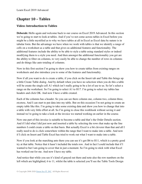# **Chapter 10 – Tables**

# **Video: Introduction to Tables**

**Deborah:** Hello again and welcome back to our course on Excel 2019 Advanced. In this section we're going to start to look at tables. And if you've not come across tables in Excel before you might be a little mystified as to why we have tables at all in Excel as Excel data by nature is in tabular form. But the advantage we have when we work with tables is that we identify a range of cells on a worksheet as a table and that gives us additional features and functionality. The additional features include the ability to be able to style a table using standard styles or indeed modifying them to a style you need. And then amongst the additional functionality you get are the ability to filter on columns, to very easily be able to change the number of rows in columns and do things like auto totaling of columns.

Now in this first section I'm going to show you how to create tables from existing ranges on worksheets and also introduce you to some of the features and functionality.

Now if all you want to do is create a table, if you click on the Insert tab and Table this brings up a little Create Table dialog. And by default when you have no selection when you do this a table will be create the single cell A1 which isn't really going to be a lot of use to us. So let's select a range on the worksheet. So I'm going to select A1 to H17. I'm going to select my tables has headers and click OK. And now I have a table created.

Each of the columns has a header. So you can see there column one, column two, column three, etcetera. And I can start to put data into my table. But on this occasion I'm not going to create an empty table like this. I'm going to take some existing data and show you how to change that into a table with very little effort at all. So I'm going to close this workbook without saving it and instead we're going to take a look at the invoice we started working on earlier in the course.

Now one part of this invoice is suitable to become a table and that's the Order Details section. And if I did what I did just now and inserted a table by selecting the rows that make up the line numbers I could create a table on that basis. But actually Excel is a bit cleverer than that and all I really need to do is click somewhere within the range that I want to make into a table. And now if I click on Insert and Table Excel has tried to work out what I want to make into a table.

Now if you look at the marching ants there you can see it's got B6 to H11, which is a pretty good try at that table. Notice that it hasn't included the totals row. And in fact I could include that if I wanted to but I am going to cover that in just a moment. So I'm going to stick with what Excel has worked out for me. And now I have my table.

And notice that while you see it's kind of grayed out there and note also the row numbers on the left which are highlighted, 6 to 11, whilst the table is selected you'll see the Table Tools Design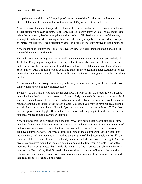tab up there on the ribbon and I'm going to look at some of the functions on the Design tab a little bit later on in this section, but for the moment let's just look at the table itself.

Now let's look at some of the specific features of this table. First of all in the header row there is a filter dropdown on each column. So if I only wanted to show items with a 10% discount I can select the dropdown, deselect everything and just select 10%. So that can be a useful feature, although to be honest when dealing with an order the ability to apply a filter is perhaps not quite so impressive, but you'll see a situation where it is a little bit more impressive in just a moment.

Now I mentioned just now the Table Tools Design tab. Let's click inside the table and look at some of the features on that tab.

The table is automatically given a name and I can change that name. So I don't particularly like Table 1 so I'm going to change this to Order, Order Details Table, and press Enter to confirm that. That's now the name of my table and if you look on the righthand end you'll see a Table Styles gallery. And I'm going to look at styling tables in more detail in a later section but for the moment you can see that a style has been applied and it's the one highlighted, the third one along in blue.

And of course this is a live preview so if you hover your mouse over any of the other styles you can see them applied in the worksheet below.

To the left of the Table Styles note the Header row. If I want to turn the header row off I can just by unchecking that box and that doesn't look particularly great so let's turn that back on again. I also have banded rows. That determines whether the style is banded rows or not. And sometimes banded rows make it easier to read across a table. You can if you want to have banded columns as well. It can get a little bit complicated if you turn those also so let's turn those off. You also have an option here to toggle off or on the Filter button and I'm going to turn that off because we don't really need it in this particular example.

Now one thing that isn't switched on is the total row. Let's have a total row in this table. Now that doesn't mean that it includes the total row that we had before. In fact I'm going to get rid of that total row in a moment. But in the total row now note the word Total in the left most cell. I can have a number of different types of total and some of the columns will have no total. For instance there isn't too much point in totaling the unit price of the discount column. But if I did want the total price I can click in the cell and you can see a little dropdown to the right. And that gives me alternative totals that I can include in an item in the total row in a table. Now at the moment I have Count selected but I could also do a sum. And of course that gives me the same number that I had before, \$199.59. And if I wanted the total number of items in the quantity column I could do a sum there as well because of course it's a sum of the number of items and that gives me the eleven that I had before.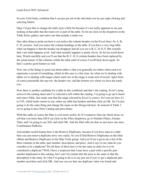So now I feel fairly confident that I can just get rid of the old totals row by just right clicking and selecting Delete.

Okay I'd just like to change the table style a little bit because it's not really apparent to me just looking at that table that the totals row is part of the table. So let me click on the dropdown in the Table Styles gallery and select one that include a totals row.

One other thing to point out here is you notice the column headers on the Excel sheet. So A, B, C, D, etcetera. And you notice the column headings in the table. If you have a very long table what can happen is that the header can disappear and all you see is B, C, D, E, F. But actually that's not what happens at all. And what actually happens is pretty clever. So let me scroll down here. Watch carefully and you'll see that the B, C, D, E column headers have been replaced by the actual names of the columns within the table until of course I scroll back down again. So that's a pretty good feature as well.

Now one of the things to point out about tables is that you generally use tables when each row represents a record of something, which in this case is a line item. So when we're dealing with tables we're dealing with ranges where each row in the range is some sort of record. Apart from of course potentially the top row, the header row, and the bottom row where we have the totals row.

Now there is another candidate for a table in this workbook and that's the catalog. So let's jump across to the catalog sheet and I've selected a cell within the catalog. I'm going to go up to Insert and select Table. Just make sure that the range selected by Excel is correct. So I can see here A1 to C85, which looks correct to me, select my table has headers and then click on OK. So I'm just going to do the same thing and change the name on the Design tab here. So instead of Table 2 we're going to have Parts Catalog and press Enter.

With this table of course the filter is a lot more useful. So if I wanted to find out which items we sell that cost more than \$20 I can click on the Filter dropdown, go to Number Filters, Greater Than, and I'm going to say \$20, and click OK. And the filter tells me that we just have one item, Combination Padlocks.

And another useful feature here is the Remove Duplicates, because if you have data in a table then you can remove duplicate rows very easily. So you'll find Remove Duplicates on the Data ribbon and Remove Duplicates in the Data Tools group. And you'll see it gives me a list of the three columns in the table, part number, description, and price. And it says to me what do you consider to be a duplicate? Do all three of those have to be the same in order for it to be considered a duplicate? Well, I have a suspicion that I may have a part with a specific part number duplicated in this catalog, but I can't be certain that the price is the same or that the description is the same. So what I'm going to do is to say just see if you've got a duplicate part number anywhere and click OK. And you can see that one duplicate value was found and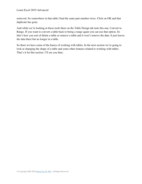removed. So somewhere in that table I had the same part number twice. Click on OK and that duplicate has gone.

And while we're looking at those tools there on the Table Design tab note this one, Convert to Range. If you want to convert a table back to being a range again you can use that option. So that's how you sort of delete a table or remove a table and it won't remove the data. It just leaves the data there but no longer in a table.

So there we have some of the basics of working with tables. In the next section we're going to look at changing the shape of a table and some other features related to working with tables. That's it for this section. I'll see you then.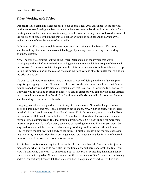#### **Video: Working with Tables**

**Deborah:** Hello again and welcome back to our course Excel 2019 Advanced. In the previous section we started looking at tables and we saw how to create tables either from scratch or from existing data. And we also saw how to change a table back into a range and we looked at some of the functions or some of the things that you can do with tables in Excel and in particular we looked at some of the advantages of using tables.

In this section I'm going to look in some more detail at working with tables and I'm going to start by looking at how we can make a table bigger by adding rows, removing rows, adding columns, etcetera.

Now I'm going to continue looking at the Order Details table on the invoice that we're developing and just before I make this table bigger I want to just click in a couple of the cells in the last row. So this one contains the part number, this one contains a formula which is a lookup to find the particular part in the catalog sheet and we have various other formulae for looking up the price and so on.

If I want to add rows to this table I have a number of ways of doing it and one of the simplest ways is by dragging it. Now if I hover over the corner of the table you'll see I have that familiar double headed arrow and it's diagonal, which means that I can drag it horizontally or vertically. But when you're working in tables in Excel you can do either but you can only do either vertical or horizontal in one operation. Vertical will add rows and horizontal will add columns. So let's start by adding a row or two to this table.

I'm going to click and drag and let me just drag it down one row. Now what happens when I click and drag down one row is that I appear to get an empty row, which is great. And if I click in cell C12 you'll see it's empty. But if I click in cell D12 it's not empty at all. And what Excel has done is to fill down the formula for me. And in fact in all of the columns where there are formulas Excel automatically fills that formula down for me. So it does quite a bit more than insert an empty row. So that's a pretty easy way of inserting a row and I'm sure you won't be surprised to learn that there are several other ways of doing so. For instance, if I click in cell H12, so that's the last row in the body of the table, if I hit the Tab key I get the same behavior that I do in say an application like Word. I get a new row added automatically. And of course in this case Excel fills down the formula for me as well.

And in fact there is another way that I can do this. Let me switch off the Totals row for just one moment and what I'm going to do is click in the first empty cell here underneath the final row. Now if I start using these cells, so supposing I put in here two of something that automatically becomes a row in my table. Now that only works if I've switched off the Totals row. But having added a row that way I can switch the Totals row back on again and everything will be fine.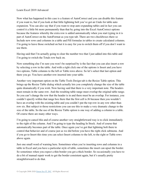Now what has happened in this case is a feature of AutoCorrect and you can disable this feature if you want to, but if you look at that little lightning bolt you've got an Undo for table auto expansion. You can also say that if you want to stop auto expanding tables and in fact you can control it a little bit more permanently than that by going into the Excel AutoCorrect options because the features whereby the extra row is added automatically when you start typing in it is part of AutoCorrect on the AutoFormat as you type tab. There are two checkboxes there so Include new rows and columns in a table and Fill formulas in tables to create calculated columns. I'm going to leave those switched on but it is easy for you to switch them off if you don't want to use them.

Having said that I'm actually going to clear the number two that I just added into this table and I'm going to switch the Totals row back on.

Now something else I'm sure you won't be surprised by is the fact that you can also insert a row by selecting a row in the table. And with a right click one of the options is Insert and you have two options, Table columns to the left or Table rows above. So let's select that last option and there you go. You have another row inserted into your table.

Another very important option on the Table Tools Design tab is the Resize Table option. This brings up the Resize Table dialog which actually lets you completely change the size of the table quite dramatically if you wish. Now having said that there is a very important note. The headers must remain in the same row. And the resulting table range must overlap the original table range. So you can't change the row that the header is in and there must be an overlap. For instance, you couldn't specify within that range box there that the first cell is J6 because then you wouldn't have an overlap with the existing table and you couldn't put the top row in any row other than row six. But subject to those restrictions you can use this to make a very dramatic change to the size of the table. So the use of the Resize Table option is one way of adding a column to a table. Of course there are many other ways.

I'm going to cancel this and of course another very straightforward way is to click immediately to the right of the column. And I'm going to type the heading In Stock. And of course that automatically becomes part of the table. Once again you've got that lightning bolt there to control that behavior and of course just as we did before you have the right click submenu. And if you go to Insert this time you can select Insert columns to the left, to the right or Table rows above again.

Just one small word of warning here. Sometimes when you're inserting rows and columns in a table in Excel and you have a particular style of table, sometimes the insert can upset the border. So sometimes when you expect a thin border you get a thick border. So occasionally you have to do a bit of manual repair work to get the border consistent again, but it's usually pretty straightforward to do that.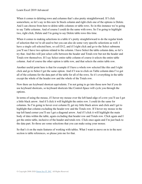When it comes to deleting rows and columns that's also pretty straightforward. If I click somewhere, so let's say in this new In Stock column and right click one of the options is Delete. And I can choose from here to delete table columns or table rows. So in this instance we're going to say Table columns. And of course I could do the same with rows. So I'm going to highlight two, right click, Delete and I'm going to say Delete table rows this time.

When it comes to making selections in a table it's pretty straightforward to do the regular kinds of selection that we're all used to but you can also do some very specific selections as well. I have a single cell selected here, so cell D12, and if I right click and go to the Select submenu you'll see I have two options related to the column. I have Select the table column data, so let's try that. And this will just select cells between the header and Totals row but not the header and Totals row themselves. If I say Select entire table column of course it selects the entire table column. And of course the other option is table row, and that selects the entire table row.

Another useful point here is that for example if I have a whole row selected like this and I right click and go to Select I get the same option. And if I was to click on Table column data I've got all of the columns for the data part of the table for all of the rows. So it's everything in the table except the whole of the header row and the whole of the Totals row.

Now there are keyboard shortcut equivalents. I'm not going to go into those now but if you do use keyboard shortcuts, so keyboard shortcuts like Control-Space will cycle you through the options.

In terms of using the mouse, if I hover my mouse over the left hand edge of a row you'll see I get a little black arrow. And if I click it will highlight the entire row. I could do the same for columns. So I'm going to hover over column D, get my little black arrow and click and I get to highlight that column excluding the header row and the Totals row. If I hover my mouse in the top left hand corner you'll see I get a diagonal arrow. And if I click it will highlight the main body of data within the table, again excluding that header row and Totals row. Click again and I get the entire table, inclusive of the header and totals row. Click once again and I'm just back to the data part. So those are some selections that you can make using your mouse.

So that's it on the main features of working with tables. What I want to move on to in the next section is table references, so please join me for that.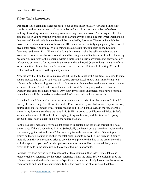#### **Video: Table References**

**Deborah:** Hello again and welcome back to our course on Excel 2019 Advanced. In the last couple of sections we've been looking at tables and apart from creating tables we've been looking at inserting columns, deleting rows, inserting rows, and so on. And it's quite often the case that when you're working with tables, in particular with a table like this Order Details table, that many of the cells within the table will be occupied by formulae. The formulae might be involved in a calculation such as this one in H11 where we're multiplying a quantity by a price to give a total price. And it may involve things like a Lookup function, such as the Lookup functions used in cell D11. When we're doing this we can make the cells in a table and the associated formulae much easier to understand by using some of the features of table referencing because you can refer to the elements within a table using a very convenient and easy to follow referencing system. So for instance, in the column that's headed Quantity it can actually refer to as the quantity column. And in a formula such as the one in H11 instead of putting B11 all I really need to do is refer to the quantity column.

Now the way that I do that is to just replace B11 in the formula with Quantity. I'm going to put a square bracket, and as soon as I type that square bracket Excel knows that I'm referring to a column in this table and it gives me a list of the columns in the table. And you can see that there are seven of them. And I just choose the one that I want. So I'm going to double click on Quantity and close the square bracket. Obviously my result is unaffected, but I have a formula now which is a little bit easier to understand. Let's click back on it and review it.

And what I could do to make it even easier to understand a little bit further is go to G11 and do exactly the same thing. So G11 is Discounted Price, so let's replace that as well. Square bracket, double click on Discounted Price, square bracket and Enter. I could even do the same for the check in my formula, so where we have E11. So E11 is going to be Discounted Price. So let's switch that out as well. Double click to highlight, square bracket, and this time we're going to say Unit Price, double click, and close the square bracket.

So this basically makes my formula a lot easier to understand. So let's read through it. I do a check to see if there's something in E11. So basically say have I got a price which indicates that I've actually got a part in this row? And what my formula now says is this. If the unit price is empty, so there is no unit price, then the total price is empty as well. If unit price isn't empty multiply quantity by discounted price to give the total price for this line in the order. Note that with this approach you don't need to put row numbers because Excel assumed that you are referring to cells in the same row as the row containing this formula.

So what I've done now is to go through each of the columns in the Order Details table and replace each cell reference by the correct reference within the table. So I've basically used the column names within the table instead of specific cell references. I only have to do that once for each formula and then Excel automatically fills that down to the other rows in the table.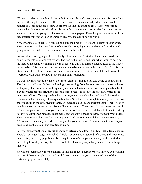If I want to refer to something in the table from outside that's pretty easy as well. Suppose I want to put a little tag down here in cell D16 that thanks the customer and perhaps confirms the number of items in the order. Now in order to do this I'm going to create a reference from outside the table to a specific cell inside the table. And there is a set of rules for how to create such references. I'm going to refer you to the relevant page in Excel Help in a moment but I can demonstrate this first with an example to give you an idea of how it works.

Now I want to say in cell D16 something along the lines of "There are 11 items in your order. Thank you for your business." Now of course I'm not going to make eleven a fixed figure. I'm going to use the total from the quantity column in the table.

So first of all this is going to be effectively a formula so we'll start with an equals. And I'm going to concatenate some text strings. The first text string is, and then what I want to do is get the total of the quantity column. Now in order to do this I'm going to need to refer to the Order Details table. This is the name we assigned to the table earlier on in the course. So if at this point I type in an O Excel intellisense brings up a number of items that begin with O and one of them is Order Details table. So now I start putting in my reference.

If I want my reference to be the total of the quantity column it's actually going to be two parts. The first part will specify that I'm looking at something from the totals row and the second part will specify that I want it from the quantity column in the totals row. So I do a square bracket to start the whole process off, then a second square bracket to specify the first part, which is the totals part. Close off my square bracket, comma, open square bracket, and now I choose the column which is Quantity, close square brackets. Now that's the completion of my reference to a specific entity in the Order Details table, so I need to close square brackets again. Then I need to type in the rest of my text string. So it will end up saying "There are 11" or whatever the quantity is "items in your order. Thank you for your business." So I want to add that additional text string. So let's do another ampersand, quote marks and we want a space in there, "items in your order. Thank you for your business" and close quotes. Let's press Enter and there you can see. So, "There are 11 items in your order. Thank you for your business." And of course this will adjust depending on the total in that quantity column.

So I've shown you there a specific example of referring to a total in an Excel table from outside. There's a very good page in Excel 2019 Help that explains structured references and how to use them. It is quite a long page but it also has quite a lot of examples in it and you should find it interesting to work your way through there to find the many ways that you can refer to things like totals.

We will be seeing a few more examples of this and in fact Exercise 06 will involve you working out one of these examples yourself, but I do recommend that you have a good read of that particular page in Excel Help.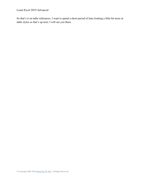Learn Excel 2019 Advanced

So that's it on table references. I want to spend a short period of time looking a little bit more at table styles so that's up next. I will see you there.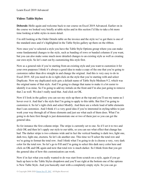## **Video: Table Styles**

**Deborah:** Hello again and welcome back to our course on Excel 2019 Advanced. Earlier on in the course we looked very briefly at table styles and in this section I'd like to take a bit more time looking at table styles in more detail.

I'm still looking at the Order Details table on the invoice and the style we've got there is one of the standard ones and it's highlighted in the Table Styles gallery up there on the ribbon.

Now once you've selected a style you have the Table Style Options group where you can make some fundamental changes to the style, such as banding of rows or banded columns if you want, but you can also make some much more detailed changes to an existing style as well as creating our own style. So let's start out by customizing this style first.

Now as a general rule if you're starting from an existing style and you want to customize it for your own purposes I think it's always a good idea to make a copy of the one that you're going to customize rather than dive straight in and change the original. And this is very easy to do in Excel 2019. All you need to do is right click on the style that you're starting with and select Duplicate. Now my duplicated style gets a default name of Table Style Medium 9 2, which was the original name of that style. And I'm going to change that name to make it a lot easier to identify it as mine. So I'm going to add my initials on the front and I'm also just going to remove that 2 as well. We don't really need that. And click on OK.

Now if I look in the gallery you can see my style up there at the top and you'll see my name as I hover over it. And that's the style that I'm going to apply to this table. But first I'm going to customize it. So let's right click and select Modify. And there are a whole load of table elements that I can customize. And I think it's a very good idea if you're interested in styling tables to just work your way through all of those elements and just see what each of them does. What I'm going to do here first though is just demonstrate one or two of them just so you can get the general idea.

So for instance the first column stripe. The stripe is currently set to one. So if I set it to two and click OK and then let's apply our style to our table, so you can see what effect that change has had. The darker stripe is two columns wide and in fact the vertical banding is dark two, light one, dark two, light one, etcetera. So let's do another one. This time we'll select the total row and we're going to format the total row. And I think what I'm going to do is choose a very, very dark color for the total row. So let's go to Fill and I'm going to select this dark navy color here and click on OK and OK again and now that total row is much darker. So I think from that you get the general idea of how this customization can work.

Now if in fact what you really wanted to do was start from scratch on a style, again if you go back up here to the Table Styles dropdown and you'll see right at the bottom one of the options is New Table Style. And you basically start with a completely empty style. So you can go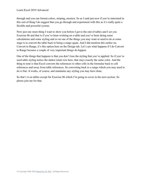through and you can format colors, striping, etcetera. So as I said just now if you're interested in this sort of thing I do suggest that you go through and experiment with this as it's really quite a flexible and powerful system.

Now just one more thing I want to show you before I get to the end of tables and I set you Exercise 06 and that is if you've been working on a table and you've been doing some calculations and some styling and so on one of the things you may want or need to do at some stage is to convert the table back to being a range again. And I did mention this earlier on, Convert to Range, it's this option here on the Design tab. Let's see what happens if I do Convert to Range because a couple of very important things do happen.

One of the things that happens is that you don't lose the styling that you've applied. So if you've used table styling notice the darker totals row here, that stays exactly the same color. And the thing to note is that Excel converts the references to other cells in the formulae back to cell references and away from table references. So converting back to a range which you may need to do is fine. It works, of course, and maintains any styling you may have done.

So that's it on tables except for Exercise 06 which I'm going to cover in the next section. So please join me for that.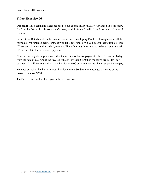#### **Video: Exercise 06**

**Deborah:** Hello again and welcome back to our course on Excel 2019 Advanced. It's time now for Exercise 06 and in this exercise it's pretty straightforward really. I've done most of the work for you.

In the Order Details table in the invoice we've been developing I've been through and in all the formulae I've replaced cell references with table references. We've also got that text in cell D15. "There are 11 items in this order", etcetera. The only thing I need you to do here is put into cell H3 the due date for the invoice payment.

Now the one slight complication is that the invoice is due for payment either 15 days or 30 days from the date in C2. And if the invoice value is less than \$100 then the terms are 15 days for payment. And if the total value of the invoice is \$100 or more than the client has 30 days to pay.

My answer looks like this. And you'll notice there is 30 days there because the value of the invoice is almost \$200.

That's Exercise 06. I will see you in the next section.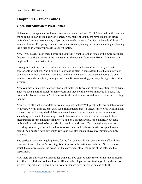## **Chapter 11 – Pivot Tables**

#### **Video: Introduction to Pivot Tables**

**Deborah:** Hello again and welcome back to our course on Excel 2019 Advanced. In this section we're going to start to look at Pivot Tables. Now many of you might have used pivot tables before but I'm sure there's many of you out there who haven't. And for the benefit of those of you who haven't I'm going to spend this first section explaining the basics, including explaining the situation in which you would use pivot tables.

Now if you haven't used them before and you really want to look at some of the more advanced features, in particular some of the new features, the updated features in Excel 2019, then you might well skip this first section.

Having said that I do find a lot of people who use pivot tables aren't necessarily all that comfortable with them. And I'm going to try and explain in some detail the situation in which you would use them, why you would use, and really what pivot tables are all about. So even if you have used them before you might well benefit from working your way through this section anyway.

Now you may or may not be aware that pivot tables really are one of the great strengths of Excel. They've been a part of Excel for many years and they continue to be improved in Excel. And even in this latest version in 2019 there are further enhancements and improvements to existing facilities.

Now first of all what sort of data do we use in pivot tables? Well pivot tables are suitable for use with what we call transactional data. And transactional data isn't necessarily to do with financial transactions but it's any kind of data where each record corresponds to a measurement of something or a count of something. It could be a record of a sale in a store or it could be a measurement for the amount of rain we've had on a particular day, for example. Now these individual records need to be recorded in rows in a worksheet. If you actually have records recording columns you would need to transpose them and each row must correspond to one record. You mustn't have any empty rows and you also mustn't have any missing or empty columns.

The particular data we're going to use for the first example is data on sales in a café within a convenient store. And we're keeping four pieces of information on each sale. So the date on which the sale was made, the branch of the convenient store, the value of the sale, and the department.

Now there are quite a few different departments. You can see some there for the sale of breads. And if we scroll down we have lots of different other departments. So things like grab and go, we have general, and if I scroll down even further we have juices, so on and so forth.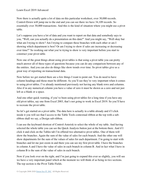Now there is actually quite a lot of data on this particular worksheet, over 30,000 records. Control-Down will jump me to the end and you can see there we have 34,109 records. So essentially over 30,000 transactions. And this is the kind of situation where you might use a pivot table.

Let's suppose you have a lot of data and you want to report on that data and somebody says to you, "Well, can you actually do a presentation on this data?" And you might say, "Well okay but what am I trying to show? Am I trying to compare these branches with each other or am I showing which department is best? Or am I trying to show if sales are increasing or decreasing over time?" So working out what you're trying to show is very important before you start to construct your pivot table.

Now one of the great things about using pivot tables is that using a pivot table you can pretty much answer all of these types of questions because you can do any comparison between any of the entities. And you can also do things like show trends over time. So pivot tables give us a great way of reporting on transactional data.

Now before we get started there are a few things I want to point out. You do need to have column headings and those must be different. As you'll see they're very important when it comes to using pivot tables. I've already mentioned previously not having any blank rows and columns. Also if in any numerical column you have a value of zero it must be shown as a zero and not just left as a blank or a space.

And one other quick warning, if you've been using pivot tables for a long time if you have any old pivot tables, say one from Excel 2003, that's not going to work in Excel 2019. So you'll have to recreate the pivot table.

So let's get started on a pivot table. The data here is actually in a table already and if I click inside it you will see that I access to the Table Tools contextual ribbon at the top with a subribbon shall we say, a Design sub-ribbon.

I can use the keyboard shortcut of Control-Asterisk to select the whole of my table. And having selected the whole table you can see the Quick Analysis button just at the bottom there. And if I click it and click on the Tables tab I'm offered two alternative pivot tables. One of them will show the branches. Again the sum of the value of sales for each branch. And the other one will show departments for the sum of the values of sales for each department. I'm going to start with branches and let me just zoom in and there you can see my first pivot table. I have the branches in column A and I have the value of sales in each branch in column B. And in fact what I have in column B is the sum of the value of sales in each branch.

Now if you look over on the right, and I'm just going to expand this ever so slightly, you will see we have a very important panel which at the moment we will think of as being in two sections. The top section is the Pivot Table Fields.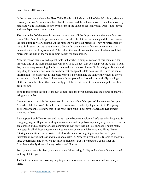In the top section we have the Pivot Table Fields which show which of the fields in my data are currently shown. So you notice here that the branch and the value is shown. Branch is shown by name and value is actually shown by the sum of the value or the total value. Date is not shown and also department is not shown.

The bottom half of the panel is made up of what we call the drop zones and there are four drop zones. There's a filter drop zone where we can filter the data we are seeing and then we can set the data out in rows or columns. At the moment we have our branches. They're represented by rows. So in each row we have a branch. We don't have any classification by column at the moment but we will in just minute. The values that are shown are the sum of values. And that represents the sum of the value column values for each branch.

Now the reason this is called a pivot table is that when a simpler version of this came in a long time ago one of the main advantages was seen to be the fact that you can pivot the X and Y axis. So you can swap something that is in rows and put it up to columns. So I could grab Branch and drag it up to columns and you can see how that changes the data because I still have the same information. The difference is that each branch is a column and the sum of the values is shown against each of the branches. If I had more things plotted horizontally or vertically or things plotted in both directions then I can easily pivot them. Let me just for a moment put Branches back to rows.

So to round off this section let me just demonstrate the pivot element and the power of analysis using pivot tables.

I'm now going to enable the department in the pivot table fields part of the panel on the right. And when I do that you'll be able to see a breakdown of sales by department. So I'm going to click Department. Note now that in the rows drop zone I now have Branch and Department showing in there.

But suppose I grab Department and move it up to become a column. Let's see what happens. So I'm going to grab Department, drag it to columns, and drop. Now my analysis gives me a row for each branch and a column for each department. Not only that but let's suppose I'm not really interested in all of those departments. Let me click on column labels and you'll see I have filtering capabilities. Let me switch off all of them and we're going to say that we're just interested in coffee, hot teas and juices and click OK. Now my pivot table is filtered to show just three departments and here I've got all four branches. But if I wanted to I could filter on Branches and only show it for say Atlanta and Houston.

So as you can see this gives you a very powerful reporting facility and we haven't even started looking at dates yet.

That's it for this section. We're going to go into more detail in the next one so I will see you there.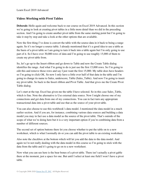#### **Video: Working with Pivot Tables**

**Deborah:** Hello again and welcome back to our course on Excel 2019 Advanced. In this section we're going to look at creating pivot tables in a little more detail than we did in the preceding section. And I'm going to create another pivot table from the same starting point but I'm going to take it step by step and take a look at the other options that are available.

Now the first thing I've done is convert the table with the source data in it back to being a range again. So it's no longer a source table. I already mentioned that it's a good idea to use a table as the basis of a pivot table so I am going to turn it back into a table again but I'm only going to use part of it. So I have over 30,000 rows of data and I'm going to use roughly 15,000 of them to create my pivot table from.

So, let's go up to the Insert ribbon and go down to Table and now the Create Table dialog identifies the range. And what I'm going to do is just use the first 15,000 rows. So I'm going to edit this and remove those rows and say I just want the first 15,000. My table does have headers so I'm going to click OK. So now I only have a little over half of that data in the table and I'm going to change its name to Sales, underscore, Table (Sales\_Table). And now I'm going to insert my pivot table. So back to the Insert ribbon and Pivot Table. And that gives me the Create Pivot Table dialog.

Let's start at the top. Excel has given me the table I have selected. So in this case Sales\_Table, which is fine. Note the alternative is Use external data source. Now I might choose one of my connections and get data from one of my connections. You can in fact turn any appropriate transactional data into a pivot table and use that as the source of your pivot table.

You can also choose to use this workbook's data model. I mentioned the data model in a much earlier section. And if you are, for instance, combining various data sources and building a data model you may in fact use a data model as the source of the pivot table. That's outside of the scope of what we're doing here but it is a very important option if you're combining data from a number of different sources.

The second set of option buttons there let you choose whether to put the table on to a new worksheet, which is what I normally do or you can add the pivot table to an existing worksheet.

Also note the checkbox at the bottom which will let you add the data to the data model. And again we're not really dealing with the data model in this course so I'm going to stick with the data from the table and it's going to go on to a new worksheet.

Now what you can see here is the bear bones of a pivot table. There isn't actually a pivot gable there at the moment, just a space for one. But until I select at least one field I won't have a pivot table.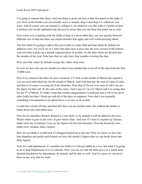I'm going to rename this sheet. And one thing to point out here is that this panel on the right, if you click on the header you can actually move it around, drag it and drop it to wherever you want. And of course you can expand it, collapse it, do whatever you like with it. I prefer to have it docked over on the righthand side but just be aware that you can float that panel out as well.

Now when you're dealing with the fields of data in a pivot table they can vary greatly between different sets of data but there are certain defaults that apply and well worth knowing about.

The first field I'm going to add to this pivot table is a date field and date fields by default are added as rows. So you'll see as I select the dates here it goes into the rows section at the bottom. And note that it picks up a default categorization of months. So the dates there are divided into the months of the year. Note here that we only have four months covering the data.

Note also that values by default occupy the values drop zone.

So now we have the sum by month over those four months that cover all of the data from the first 15,000 rows.

Now if we return to the dates for just a moment, if I click on the month of March and expand it you see each individual day for the month of March. And with that day the sum of value of sales, and that is of course covering all of the branches. Note that if I hover over each of cell I can see the figure for that cell. So the sum of the value. And it says it's in row March and I'm seeing data for the 5<sup>th</sup> of March. If I didn't want that month categorization I could just turn it off in my pivot table fields but then I finish up with all of the days in sequence. Now that's not normally something I recommend as an option but it is as easy to do as that.

I could also switch off date and then all I have are my month totals, but without the ability to break down into individual days.

Now let me introduce Branch. Branch is a text field, so by default it will be added to the rows. Watch where it goes in the rows. It goes below Date. And now if I were to expand say January under each day in January I can see the figures for the four branches. Note the hierarchy now, under rows, months, dates, branch.

How do you think it would look if I dragged branch up to the top? Now of course we have the four branches and under each branch we have the month's figures that we can break down into daily figures.

Now let's add department. It's another text field so it will get added as a row, but what I'm going to do is drag Department over to columns. Now you can see that the table gives us a much more detailed breakdown by department, by branch, and by date as well. And of course we can pivot these in any way that we want.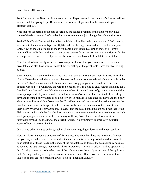So if I wanted to put Branches in the columns and Departments in the rows that's fine as well, so let's do that. I'm going to put Branches in the column, Department in the rows and I get a different display.

Note that for the period of the data covered by the reduced version of the table we only have some of the departments. Let's go back to the store data and just change that table at this point.

So the Table Tools Design tab has a Resize Table option. Notice it's got to have 15,000 rows, so let's set it to the maximum figure of 34,109 and OK. Let's go back and take a look at our pivot table. Now on the Analyze tab in the Pivot Table Tools contextual ribbon there is a Refresh button. Click on Refresh and now of course we can see for all departments and the figures for the whole period of time covered by our data because we now have all of that data in our table.

Now I want to look briefly at one or two examples of ways that you can control the data in a pivot table and also how you can control the formatting of the pivot table. Let's start by looking at date.

When I added the date into the pivot table we had days and months and there is a reason for that. Notice I have the month there selected, January, and on the Analyze tab, which is available under the Pivot Table Tools contextual ribbon there is a Group group and in there I have different options. Group Field, Ungroup, and Group Selection. So I'm going to click Group Field and for a date field or a date and time field there are a number of standard ways of grouping those and this is set up to provide days and months, which is what you've seen so far. If instead of providing days and months I only wanted to be able to work in months I could uncheck Days and then only Months would be available. Note also that Excel has detected the start of the period covering the data that is included in this pivot table. So now I only have the dates in months. I can't break them down by down by day anymore. I haven't lost the data. I could just go back into that Group Field option and switch the days back on again but sometimes you either want to change the high level grouping or sometimes as here you may well say, "Well I never want to look at the individual days as I'm looking at the overall figures." So grouping is another very important aspect of how to present the data.

One or two other features on here, such as Slicers, we're going to look at in the next section.

Now let's look at a couple of aspects of formatting. You now that these are amounts of money but you may actually want to indicate that they are amounts of money. What you don't want to do is select all of these fields in the body of the pivot table and format them as currency because as soon as the data changes they would all be thrown out. There is in effect a styling approach to this. So all you need to do is select one of the values and on the Analyze tab one of the options is Field Settings. What you've got in here is the sum of value. That is you have the sum of the value, so in this case the breads that were sold in Phoenix in January.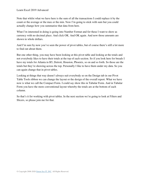Note that whilst what we have here is the sum of all the transactions I could replace it by the count or the average or the max or the min. Now I'm going to stick with sum but you could actually change how you summarize that data from here.

What I'm interested in doing is going into Number Format and for these I want to show as currency with no decimal place. And click OK. And OK again. And now those amounts are shown in whole dollars.

And I'm sure by now you've seen the power of pivot tables, but of course there's still a lot more to find out about them.

But one other thing, you may have been looking at this pivot table and looking at the totals and not everybody likes to have their totals at the top of each section. So if you look here for breads I have my totals for Atlanta in B5, Detroit, Houston, Phoenix, so on and so forth. So those are the totals but they're showing across the top. Personally I like to have them under my data. So you can again change that in pivot tables.

Looking at things that way doesn't always suit everybody so on the Design tab in our Pivot Table Tools ribbon we can change the layout or the design of the overall report. What we have now is what we call the Compact Form. I could say show this in Tabular Form. And in Tabular Form you have the more conventional layout whereby the totals are at the bottom of each column.

So that's it for working with pivot tables. In the next section we're going to look at Filters and Slicers, so please join me for that.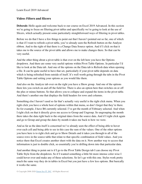#### **Video: Filters and Slicers**

**Deborah:** Hello again and welcome back to our course on Excel 2019 Advanced. In this section we're going to focus on filtering pivot tables and specifically we're going to look at the use of Slicers, which actually present some particularly straightforward ways of filtering in pivot tables.

Before we do that I have a few things to point out that I haven't pointed out so far, one of which is that if I want to refresh a pivot table, you've already seen the Refresh button on the Analyze ribbon. And to the right of that there is a Change Data Source option. And if I click on that it takes me to the source of the pivot table and allows me to make changes there. So that can be very useful.

And the other thing about a pivot table is that over on the left here you have the Options dropdown. And there are some very useful options within Pivot Table Options. In particular I'd like to look at the Data tab. And one of the options on the Data tab is Refresh data when opening a file. It can be quite useful to have that set, particularly if your pivot table depends on data which is being refreshed from outside of itself. It's well worth going through the tabs in the Pivot Table Options and setting your options as you would like them.

And also on the Analyze tab over on the right you have a Show group. And one of the options there lets you switch on and off the field list. There is also an option here that switches on or off the plus or minus buttons. So that allows you to collapse and expand the items in the pivot table. And there's another one that displays the field headers for rows and columns.

Something else I haven't used so far that's actually very useful is the right click menu. When you right click you have a whole host of options within that menu, so don't forget that they're there. So for example, I have B6 currently selected. I've got the month of February selected. And when I right click on that it directly gives me access to Group and Ungroup. So ungrouping the month there takes the data right back to the original dates from the source data. And if I right click again and go to Group and group the dates by month it takes me back to how we were.

And as far as the data itself is concerned we've already seen the effect of being able to hover over each cell and being able to see in this case the sum of the values. One of the other options you have here is to right click and go to Show Details and it takes you through to all of the source rows in the source table that relate to that specific combination of field values. And you notice there that Excel creates another sheet with the data on it. Now another way to access that information is just to double click, so essentially you're drilling down into that particular data.

And another thing to point out is if I go to the Pivot Table Design tab I can choose my Pivot Table Style from the dropdown. So if I wanted something a little bit more intense color-wise I could hover over and make any of these selections. So let's go with this one. Styles work pretty much the same way they do in tables in Excel but you just have a few less options. But basically it works the same.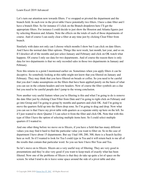Let's turn our attention now towards filters. I've swapped or pivoted the department and the branch field. In each row in the pivot table I have potentially two filters. I have a date filter and I have a branch filter. So for instance if I click on the Branch dropdown here I'll get the appropriate filters. For instance I could decide to just show the Houston and Atlanta figures just by selecting Houston and Atlanta. Note the effects on the totals of each of those departments of course. And of course I can easily clear a filter at any time just by clicking Clear Filter from branch.

Similarly with dates not only can I choose which months I show but I can click on date filters. And I have the normal date filter options. Things like next week, last month, last year, and so on. If I deselect all of the months and just select January and February and click on OK watch what happens. Of course I only see data for two departments. And of course the reason there is only data for two departments is that we only recorded sales in those two departments in January and February.

Now this returns to a point I mentioned earlier on. Sometimes when you apply filters it can be deceptive. So somebody looking at this table might not know that you filtered on January and February. They may think that you have filtered on breads or coffee. So you need to be careful that you don't make assumptions on the filters that have been applied purely on the basis of what you can see in the column headers and row headers. Now of course the filter symbols are a clue but you need to be careful people don't jump to the wrong conclusion.

Now another very useful feature when you're filtering is this and what I'm going to do is remove the date filter just by clicking Clear Filter from Date and I'm going to right click on February and go into Group and I'm going to group by months and quarters and click OK. And I'm going to move the quarters field up into the filters drop zone. So I'm going to drag and drop. Now what you can see is that I have my pivot table with quarters as a separate entity up here on the left. So if I just wanted to show Quarter 2 I can select it from the filter and click OK. Note that with this type of filter I have the option of selecting multiple items here. So I could select multiple quarters if I wanted to.

And one other thing before we move on to Slicers, if you have a field that has many different values you may find it hard to find the particular value you want to filter on. So in the case of department I have about 15 departments. But say I had 100, 200, 300, there is a Search facility here as well. So if I wanted to look for Tea I could type in Tea and it will return back to me all of the results that contain that particular word. So you see here I have Hot Teas and Tea.

So let's move on to Slicers. Slicers are a very useful way of filtering. They are very good in presentations and they're also very good if you want to keep track of exactly what has been filtered. Now one of the problems of Slicers is that they do take up quite a lot of space on the screen. So what I tend to do is leave some space around the side of a pivot table and also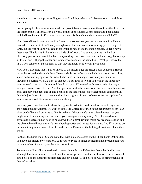sometimes across the top, depending on what I'm doing, which will give me room to add those slicers in.

So I'm going to click somewhere inside the pivot table and now one of the options that I have in the Filter group is Insert Slicer. Now that brings up the Insert Slicers dialog and I can decide which slicers I want. So I'm going to have slicers for branch and department and click OK.

Now these slicers basically work like filters. And sometimes you get in situations like I have here where there sort of isn't really enough room for them without obscuring part of the pivot table, but the sort of thing you can do for instance here is use the sizing handle. So let's move these over. This is why I like to leave a little bit of room. And as you can see it's kind of obscuring part of my pivot table but I can just drag that resize handle in and also drag that one up a little bit and it'll pop the other one in underneath and do the same thing. We'll just resize that in. So you can sort of adjust them so that they fit nicely next to your pivot table.

Now you'll also note that if I click on one of the slicers I get the Slicer Tools contextual ribbon tab at the top and underneath there I have a whole host of options which I can use to control my slicer, so formatting options. But what I also have is I can adjust how many columns I'm viewing. So currently I have it set to one but if I put it up to two, if you look at the slicer now you can see I have two columns and I could carry on if I wanted to. It gets a little bit crazy so let's just break it down like so. And that gives me a little bit more room because I can then resize and I can move the next one up and I could do the same thing just to keep things consistent. In fact let's just do two for that one and drag it up slightly. So you do have formatting options for your slicers as well. So now let's do some slicing.

Let's suppose I want a slice to show the figures for Atlanta. So if I click on Atlanta my results are filtered just for Atlanta. If I want to apply the Coffee filter then in the department slicer I can click on Coffee and I only see coffee for Atlanta. Of course it's quite often the case that you might want to see multiple items, which you can again do very easily. So if I wanted to see coffee and hot tea I'd just need to hold down the Control key and make my second selection and the pivot table will update so it's now showing coffee and hot tea for Atlanta. And if I want to do the same thing in my branch filter I could click on Detroit whilst holding down Control and there we go.

So that's the basic use of Slicers. Note that with a slicer selected on the Slicer Tools Options tab you have the Slicers Styles gallery. So if you're trying to match something in a presentation you have a number of slicer styles there to choose from.

To remove a slicer all you need to do is select it and hit the Delete key. Note that in this case although the slicer is removed the filters that were specified on it are still in force but of course I could click on the department filter here and say Select All and click on OK to bring back all of that information.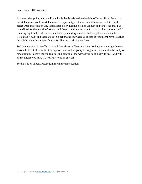And one other point, with the Pivot Table Tools selected to the right of Insert Slicer there is an Insert Timeline. And Insert Timeline is a special type of slicer and it's related to date. So if I select Date and click on OK I get a date slicer. Let me click on August and you'll see that I've now sliced for the month of August and there is nothing to show for that particular month and I can drag my timeline slicer out, and let's try and drag it out so that we get some data in here. Let's drag it back and there we go. So depending on where your data is you might have to adjust this slightly but this is specifically for filtering or slicing on dates.

So I can use what is in effect a visual date slicer to filter on a date. And again you might have to leave a little bit of room for this type of slicer so I'm going to drag mine down a little bit and just reposition this across the top like so, and drag it all the way across so it's easy to see. And with all the slicers you have a Clear Filter option as well.

So that's it on slicers. Please join me in the next section.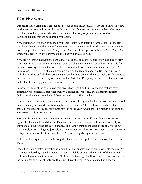## **Video: Pivot Charts**

**Deborah:** Hello again and welcome back to our course on Excel 2019 Advanced. In the last few section we've been looking at pivot tables and in this final section on pivot tables we're going to be taking a look at pivot charts, which are an excellent way of presenting the kind of transactional data that we build into pivot tables.

Now creating a pivot chart from the pivot table is simplicity itself. I've got a subset of the store data here. I've just got the figures for January, February and March. And if you click anywhere inside the pivot table there is an Analyze tab. And one of the options in there is Pivot Chart. And when you click on Pivot Chart you get the Insert Chart dialog box.

Now the first thing that happens here is that you choose the sort of chart you would like to draw. Now there is whole selection of standard of Excel charts there, not all of which are suitable for use with pivot style data but what Excel will normally do is present a recommended chart. And in this case it's given us a clustered column chart as the recommendation. So I'm going to go with that. And by default the chart is created on the same sheet as the pivot table. So I'm going to move it to a separate sheet in just a moment but first of all I'm going to resize the chart and just make it a little bit bigger so that it's easy for us to see.

So now let's look at the controls on this pivot chart. The first thing to know is that we have effectively three filters, a date filter facility, a branch filter facility, and a department filter facility. And you can see which of these currently has a filter applied.

Now again we're in a situation where we can only see the figures for five departments there. And there's actually no department filter applied at the moment. There is however a date filter applied. We can only see the first three months of the year. And there is no branch filter applied. We're seeing all of the branches.

The point is though that we can now filter as much as we like. So if I didn't want to see the figures for Phoenix I could deselect Phoenix, click OK and the chart will update. And if I just wanted to see the figures for coffee and tea, and I don't think there actually are any for tea but we'll deselect everything and just select coffee and tea and click OK. And there we go. There are no figures for tea for this time period so we're just seeing the figures for coffee.

Notice the filter symbols here indicating that there is a filter applied. Let's remove those filters again.

One other feature that's interesting is a new filter that enables you to drill down into the data. So where we're looking at the horizonal axis here, which is basically the months of the year and within each month the four branches, if I click the minus sign I will lose one level of structure on the horizontal axis. So I'll only see three months of the year. And of course I will see the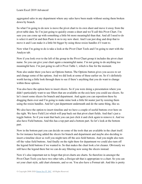aggregated sales in any department where any sales have been made without seeing them broken down by branch.

So what I'm going to do now is move the pivot chart to its own sheet and move it away from the pivot table data. So I'm just going to quickly create a sheet and we'll call this Pivot Chart. I'm sure you can come up with something a little bit more meaningful than that. And all I need to do is select it and Cut and then Paste it on to my new sheet. And I can just drag and drop that to move it and I can make it a little bit bigger by using those resize handles if I want to.

Now what I'm going to do is take a look at the Pivot Chart Tools and I'm going to start with the Analyze tab.

Now if you look over to the left of the group in the Pivot Chart group it includes the pivot chart name. So you can give your chart again a meaningful name. I'm not going to do anything too meaningful here. I'm just going to call it Pivot Table 1, which is fine for the moment.

Note also under there you have an Options button. The Options button gives you access to set and change some of the options. And we did look at some of these earlier on. So it's definitely worth having a little look through there to see if there's anything that you do want to change within those options.

You also have the option here to insert slicers. So if you were doing a presentation where you didn't particularly want to use filters that are available on the axis here you could use slicers. So let's insert some slicers for branch and department. And again you can reposition these by dragging them over and I'm going to make mine look a little bit neater just by resizing them using the resize handles. And let's put department underneath and do the same thing, like so.

We also have the option to insert timeline and we have a couple of useful buttons over here on the right. We have Field List which will pop back out that pivot chart fields. And that's just a toggle button. So if you want that back you can just click it and click again to remove it. And we also have Field buttons. And this has a top part and a bottom part. So let's look at the bottom part.

Now in the bottom part you can decide on some of the tools that are available in the chart itself. So for instance having added the slicers for branch and department and maybe also deciding to insert a timeline slicer as well you might turn off the axis field buttons. And you might also turn off the value field buttons. And finally on the right there for department we could also turn off the legend field buttons if we wanted to. So that makes the chart look a lot cleaner. Obviously we still have the legend there but we can do any filtering now using the slicers instead.

Now it's also important not to forget that pivot charts are charts. So therefore in amongst the Pivot Chart Tools you have two other tabs, a Design tab that is appropriate to a chart. So you can set your chart style, add chart elements, and so on. You also have a Format tab. And this is pretty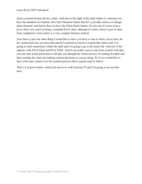much a normal format tab for a chart. And also to the right of the chart whilst it's selected you have the standard two buttons, the Chart Elements button that let's you add, remove or change chart elements, and below that you have the Chart Styles button. So you can of course treat a pivot chart very much as being a standard Excel chart, although of course where it gets its data from compared to most charts is a very complex business indeed.

Now there is just one other thing I would like to show you here or start to show you at least. So let's jump back into our store data and let's pretend we haven't created that chart at all. I'm going to click somewhere within the table and I'm going to go to the Insert tab. And one of the options is the Pivot Chart and Pivot Table. And if you really want to start from scratch with data you can start at that point and it will take you through the whole process of creating the table and then creating the chart and making various decisions as you go along. So if you would like to have a bit more control over the creation process that's a great route to follow.

That's it on pivot charts, which just leaves us with Exercise 07 and I'm going to set you that next.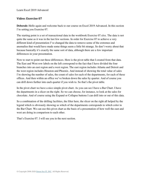#### **Video: Exercise 07**

**Deborah:** Hello again and welcome back to our course on Excel 2019 Advanced. In this section I'm setting you Exercise 07.

The starting point is a set of transactional data in the workbook Exercise 07.xlsx. The data is not quite the same as it was in the last few sections. In order for Exercise 07 to achieve a very different kind of presentation I've changed the data to remove some of the extremes and anomalies that would have made some things seem a little bit strange. So don't worry about that because basically it's exactly the same sort of data, although there are a few important differences in your presentation.

Now to start to point out these differences. Here is the pivot table that I created from that data. The East and West row labels on the left correspond to the fact that I have divided the four branches into an east region and a west region. The east region includes Atlanta and Detroit and the west region includes Houston and Phoenix. And instead of showing the total value of sales I'm showing the number of sales, the count of sales for each of the departments, for each of these offices. And then within an office we've broken down the sales by quarter. And of course you can drill down further into each quarter if you wish to. So that's the pivot table.

In the pivot chart we have a nice simple pivot chart. As you can see I have a Bar Chart. I have the departments in a slicer on the right. So we can choose, for instance, to look at the sales for chocolate. And of course using the Expand or Collapse buttons I can drill into or out of this data.

So a combination of the drilling facilities, the filter here, the slicer on the right all helped by the legend which is obviously showing us which of the departments corresponds to which color in the Bar Chart. We can use this pivot chart as the basis of a presentation of how well the east and west are doing in comparison to each other.

That's Exercise 07. I will see you in the next section.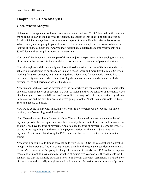## **Chapter 12 – Data Analysis**

## **Video: What If Analysis**

**Deborah:** Hello again and welcome back to our course on Excel 2019 Advanced. In this section we're going to start to look at What If Analysis. This takes us into an area of data analysis in Excel which has always been a very important aspect of its use. Now in order to demonstrate What If Analysis I'm going to go back to one of the earlier examples in the course when we were looking at financial functions. And you may recall that calculated the monthly payments on a \$5,000 loan with assumptions about an interest rate.

Now one of the things we did a couple of times was just to experiment with changing one or two of the values that we used in the calculations. For instance, the number of payment periods.

Now although we did this manually and I used it to demonstrate the use of the function there is actually a great demand to be able to do this on a much larger and more flexible scale. So I was working for a loan company and I was doing these calculations for somebody I would like to have a nice big worksheet where I can just plug the relevant values in and come up with the payment terms and periods of payment and so on.

Now this approach can now be developed to the point where we can actually aim for a particular outcome, such as the level of payment we want to make and then we can look at alternative ways of achieving that. So essentially we can look at different ways of achieving a particular goal. And in this section and the next few sections we're going to look at What If Analysis tools. So Goal Seek and the use of Solver.

Now we're going to start with an example of What If. Now before we do I would just like to remind you of something we did earlier on.

Now I have there in column C a set of values. There's the annual interest rate, the number of payment periods, the principle value which is basically the amount of the loan, and in row six in column C we have the type of payment. And of course the type of payment determines if we're paying at the beginning or at the end of the payment period. And in cell C8 we have the payment. And it's calculated using the PMT function. And we covered that earlier on in the course.

Now what I'm going to do first is copy the cells from C2 to C8. So let's select them, Control-C to copy to the clipboard. And I'm going to paste them into the equivalent position in column D. Control-V to paste. And I'm going to change the number of periods from 120, so that's ten years essentially of monthly payments to 60 which is of course five years of monthly payments. So I can now see that the monthly payment I need to make with these new parameters is \$93.96. Now of course it would be really straightforward to do the same for various other numbers of periods.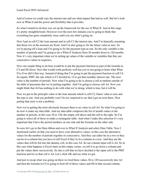And of course we could vary the interest rate and see what impact that had as well. But let's look now at What if and the power and flexibility that it provides.

So what I started to do here was set up the framework for the use of What If. And at this stage it's pretty straightforward. However over the next few minutes you're going to think that everything has gone completely crazy until you see what's going on.

Now I put in cell C2 the loan amount and in cell C3 the interest rate. And I'm basically assuming that those two at the moment are fixed. And I'm also going to fix the future value at zero. So we're paying off a loan and I'm going to fix the payment type as one. So the only variable is the number of periods and I'm going to do a What If Analysis from 36 months down to 120 months. Now it's very important when we're setting up values of the variable or variables that they are consecutive values in sequence.

Now one simple thing to do here would be to put the payment function as part of the formula in C5 and fill down. Now that would work perfectly well but you're not going to learn what What If is if we did it that way. Instead of doing that I'm going to put the payment function in cell C4. So equals, PMT, the rate which is C3 divided by 12 to get that monthly interest rate. The next value is the number of periods. Now what I'm going to do is choose a cell at random outside of the table of payments that we're putting together. And I'm going to choose cell A4. Now you might think that A4 has nothing to do with what we're doing, which is true, but it will be.

Now we put in the principle value or the loan amount which is cell C2, future value is zero and the type is one. And you probably won't be too surprised to see that I get an error there. Now getting that error is not a problem.

Now we're getting the error obviously because there is no value in cell A4. So what I'm going to do now is make my data table. And my data table comprises the list of month values or the number of periods, in this case 36 to 120, the empty cell above and the cell to the right. So I'm going to select all of those to make a rectangular table. And when I make this selection it's very important that I have the period numbers on one side and the formula on the other side.

So now let's go to the Data ribbon and over to What If Analysis and select Data Table. Now I mentioned earlier on that you need to have your alternative values, in this case the alternative values for the number of periods together or consecutive. And they can either be in a row or they can be in a column but you have to tell Excel if they're in a column or a row. And they are the values that will be fed into the dummy cell, in this case A4. So our column input cell is A4. So in this case what happens is Excel starts at this empty corner, we tell it to go down a column and put the values there successively. So into a cell that we have decided is the input cell to the PMT function and for us that cell is A4. Let's click OK and see what we get.

And just to recap what was going on there we feed these values 36 to 120 successively into A4 and then the formula in C4 is going to feed off of those values and fill in that second column.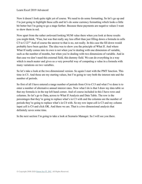Now it doesn't look quite right yet of course. We need to do some formatting. So let's go up and I'm just going to highlight these cells and let's do some currency formatting which looks a little bit better but I'm going to go a stage further. Because these payments are negative values I want to show them in red.

Now apart from the rather awkward looking NUM value there when you look at those results you might think, "Fine, but was that really any less effort than just filling down a formula in cells C5 to C12?" And of course the answer to that is no, not really. In this case the fill down would probably have been quicker. The idea was to show you the principle of What If. And where What If really comes into its own is not when you're dealing with one dimension of variable, such as the number of months, but when you're dealing with two dimensions of variable. And in that case we don't need this external field, this dummy field. We can do everything in a way which is much neater and gives us a very powerful way of computing a value in a formula with many variations on two variables.

So let's take a look at the two dimensional version. So again I start with the PMT function. This time in C5. And those are my starting values, but I'm going to vary both the interest rate and the number of periods.

So first of all I have entered a range number of periods from C6 to C13 and what I've done is to enter a number of alternative annual interest rates. Now what I do is that I draw my data table so that my formula is in the top left hand corner. And of course included in this I have rows and columns. So let's go to Data, across to What If Analysis and Data Table. The row is the percentages that they're going to replace what's in C3 with and the columns are the number of periods they're going to replace what's in C4 with. So my row input cell is C3 and my column input cell is C4 and click OK. And there we are. That is a two dimensional analysis that definitely saves some time.

In the next section I'm going to take a look at Scenario Manager. So I will see you there.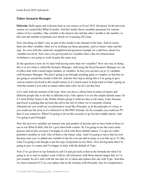#### **Video: Scenario Manager**

**Deborah:** Hello again and welcome back to our course on Excel 2019 Advanced. In the previous section we created this What If model. And this model shows monthly payments for various values of two variables. One variable is the interest rate and the other variable is the number, in this case the number of periods over which we're paying off a loan.

Now one thing we didn't vary as part of this model is the amount of the loan. And of course there are other variables when we're working out these payments, such as future value and the type. So even with this relatively straightforward payment example we could have about five variables involved. Now once you get beyond two variables then a flat two dimensional worksheet is not going to work in quite the same way.

So the question is how do we deal with having more than two variables? Now one way of doing this is to use what is called the Scenario Manager. And using the Excel Scenario Manager we can in effect deal with a much larger number of variables. In fact you can have up to 32 variables with Scenario Manager. We aren't going to go through anything quite as complex as that but we are going to extend this model a little bit. And the first step to doing this is I'm going to give various entities involved in this model names as it's much easier to keep track of what's going on with this model if you refer to names rather than cells. So let's do that first.

Let's start with the amount of the loan. Now you have a choice here in terms of names and different people like to do this in different ways. One option is to use the simple default name. So if I click Define Name is the Define Names group I could use this as the name, Loan Amount, and Excel is picking that up from the cell to the left of where we're currently clicked. Alternatively you could use an informative word like Principle, as in the principle of a loan, or you could use the term as it's referred to in the PMT formula. So for example you could use PV here if you wanted to. What I'm going to do on this occasion is go for that middle option. And I'm going to put Principle.

Now the next two variables are interest rate and number of periods and we have both of those in use in our What If table. But let's give them both a name. So I'm going to use the exact same process and on this occasion I'm happy to stick with those default names. I've got two other potential variables as well. One of them is the future value. And I'm going to leave that for now because once you've added one variable to the list you can add as many as you like up to 32. But what I'm going to do though is put the type of payment in row three. Now having done that I'm going to give it a name and I'm happy to stick with the default of Type.

Now if we go down to our formula in cell C6 and just look at that in the formula bar what I'm going to do is start to replace some of these cell references with those named ranges that we've just created. So let's start with the one that we've done and replace this one with Type. And then of course instead of C2 we can replace that in the formula with Principle. Just for completeness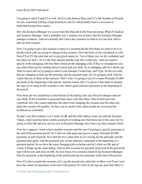I'm going to add C4 and C5 as well. So C4 is the Interest Rate and C5 is the Number of Periods. So now somebody looking at that formula in cell C6 will probably find it a lot easier to understand using those names.

Now the Scenario Manager we access from the Data tab in the Forecast group, What If Analysis and Scenario Manager. And it probably won't surprise you to know that the Scenario Manager manages scenarios. And we currently don't have any scenarios to find so we can click Add to add our first scenario.

Now I'm going to give this scenario a name in a moment but the first thing we need to do is to decide which cells are going to change in this scenario. Now the basis of our calculation is cells from C2 to C5, the ones that we've just given names to. Two of them vary on the worksheet and the other two don't. So it's the loan amount and the type that would vary. And you need to specify in the changing cells box there which are the changing cells. If they're nonadjacent you can select them just by holding down Control and you click. So in changing cells let's delete out what we have and we're going to select Loan Amount, Control key, and Type. So the two cells that are changing in here are the principle and the payment type. So I'm going to stick with the values that are in those at the moment. That's why I'm going to say for a name Principle \$5,000 payments at the beginning of the period. And the reason why I've given it that name is because the type we're using in this scenario is one which again indicates payments at the beginning of the period.

Now there are two checkboxes at the bottom of the dialog. One says Prevent changes and one says Hide. If the worksheet is protected then these will take effect. One of them prevents somebody else who cannot unprotect the sheet from changing the scenario and the other one hides the scenario all together. So they can be useful when other people are accessing this workbook or worksheet.

So that's our first scenario. Let's click on OK and this little dialog comes up with the Scenario Values. And Excel has done a pretty good job at working out what those are in this case. So I'm going to click OK and you can see now in Scenario Manager that I have my first scenario listed.

Now let's suppose I want to have another scenario and this one I'm going to specify payments at the end of the payment period. So I click on Add again and give it a name, Principle \$5,000 payments at end of period. Now that the two values that we're varying are the principle and the payment type again. And the payment type of one indicates a payment at the beginning of a payment period. So we have the same changing cells as before and let's click on OK and of course it brings up the same dialog. And on this occasion for payment at the end of the period the type will be zero and click on OK. So now I have two scenarios listed in my Scenario Manager. One for payments at the beginning of the period and one for payments at the end of the period.

Now if I select a particular scenario, let's say the second one, and click on Show you'll see I now have the values for payments at the end of the period. If I click on the top one and click Show it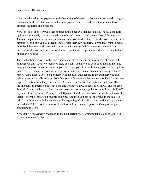shows me the values for payments at the beginning of the period. So you can very easily toggle between your different scenarios that you've created to see those different values and those different scenarios and situations.

Now let's look at one or two other options in this Scenario Manager dialog. We have the Edit option and obviously that lets you edit the selected scenario. And there's also a Merge option. This can be particularly useful in situations where you've distributed a workbook to a number of different people and you've asked them to create their own scenario. So you may want to merge those back into one workbook and you can use this merge facility to merge scenarios from different workbooks and different worksheets, put them all together to perhaps look at a full set of scenario options.

The final option is a very useful one because one of the things you may have realized is that although we only have two scenarios there you can't actually look at both of them at the same time, which makes it hard to do a comparison. But if you click on Summary you get two options there. One of them is the produce a scenario summary or you can create a scenario pivot table report. And I'll leave you to experiment with the pivot table report. In the summary you can select one or more cells to show. So let's suppose for example that we were looking for the least expensive option for a ten year loan, so 120 months, at 5%. So this particular cell here, H14 is the one that I'm interested in. That's the one I want to show. So let's click on OK and we get a Scenario Summary Report. Now note our two scenarios are along the top here, Principle \$5,000 payment at the beginning, Principle \$5,000 payment at the end and you can see the values of the variables for the scenarios, principle and type. And then you can see the value in the selected cell. So in this case with the payment at the beginning it's \$52.81 a month and with a payment at the end it's \$53.03. So if in this case I want to find the cheapest option that's a good way of comparing the cost.

Now that's it on Scenario Manager. In the next section we're going to take a look at Goal Seek so please join me for that.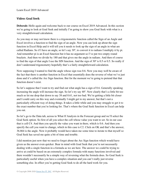## **Video: Goal Seek**

**Deborah:** Hello again and welcome back to our course on Excel 2019 Advanced. In this section we're going to look at Goal Seek and initially I'm going to show you Goal Seek with what is a very straightforward calculation.

As you may or may not know there is a trigonometric function called the Sign of an Angle and Excel involves a function to find the sign of an angle. Now you can look up about the sign function in Excel Help and it will tell you it needs to look up the sign of an angle in what are called Radians. So if I have an angle, so let's say 30°, to convert it to radians I multiply it by pi. And remember pi is an Excel function but it has no argument so I've put two empty round brackets. And then we divide by 180 and that gives me the angle in radians. And then of course to find the sign of that angle I use the SIN function. And the sign of  $30^{\circ}$  is 0.5 or 0.5. So really if don't understand trigonometry hopefully that's a fairly straightforward calculation.

Now supposing I wanted to find the angle whose sign was 0.6. Now you may well be aware of the fact that there is another function in Excel that essentially does the reverse of what we've just done and it's called the Arc Sign function. But for the moment we're going to pretend that that function doesn't exist.

So let's suppose that I want to try and find out what angle has a sign of 0.6. Generally speaking increasing the angle will increase the sign. So let's try say 40°. Now clearly that's a little bit too much so let me drop that down to say 38 and 0.61, not too bad. We're getting a little bit closer and I could carry on this way and eventually I might get to my answer, but that's not a particularly efficient way of doing things. It takes a little while and you may struggle to get it to the exact number that you're looking for. That's where the Goal Seek function in Excel can help you out.

So let's go to the Data tab, across to What If Analysis in the Forecast group and we'll select the Goal Seek option. So first of all you select the cell whose value you want to set. So in our case that is cell C4. And then you specify the value you want in there, which is 0.6. And then you specify the cell you want to change, which in this case is C2. Click on OK and that's the answer, 36.864 is the angle. Now it probably would have taken me some time to iterate to that myself so Goal Seek has saved me quite a bit of time and trouble.

I did mention just now that we need to forget about the Arc Sign function which would have given us the answer even quicker. Bear in mind with Goal Seek that you're not necessarily dealing with a single function in a formula as we are here. The answer we could be trying to arrive at could be based on an extremely complex formula with many functions involved and there wouldn't necessarily be a simple way of reversing what the formula does. So Goal Seek is particularly useful when you have a complex situation and you can't really just reverse something else. In effect you're getting Goal Seek to do all the hard work for you.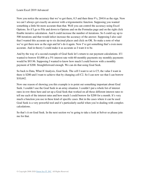Now you notice the accuracy that we've got there, 0.5 and then three 9's, 20416 as the sign. Now we can't always get exactly an answer with a trigonometric function. Supposing you wanted something a little bit more accurate than that. Well you can control the accuracy using Excel Options. So if I go to File and down to Options and on the Formulas page and on the right click Enable iterative calculation. And I could increase the number of iterations. So I could say up to 500 iterations and that would infect increase the accuracy of the answer. Supposing I also said that I wanted this accurate up to six decimal places and click on OK. So make a note of what we've got there now as the sign and let's do it again. Now I've got something that's even more accurate. And in theory I could make it as accurate as I want it to be.

And by the way of a second example of Goal Seek let's return to our payment calculations. If I wanted to borrow \$5,000 at a 5% interest rate with 60 monthly payments my monthly payments would be \$93.96. Supposing I wanted to know how much I could borrow with a monthly payment of \$200. Straightforward enough. We can do that using Goal Seek.

So back to Data, What If Analysis, Goal Seek. The cell I want to set is C5, the value I want in there is \$200 and I want to achieve that by changing cell C2. So I can now see that I can borrow \$10,642.

Now one reason of showing you this example is to point out something important about Goal Seek. I couldn't use the Goal Seek in an array situation. I couldn't put a whole list of interest rates in row three here and set up a Goal Seek that worked on all those different interest rates to tell me each of the interest rates and how much I could borrow for \$200 for a month. It's very much a function you use in these kind of specific cases. But in the cases where it can be used Goal Seek is a very powerful tool and it's particularly useful when you're dealing with complex calculations.

So that's it on Goal Seek. In the next section we're going to take a look at Solver so please join me for that.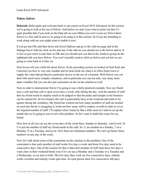#### **Video: Solver**

**Deborah:** Hello again and welcome back to our course on Excel 2019 Advanced. In this section we're going to look at the use of Solver. And before we start I just want to point out that it's quite possible that if you look on the Data tab on your ribbon you won't even see Solver there. Solver is a free add-in and we're going to be using it in this section. So if you are intending to work along with me you might want to enable it now.

If you go into File and then down into Excel Options and go to the Add-ins page and in the Manage Excel Add-ins click on Go and one of the add-ins you should see is the Solver add-in. It is free so just select it and click on OK and you should now see that in the Analysis group on the righthand side you have Solver. You won't actually need to click on Solver just yet but we are going to come back to it later on.

Now let me tell you a little bit about Solver. In the preceding section we looked at Goal Seek and I showed you how to vary one variable and let Goal Seek use what is in effect brute force to supply the value that produced a particular answer in the use of a formula. With Solver you can deal with much more complex situations, and in particular you can not only vary many more input variables but you can also put constraints on the on the solution as well.

Now in order to demonstrate Solver I'm going to use a fairly practical example. Now my friend runs a café and that café is open seven days a week, only during the day. And the number of staff that my friend needs to employ needs to be judged so that the peaks and troughs in the business can be catered for. So for instance the café is particularly busy at the weekend and tends to be quieter during the weekdays. My friend has worked out how many members of staff are needed on each day but he is struggling to work out how many staff to employ overall in order to cover the required number of staff. I'll explain what I mean by that a little more as I start to set up the model that we're going to use to solve this problem. So let's start to build this roster for my friend.

Now first of all you can see the seven days of the week there, Sunday to Saturday. And in row 16 I've put the number of staff my friend needs in the café. So 11 are needed on a Sunday, 7 on a Monday, 9 on a Tuesday, and so on. Now these are minimum numbers. We can't go below these numbers on any day of the week.

Now let's talk about some of the constraints on the solution to this problem. One of the constraints is that each member of staff works five days a week and those five days need to be consecutive days. One of the reasons for this is that each member of staff must have two days a week clear as their weekend break even if it's on say a Monday and a Tuesday or a Tuesday and a Wednesday, so on and so forth. The five days they work are five consecutive days, nobody works overtime and nobody works part-time. So each person does five consecutive full days.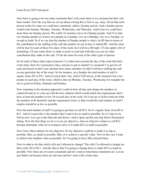Now there is going to be one other constraint that I will come back to in a moment but that's the basic model. Now the way that we set out about solving this is first to say, okay. Given that each person works five days we could have somebody called a Sunday person. And a Sunday person would work Sunday, Monday, Tuesday, Wednesday, and Thursday. And in fact we could have more than one Sunday person. We could, for instance, have two Sunday people. And if we had two Sunday people we'd have two people on a Sunday, two on a Monday, two on a Tuesday, so on and so forth. So if we say that the number of Sunday people is what's in B5 then in terms of the contribution to the staffing of the café the number we put in here is indeed B5. And the same will be true for each of those five days of the week. So I will do a fill right. I'll also apply a bit of formatting. I'll just center those to make it easier to read and with that you can see what contribution they make to the café. I'll do the same for each of the other types of person.

So for each of these other types of person I've taken into account the day of the week that their week starts, their five consecutive days, and just to get us started I've assumed I've got two of each and based on that I can calculate how many members of staff I will have staffing the café on any particular day of the week. So for instance, on a Sunday the total number of staff is equals, Sum, D5 to D11. And of course that's ten. And if I fill across, at the moment I have ten people on each day of the week, which is fine on Monday, Tuesday, Wednesday for example but not so good on Friday, Saturday and Sunday.

Now returning to the iteration approach I could sit here all day and change the numbers in column B and try to come up with the best solution which would satisfy the requirements that I have at least the number in row 16 on each day of the week. Or I can say to Solver find out what the numbers in B should be and the requirement I have is that overall the total number of staff I employ should be as low as possible.

Now the total number of staff I'm going to put here in cell B12. So it's equals, Sum, from B5 to B11. And of course this is the number that I want to be as small as possible. So it's time to try Solver now. Let's go to the Data tab and Solver. And it opens up this nice big Solver Parameters dialog. Now the first thing we do is to set our objective. And our objective relates to cell B12 because ultimately what we're trying to solve is to make B12 as small as possible.

Now I have three options for my objective. So my objective could be to make it as big as possible, Max, as small as possible, Min, or to achieve a specific value. Now in this case I want to achieve the smallest value as possible. So I'm going to leave Min selected there.

Now in order to do that which cells am I allowed to change? The cells I'm allowed to change are these cells, B5 to B11. And the idea is that I'm going to change those to make B12 as small as possible. Now there are of course constraints and let's look at what those constraints are. Let me just delete out because these are old ones and let's start with a clean slate.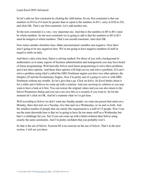So let's add our first constraint by clicking the Add button. So my first constraint is that our numbers in D14 to J14 must be greater than or equal to the numbers in D11, sorry in D16 to J16, and click OK. That's our first constraint. Let's add another one.

So the next constraint is a very, very important one. And that is the numbers in B5 to B11 must be whole numbers. So the next constraint we're going to add is that the numbers in B5 to B11 must be integers or whole numbers. That's our second constraint. And click OK.

Now notice another checkbox here, Make unconstrained variables non-negative. Now there aren't going to be any negatives here. We're not going to have negative numbers of staff or negative totals on duty.

And there's also a box here, Select a solving method. For those of you with a background in mathematics or in many aspects of business administration and management you may have heard of linear programming. Well basically Solver used linear programming to solve these problems and it has three options. And these three options will help you try and solve a problem. If it can't solve a problem using what's called the GRG Nonlinear engine you have two other options, the Simplex LP and the Evolutionary Engine. Now I'm pretty sure it's going to solve it with GRG Nonlinear without any trouble. So let's give that a go. Click on Solve. So Excel thinks about it for a while and it believes its come up with a solution. And you can keep its solution or you may want to have a look at it first. You can restore the original values and you can also return to the Solver Parameters dialog and you can even save this as a scenario if you want to. So for the moment let's click on OK. And let's examine what we've got here.

Well according to Solver we don't want any Sunday people, we want one person that starts on a Monday, three that start on a Tuesday, five that start on a Wednesday, so on and so forth. And the smallest number of people that can satisfy this requirement is a staff of 15 people. Now I can see the main downside here is that we're going to have far too many staff on a Wednesday but here's a challenge for you. See if you can come up with a better solution than Solver using exactly the same constraints. And I'm pretty confident that you probably won't.

So that is the use of Solver. Exercise 08 is an exercise on the use of Solver. That's in the next section. I will see you there.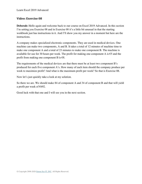#### **Video: Exercise 08**

**Deborah:** Hello again and welcome back to our course on Excel 2019 Advanced. In this section I'm setting you Exercise 08 and in Exercise 08 it's a little bit unusual in that the starting workbook just has instructions in it. And I'll show you my answer in a moment but here are the instructions.

A company makes specialized electronic components. They are used in medical devices. One machine can make two components, A and B. It takes a total of 12 minutes of machine time to make one component A and a total of 23 minutes to make one component B. The machine is available for use for 30 hours per week. The profit for making one component A is  $\epsilon$ 5 and the profit from making one component B is  $\epsilon$ 8.

The requirements of the medical devices are that there must be at least two component B's produced for each five component A's. How many of each item should the company produce per week to maximize profit? And what is the maximum profit per week? So that is Exercise 08.

Now let's just quickly take a look at my solution.

So there we are. We should make 84 of component A and 34 of component B and that will yield a profit per week of €692.

Good luck with that one and I will see you in the next section.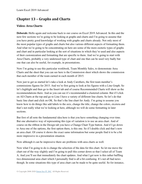# **Chapter 13 – Graphs and Charts**

## **Video: Area Charts**

**Deborah:** Hello again and welcome back to our course on Excel 2019 Advanced. In this and the next few sections we're going to be looking at graphs and charts and I'm going to assume that you have pretty good knowledge of working with graphs and charts already. Not only most of the most popular types of graphs and charts but also various different aspects of formatting them. And what we're going to be concentrating on here are some of the more esoteric types of graphs and chart and in particular looking at the sort of situations in which they're used and also aspects of their customization and formatting that are specific to them. And we're going to start with Area Charts, probably a very underused type of chart and one that can be used very badly but one that can also be useful, for example, in presentations.

Now I'm going to use this particular workbook, Team Monthly Sales, to demonstrate Area Charts and the sheet that you can see here is the Commission sheet which shows the commission that each member of the team earned in each month of 2015.

Now just to get us started let's take a look at Andy Carothers, the first team member's commissions figures for 2015. And we're first going to look at his figures with a Line Graph. So let's highlight and then go to the Insert tab and of course Recommended Charts will show us the recommendations there. And as you can see it's recommended a clustered column. But if I click on All Charts at the top and go to Line I have a variety of different line charts. So let's do that basic line chart and click on OK. So that's the line chart for Andy. I'm going to assume you know how to do things like add labels to the axis, change the title, change the colors, etcetera and that's not really what we're looking at here, although we will do some formatting in later sections.

But first of all note the fundamental idea here is that you have something changing over time. But one alternative way of representing this type of variation is to use an area chart. And of course on the ribbon in the Design tab you have a Change Chart Type button. And if I go down to Area one of the options, the first option there, is this one. So if I double click and that's now an area chart. Of course it shows the exact same information but some people find it to be a bit more impressive in a presentation situation.

Now although it can be impressive there are problems with area charts as well.

Now what I'm going to do is change the selection of the data for this chart. So let me move the chart out of the way slightly and I'm going to pull this corner down so that I select all of Team A. And you'll see that immediately the chart updates. And what I get now is this rather baffling two dimensional area chart which I personally find is all a bit confusing. It's not all bad news though. In some situations this type of area chart can be made to be quite useful. So for instance,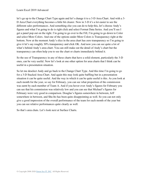let's go up to the Change Chart Type again and let's change it to a 3-D Area Chart. And with a 3- D Area Chart everything becomes a little bit clearer. Now in 3-D it's a lot easier to see the different sales performances. And something else you can do to help this, let's choose Andy's figures and what I'm going to do is right click and select Format Data Series. And you'll see I get a panel pop out on the right. I'm going to go over to the Fill, I'm going to go down to Color and select More Colors. And one of the options under More Colors is Transparency right at the bottom. Now at the moment Andy's slice in the area chart has zero transparency so I'm going to give it let's say roughly 30% transparency and click OK. And now you can see quite a lot of what's behind Andy's area chart. You can still make out the detail of Andy's chart but the transparency can often help you to see the chart or charts immediately behind it.

So the use of Transparency in any of these charts that have a solid element, particularly the 3-D ones, can be very useful. Now let's look at one other option for area charts that I think can be useful in a presentation situation.

So let me deselect Andy and go back to the Change Chart Type. And this time I'm going to go for a 3-D Stacked Area Chart. And again this may look quite baffling but in a presentation situation it can be quite useful. And the way in which it can be quite useful is this. As you look at each month for the year, so say for February, you can see what proportion of the commission was earnt by each member of Team A. And if you hover over Andy's figures for February you can see that his commission was relatively low and you can see that Michael's figures for February were very good in comparison. Douglas's figures somewhere in between, Jeff somewhere in between, and Shu Ito has been quite disappointing as well. So you can not only give a good impression of the overall performance of the team for each month of the year but you can see relative performances quite clearly as well.

So that's area chats. Let's look next at Surface Charts.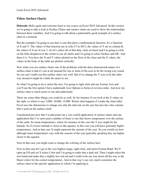## **Video: Surface Charts**

**Deborah:** Hello again and welcome back to our course on Excel 2019 Advanced. In this section we're going to take a look at Surface Charts and surface charts are used to show the relationships between three variables. And I'm going to talk about a particularly good example of a surface chart in a moment.

But the example I'm going to use here is one that plots a mathematical function. It's a function of X and Y. The values of that function are in cells C3 to M13, the values of Y are in column B, the values of X are in row 2. So let's select all of that data, click on Insert and I'm going to click on the little dropdown in the corner to see all charts and I'm going to select Surface and OK. And there it is. You have the X and Y values plotted on the floor of the chart and the Z values, the values in the body of the table are plotted vertically.

Now when you use surface charts one of the problems with the three dimensional nature of a surface chart is that it's not at all unusual for one or more of the axes to be the wrong way round. So you can't really see this surface chart very well. But if we change the Y axis to be the other way around it might be a little bit easier to see.

So what I'm going to do is select the axis, I'm going to right click and say Format Axis and you'll see the first option I have underneath Axis Options is Series in reverse order. And now my surface chart is much easier to see and understand.

There are some other things you could do as well. So for instance if you look at the Z values on the right, so where it says 5,000, 10,000, 15,000. Watch what happens if I make the chart taller. Excel uses the dimensions to change not only the intervals on the axis but also the color scheme that's used on the surface itself.

I mentioned just now that I would point out a very useful application of surface charts and one application that I've seen used a number of times is one that shows temperature over the surface of the earth. So mean temperatures, where for instance in this case the Y axis might be the latitude. So if a lower latitude is closer to the equator, in this case you will have generally higher temperatures. And in that case X might represent the seasons of the year. So you would see how although mean temperatures vary with the seasons of the year generally speaking they are higher closer to the equator.

Now in that case you might want to change the coloring of the surface here.

Now in that case let's go to the very highest range, right click, and select Format Band. We'll open up Fill and we'll select Color and I'm going to make that a dark red. Then I might select the next band and make that a slightly less red red and I could work my way down all the way to the bluest colors for the coolest temperatures. And in that way I can very much customize the surface chart to the specific application to which I'm applying it.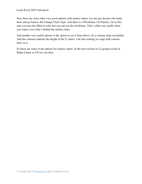Now there are some other very good options with surface charts. Let me just deselect the band there and go back to the Change Chart Type. And there is a Wireframe 3-D Surface. So in this case you lose the filled in color but you can see the wireframe. That's often very useful when you want to see what's behind the surface chart.

And another very useful options is the option to see it from above. So a contour chart essentially. And the contours indicate the height of the Z values, a bit like looking at a map with contour lines on it.

So those are some of the options for surface charts. In the next section we're going to look at Radar Charts so I'll see you then.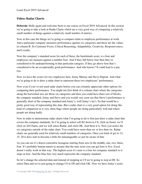### **Video: Radar Charts**

**Deborah:** Hello again and welcome back to our course on Excel 2019 Advanced. In this section we're going to take a look at Radar Charts which are a very good way of comparing a relatively small number of things against a relatively small number of metrics.

Now in this case the things we're going to compare relate to employee performance at work. And a particular company measures performance against six categories and those are the values in column B. So Customer Focus, Critical Reasoning, Adaptability, Creativity, Responsiveness, and Loyalty.

Now the company's standard score for each of these, the benchmark score, is a four and employees are measure against a number four. And if they fall below four then they're considered to be underperforming in that particular category. If they go above four that's considered to be an exceptionally good performance. And who knows? It could lead to a pay rise.

Now we have the scores for two employees here, Jenny Murray and Steve Dupont. And what we're going to do is draw a radar chart to represent these two employees' performance.

Now even if you've not used radar charts before you can certainly appreciate other options for comparing their performance. You might not first think of a column chart where the categories along the horizontal axis are those six categories and then you could have three sets of blocks, the company standard, Jenny and Steve and you would very soon see that Steve's performance is generally short of the company standard and Jenny's, well Jenny's isn't. So that would be a pretty good way of representing this data. But a radar chart is a very good option for doing this kind of comparison as it very often flags where people are doing particularly well and where people are doing badly.

Now in order to demonstrate radar charts what I'm going to do is first just draw a radar chart that covers the company standards. So I'm going to select cell B2 down to C8, click on Insert, we'll click on All Charts, and we will select Radar, and click OK. And there it is. Now you notice the six categories outside of the radar chart. You could have more than six or less than six. Radar charts are generally used for relatively small numbers of categories. Once you kind of get to 12, 15, 20 it does start to become a little bit unmanageable so just be aware of that.

As you can see it's drawn concentric hexagons starting from zero in the middle, one, two, three, four. It's probably human nature to assume that the max score you can get here is five. Excel doesn't really work in that way. The highest score it's seen is a four for company standard so it stops at four. And the blue line very much represents the company standard.

So let's change the selected data and instead of stopping at C8 we're going to stop at D8. So select Data and we're just going to change C8 to D8 and click OK. Now we have Jenny's score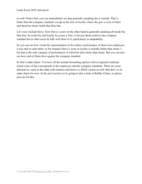as well. Notice how you can immediately see that generally speaking she is outside. That is better than the company standard, except in the area of loyalty where she gets a score of three and therefore drops inside that blue line.

Let's now include Steve. Now Steve's score on the other hand is generally speaking all inside the blue line. In creativity and loyalty he scores a four, so he just about achieves the company standard but in other areas he falls well short of it, particularly in adaptability.

So you can see how visual the representation of the relative performance of those two employees is not only to each other, so for instance Steve's score in loyalty is actually better than Jenny's but that is the only category of performance of which he does better than Jenny. But you can also see how each of them does against the company standard.

So that's radar charts. You have all the normal formatting options such as legend to indicate which color of line corresponds to the employees and the company standards. There are some alternatives, such as the radar with markers and there is a filled version as well. But that's it on radar charts for now. In the next section we're going to take a look at Bubble Charts, so please join me for that.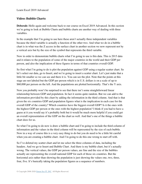## **Video: Bubble Charts**

**Deborah:** Hello again and welcome back to our course on Excel 2019 Advanced. In this section we're going to look at Bubble Charts and bubble charts are another way of dealing with three variables.

In the example that I'm going to use here these aren't actually three independent variables because the third variable is actually a function of the other two. And what we do in a bubble chart is in what was the Z access in the surface chart in another section we now represent not by a vertical axis but by the size of the symbol that represents the third variable.

Now in order to demonstrate bubble charts what I'm going to use is this data. This is 2015 data and it relates to the population of some of the major countries in the world and their GDP per person, and also the implication of these figures in terms of that countries overall GDP.

So first what I'm going to do is plot the population against GDP using a regular scatter chart. So let's select our data, go to Insert, and we're going to insert a scatter chart. Let's just make that a little bit smaller so we can see and there it is. You can see the plot. Note that the points at this stage are not labeled but the GDP per person which is in U.S. dollars is on a scale of up to \$60,000 per person on the left. And the populations are plotted horizontally. That's the Y axis.

Now you probably won't be surprised to see that there isn't some straightforward linear relationship between GDP and population. In fact it seems quite random. But we can add to the information provided by this chart by adding the information in the third column. And that is that given the six countries GDP and population figures what is the implication in each case for the overall GDP of the country? Which countries have the biggest overall GDP? Is it the ones with the highest GDP per person or the ones with the highest population? I think if you had to have a guess at it you would say it's probably both but it would be much more helpful if you could get an overall representation of the GDP on the chart as well. And that's one of the things a bubble chart does for us.

So what I'm going to do now is draw a bubble chart and I'm going to include the third column of information and the values in the third column will be represented by the size of each bubble. Now in a way of course this is a very easy thing to do but you do need to be a little bit careful when you are creating a bubble chart. And I'm going to do this one wrong to start off with.

So I've deleted my scatter chart and let me select the three columns of data, including the headers. And we go to Insert and Bubble Chart. And there is my bubble chart, but it's actually wrong. The vertical values, the GDP per person values, are fine and the size of the bubbles actually are representing the overall national GDP for each of those six countries. But the horizontal axis rather than showing the population is just showing the values one, two, three, four, five. It's basically taking the population figures as a sequence of numbers.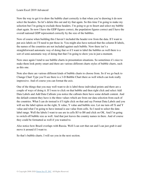Now the way to get it to draw the bubble chart correctly is that when you're drawing it do now select the headers. So let's delete this out and try that again. So this time I'm going to make my selection but I'm going to exclude those headers. I'm going to go to Insert and select my bubble chart again. So now I have the GDP figures correct, the population figures correct and I have the overall national GDP represented correctly by the size of the bubbles.

Now of course when building this I haven't included the header row from the data. If I want to put axis labels on I'll need to put those in. You might also have noticed that the column B labels, the names of the countries are not included against each bubble. Now there isn't a straightforward automatic way of doing that so if I want to label the bubbles as well there is a sort of semi-automatic way of doing that that I'm going to show you in just a moment.

Now once again I tend to use bubble charts in presentation situations. So sometimes it's nice to make them look pretty smart and there are various different charts styles of bubble charts, such as this one.

Note also there are various different kinds of bubble charts to choose from. So if we go back to Change Chart Type you'll see there is a 3-D Bubble Chart there as well which can look really impressive. And of course you can format the axis.

One of the things that you may well want to do is label those individual points and there are a couple of ways of doing it. If I were to click on that bubble and then right click and select Add Data Labels and Add Data Callouts you notice the callouts there have some default content. And the default content they have is the three values which are from our data selection from each of the countries. What I can do instead is if I right click on that and say Format Data Labels and you will see the label option on the right, X value, Y value and bubble size. Let me turn off X and Y value and what I'm going to have instead is use value from cells. So I need to select the data label range. Well the labels I want to use are in cells B3 to B8 and click on OK. And I'm going to switch off bubble size as well. And that just leaves the country names in there. And of course they could be formatted as well if you wanted to.

Also notice how Brazil overlaps with Russia. Well I can sort that out and I can just grab it and move it around if I want to.

So that's bubble charts. I will see you in the next section.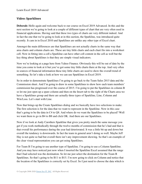### **Video: Sparklines**

**Deborah:** Hello again and welcome back to our course on Excel 2019 Advanced. In this and the next section we're going to look at a couple of different types of chart that are very often used in financial applications. Having said that these two types of charts are very different indeed. And in fact the one that we're going to look at in this section, the Sparkline, was introduced quite recently. It cam in in Excel 2010 and Sparklines are unlike any other type of Excel chart.

Amongst the main differences are that Sparklines are not actually charts in the same way that area charts and column charts are. These are tiny little charts and each chart fits into a worksheet cell. Now in fitting into a cell a Sparkline can have other cell content in the cell as well but the key thing about Sparklines is that they are simple visual indicators.

Now we're looking at a page here from Yahoo Finance. Obviously this will be out of date by the time you come to look at it but you've got some tiny little charts there at the top. And very often in sources of financial information these tiny little charts are used to show the overall trend of something. So let's take a look at how we can use Sparklines in Excel 2019.

So in order to demonstrate Sparklines I'm going to go back to the Team Sales 2015 data and the Commission sheet. And I'm going to draw in some Sparklines to show how each team members' commission has progressed over the course of 2015. I'm going to put the Sparklines in column B so let me just open up a spare column and then on the Insert tab to the right of the Charts area we have a Sparklines group and there are actually three types of Sparkline, Line, Column and Win/Loss. Let's start with Line.

Now that brings up the Create Sparklines dialog and we basically have two selections to make. The first selection is for the data that we want to represent in the Sparkline. Now in this case that's going to be the data in C4 to Q8. And where do we want the Sparklines to be placed? Well we want them to go in B4 to B8 and click OK. And there are our Sparklines.

Now if we look at Andy Carothers Sparkline that gives you pretty much the same message you get if you work methodically through the twelve months of commission that he's had and that is that overall his performance during the year had deteriorated. It was a little bit up and down but overall the tendency is downwards. In fact the team in general aren't doing so well. Maybe Jeff Hay is not quite so bad but overall there isn't any improvement showing. So that's an example of the clear visual representation you can get using Sparklines.

For Team B I'm going to use another type of Sparkline. I'm going to use a Column Sparkline. And you may have noticed just now when I inserted the Sparkline Excel assumed that the range that I had selected was the destination. So let me just select the destination for the Team B Sparklines. So that's going to be B11 to B15. I'm now going to click on Column and notice that the location of the Sparklines is correctly set by Excel. So I just need to choose the data which is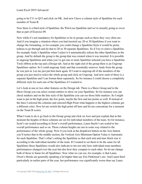going to be C11 to Q15 and click on OK. And now I have a column style of Sparkline for each member of Team B.

Now there is a third style of Sparkline, the Win/Loss Sparkline and we're actually going to cover that as part of Exercise 09.

Now while it's not mandatory for Sparklines to be in groups such as these they very often are. And if you imagine a situation where you had inserted say 20 or 30 Sparklines if you want to change the formatting, so for example you could change a Sparkline Style it would be pretty tedious to go through and do that to 20 or 30 separate Sparklines. So if I try to select a Sparkline, for example Andy's Sparkline when I select it it automatically selects the other Sparklines in the group. And by default the group is the group that was created when it was inserted. It is possible to ungroup Sparklines and when you've got one or more Sparkline selected you have a Sparkline Tools ribbon at the top and a Design tab. And at the right end of the group there is an Ungroup Sparklines option. So I could ungroup Andy and that essentially removes Andy from the group he was just in. Let me just put him back again. If I want to ungroup all of the members of the group you just need to select the whole group and click on Ungroup. And now each of those is a separate Sparkline and I can format them separately. So for instance I could choose a completely different style for each one of the Sparklines if I wanted to.

Let's look at one or two other features on the Design tab. There is a Show Group and in the Show Group you can select certain entities to show on your Sparkline. So for instance you can check markers and on the line style of the Sparkline you can see those little markers. So I might want to put in the high point, the low point, maybe the first and last points as well. If instead of the lines I selected the columns and selected High Point what happens is the highest columns get a different color. Now let me switch the high point off here and let me concentrate for a moment on the Team B scores.

What I want to do is go back to the Group group and click on Axis and just explain that at this moment the heights of those columns are set for individual members of the team. So for instance, Scott's are scaled according to Scott's overall performance, Laura Steele's are scaled to her overall performance and so on. Those column heights are not in some way related to the performance of the whole group. Now if you look at the dropdown button on the Axis button you'll notice that in the middle section, the Vertical Axis Minimum Option Value is Automatic for each Sparkline. That's what's setting the Sparkline so that each min and max block size is according to the individual member of the team. If I wanted to set them to be the same for all Sparklines those Sparklines would also indicate to me not only how individual team members performances changed over the year but also how they compare to each other. So let me change both of those to Same for all Sparklines. Now what we can see, for example, is that Laura Owen's blocks are generally speaking a lot higher than say Eric Parkinson's are. And Laura Steel particularly in earlier parts of the year, her performance was significantly worse than say Laura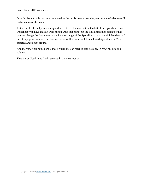Owen's. So with this not only can visualize the performance over the year but the relative overall performance of the team.

Just a couple of final points on Sparklines. One of them is that on the left of the Sparkline Tools Design tab you have an Edit Data button. And that brings up the Edit Sparklines dialog so that you can change the data range or the location range of the Sparkline. And at the righthand end of the Group group you have a Clear option as well so you can Clear selected Sparklines or Clear selected Sparklines groups.

And the very final point here is that a Sparkline can refer to data not only in rows but also in a column.

That's it on Sparklines. I will see you in the next section.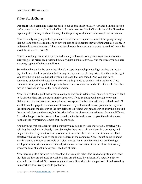## **Video: Stock Charts**

**Deborah:** Hello again and welcome back to our course on Excel 2019 Advanced. In this section we're going to take a look at Stock Charts. In order to cover Stock Charts in detail I will need to explain quite a bit to you about the way that the pricing works in certain exceptional situations.

Now it's really not going to help you learn Excel for me to spend too much time going through that but I am going to explain one or two aspects of this because they are fundamental not only in understanding certain types of charts and terminology but you're also going to need to know a bit about this to do Exercise 09.

Now I'm looking here at stock prices and when you look at stock prices from various sources surprisingly the prices are presented in really quite a consistent way. And the prices you see here are pretty typical of what you will see.

So we have here a day by day price. There's an opening stock price, a high reached during the day, the low or the low point reached during the day, and the closing price. And then to the right you have the volume, so that's the volume of stock that was traded. And you also have something called the Adjusted close. Now one thing I need to explain is this Adjusted Close because as time goes by what happens is that certain events occur in the life of a stock. So either maybe a dividend is paid or that a split occurs.

Now if a dividend is paid that means a company decides it's doing well enough to pay a dividend to its shareholders. But the stock market says, well if you're doing well enough to pay that dividend that means that your stock price was overpriced before you paid the dividend. And if I scroll down this page to the most recent dividend, if you look at the close price on the day after the dividend and the close price the day before the dividend was paid the price after the close and the adjusted close are the same, but the price before the close and the adjusted close are different. And what happens is the dividend has been deducted from the close to give the adjusted close. So that is the overpricing element that I mentioned.

Another thing that can occur is that a company may decide to issue more stock, effectively by splitting the stock that's already there. So maybe there are a million shares in a company and they decide that they want to issue another million so that there are two million in total. That effectively halves the value of the existing shares in the company. Now I'm not going to spend any time going through an example of a plot here, suffice to say that when we are looking at stock prices in most situations it's the adjusted close we use rather than the close. But usually when you look at stock prices you'll see both of them.

Now there is quite a bit more to it than that. For example, when this kind of adjustment is made the high and low are adjusted as well, but they are adjusted by a factor. It's actually a factor adjusted close dividend. So it starts to get a bit complicated and for the purpose of understanding this chart we don't really need to go that far.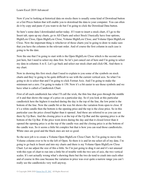Now if you're looking at historical data on stocks there is usually some kind of Download button or a Get Prices button that will enable you to download the data to your computer. You can often do it by copy and paste if you want to do but I'm going to click the Download Data button.

So here's some data I downloaded earlier today. If I want to insert a stock chart, if I go to the Insert tab, open up my charts, go to All Charts and select Stock I basically have four options, High/Low Close, Open High/Low Close, Volume High/Low Close, and Volume Open High/Low Close. Now the important thing is whichever of those charts you're going to draw to make sure that you have the columns in the relevant order. And of course the first column in each case is going to be the date.

Now the one that I'm going to start with is the Open High/Low Close which is the second one just here, but I need to select my data first. So let's just cancel out of here and I'm going to select my data in columns A to E. Let's go back and select our stock chart and click OK. And there is my chart.

Now in showing this first stock chart I need to explain to you some of the symbols on stock charts and they're going to be quite difficult to see with the current vertical axis. So what I'm going to do is select that and I'm going to click Format Axis. And I'm going to make the minimum not a zero. I'm going to make it 150. Now it's a bit easier to see those symbols and we have what is called a Candlestick Chart.

First of all each candlestick has what I'll call the wick, the thin line that goes through the middle of it and that shows the range of a price on a particular day. So if you look at this particular candlestick here the highest it reached during the day is the top of the line, the low point is the bottom of the line. Now the candle bit or the wax bit shows the variation from open to close. If it's a white candle then the bottom is the opening price and the top is the close price. So in this particular case the price closed higher than it opened. And these are referred to as you can see there by Up Bars. And the closing price is at the top of the Up Bar and the opening price is at the bottom of the Up Bar. If the price went down during the day and that it closed lower than it opened the opening price is at the top of the candle wax and the closing price is at the bottom of the candle wax. So it seems a little bit complex but that is how you can read those candlesticks. White ones are good and the black ones are not so good.

So the next job is to create a Volume Open High/Low Close Chart. So I'm going to move this Volume column over to be to the left of Open. So there it is and let me select all of my data. I'm going to go back to Insert and into my charts and there is my Volume Open High/Low Close Chart. Let me adjust the size of this a little. So I'm just going to drag it out and it's not unusual with this type of chart to run into a little bit of trouble with the two sets of axis, the two vertical scales. It's not actually wrong what's showing there but the two do tend to crash into each other and of course in this case because the variation in price was over quite a narrow range you can't really see the candlesticks very well anyway.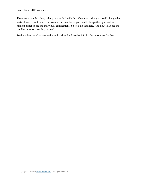There are a couple of ways that you can deal with this. One way is that you could change that vertical axis there to make the volume bar smaller or you could change the righthand axis to make it easier to see the individual candlesticks. So let's do that here. And now I can see the candles more successfully as well.

So that's it on stock charts and now it's time for Exercise 09. So please join me for that.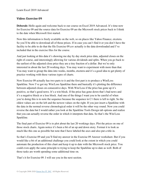#### **Video: Exercise 09**

**Deborah:** Hello again and welcome back to our course on Excel 2019 Advanced. It's time now for Exercise 09 and the source data for Exercise 09 are the Microsoft stock prices back to I think to the date when Microsoft first started.

Now this information is freely available on the web, so on places like Yahoo Finance, etcetera. So you'll be able to download all of those prices. If in case you can't find it or you don't have the facility to be able to do that the file Exercise 09.csv actually is the data downloaded and I've included that in the exercise files for the course.

And just looking at this data it's showing me day by day stock price data, adjusted closes on the right of course, and interestingly allowing for various dividends and splits. When you go back to the earliest of the adjusted close price they are a tiny fraction of a dollar. But we're only interested in about the last 20 working days. You may want to experiment with more than that. You may want to group the data into weeks, months, etcetera and it's a good idea to get plenty of practice working with these various types of charts.

Now Exercise 09 actually has two parts to it and the first part is to produce a Win/Loss Sparkline. Now I've got my Win/Loss Sparkline there and basically it's plotting the difference between adjusted closes on consecutive days. With Win/Loss if the price has gone up it's positive, so that's good news. It's a win block. If the price has gone down that's bad news and it's a negative block or a loss block. And one of the things I want you to be careful of when you're doing this is to note the sequence because the sequence in C1 there is left to right. So the oldest values are on the left and the newest values on the right. If you just insert a Sparkline with the data in the normal reverse chronological order it will be the other way round. Now you could reverse the data but I would rather you look at the Sparkline Tools Design tab options and realize that you can actually reverse the order in which it interprets that data. So that's the Win/Loss Sparkline.

The final part of Exercise 09 is to plot about the last 20 workings days. Plot the prices on one of those stock charts. Again notice it's been a bit of an up and down story. Format it to look as much like this one as possible but note that I have labeled the axes and also put a title in.

So that's Exercise 09 and you'll find my answer in the Exercise 09 Answer worksheet. But if you would like a bit of an additional challenge you could look at the extent in which you could automate the production of this chart and keep it up to date with the Microsoft stock price. You could even apply the same principle to trying to keep the Sparkline up to date as well. Both of those tasks are worth spending some additional time on.

That's it for Exercise 09. I will see you in the next section.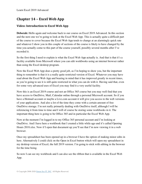# **Chapter 14 – Excel Web App**

## **Video: Introduction to Excel Web App**

**Deborah:** Hello again and welcome back to our course on Excel 2019 Advanced. In this section and the next one we're going to look at the Excel Web App. This is actually quite a difficult part of the course to cover because the Excel Web App tends to change at an alarmingly quick rate and whatever I show you in this couple of sections of the course is likely to have changed by the time you actually come to this part of the course yourself, possibly several months after I've recorded it.

So the first thing I need to explain is what the Excel Web App actually is. And that is that it's a facility available from Microsoft where you can edit workbooks using an internet browser rather than using the Excel desktop program.

Now the Excel Web App does a pretty good job, as I'm hoping to show you, but the important thing to remember is that it is a really quite restricted version of Excel. Whatever you may have read about the Excel Web App and bearing in mind that it has improved greatly in recent times, as you're going to see it is still quite restricted in what you can do with it. Having said that, even for some very advanced uses of Excel you may find it a very useful facility.

Now this is an Excel 2019 course and not an Office 365 course but you may well find that you have access to OneDrive, Mail, Calendar online through a personal Microsoft account. So if you have a Hotmail account or maybe a Live.com account it will give you access to the web versions of your applications. And also a lot of the time they come with a certain amount of free OneDrive storage. I'm not really primarily dealing with OneDrive itself, although I will be referencing it from time to time and I will of course be storing some workbooks in it. The important thing here is going to be Office 365 and in particular the Excel Web App.

Now at the moment I'm logged in to my Office 365 personal account and I'm looking at OneDrive. And I have here a workbook that I created a little while ago and it's called Opening Hours 2018.xlsx. Now if I open that document up you'll see that I'm now viewing it in a web browser.

Once my spreadsheet has been opened up in a browser I have the option of making minor edits in here. Alternatively I could click on the Open in Excel button which will open my spreadsheet in my desktop version of Excel, the full 2019 version. I'm going to stick with editing in the browser for the time being.

So now I can see my workbook and I can also see the ribbon that is available in the Excel Web App.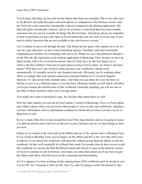You'll notice that there are less tabs on the ribbon than there are normally. One or two tabs such as the Review tab really has quite restricted options in comparison to the desktop version. And the View tab is also relatively considerably reduced compared to the desktop application. The Data tab again considerably reduced. And as far as Insert is concerned there are some notable omissions but you can for example do things like Insert Charts. And please always do remember to bear in mind that you have this Open in Excel button that you can click on at any time if you need to utilize functions that are not available in the web browser version.

Let's continue to move left through the tabs. The Home tab has quite a few options on it. So we can cut, copy and paste, we have some formatting options, AutoSum, and some reasonably comprehensive facilities for formatting cells and so on. Where we see a big difference though is on the File tab, the equivalent in the desktop application of Backstage View because we have an Open facility with a list of recent documents. But if I click Save As the first thing I see is where's the Save button? Click here to learn about saving in Excel online. So where is the Save button? Well there isn't one in Excel online because your workbook is being saved automatically. It's actually saved at very frequent intervals. Obviously you're working online. There is a danger that your internet connection could get broken so it's saved at frequent intervals. It's also saved with a default name. And what you can either do is use the Save As facility to save it as a different name or you also have a Rename facility as well which will allow you to just rename the default name of this workbook. Generally speaking you will use one or the other of those facilities when you're saving online.

You might also want to download a copy. So you have that option there as well.

Now the other options you can see in Excel online's version of Backstage View is a Print option and a Share option where you can invite other people to view or edit your workbooks. And then you have information such as information contained in About and of course you have access to Help here as well.

So we've had a little bit of a tour around the Excel Web App interface and we're going to create a workbook and do some work on it in the next section, but there are two or three things to show you now.

Earlier on we looked at the View tab on the ribbon and one of the options there is Reading View. If you switch to Reading View you no longer see the ribbon and this is the view that other users would see if you shared this workbook with them but without giving them the ability to edit this workbook. So they will essentially be in Read Only mode. For people who do have access to edit this workbook we can use the Edit Workbook button and choose to open in the desktop version of Excel or continue to edit in browser. And when you select that option you'll see that you get the ribbon back there with full access to the commands and functionality.

So let's suppose I've been working on this opening hours 2018 workbook and I do decide to save it to my PC. So I'm going to click on File, Save As, and I'm going to select Download a Copy.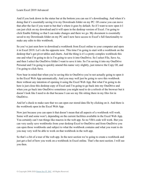And if you look down in the status bar at the bottom you can see it's downloading. And when it's doing that it's essentially saving it to my Downloads folder on my PC. Of course you can move that after the fact if you want to but that's where it goes by default. So if I want to now open it I can just click on my download and it will open in the desktop version of Excel. I'm going to click Enable Editing so that I can make changes and there we go. My document is essentially saved to my Downloads folder on my PC and I now have access to Excel's full functionality to make any edits to this workbook.

So you've just seen how to download a workbook from Excel online to your computer and open it in Excel 2019. Let's do the opposite now. This time I'm going to start with a workbook on the desktop that's got pivot tables and charts. And the thing is it's a pretty complex workbook this one and what I'm going to do is I'm going to save it into OneDrive. So I select File, Save As, and then I select the OneDrive folder I want to save it into. So I'm saving it into my OneDrive Personal and I'm going to quickly amend this name very slightly, just remove the Copy Of, and I'm going to click Save.

Now bear in mind that when you're saving this to OneDrive you're not actually going to open it in the Excel Web App automatically. And you may well just be going to save this workbook there without any intention of opening it using the Excel Web App. But what I'm going to do here is just close this desktop copy of Excel and I'm going to go back into my OneDrive and when you go back into OneDrive sometimes you might need to do a refresh of the browser but it doesn't look like I need to do that because I can see my file sitting there in my files list in OneDrive.

And let's check to make sure that we can open our stored data file by clicking on it. And there is the workbook open in the Excel Web App.

Now just because you can open it that doesn't mean that all aspects of a workbook will work. Some will and some won't, depending on the current facilities available in the Excel Web App. You certainly can't run things like macros in the web app. So no VBA code will work. But you can very easily save workbooks from your desktop Excel to OneDrive and from OneDrive you can open those workbooks and subject to what the workbook contains and what you want to do you may very well be able to work on that workbook in the web app.

So that's a bit of a tour of the web app. In the next section we're going to create a workbook and just get a feel of how you work on a workbook in Excel online. That's the next section. I will see you then.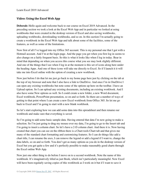#### **Video: Using the Excel Web App**

**Deborah:** Hello again and welcome back to our course on Excel 2019 Advanced. In the preceding section we took a look at the Excel Web App and in particular we looked at using workbooks that were created in the desktop version of Excel and also saving workbooks, uploading workbooks, downloading workbooks, and so on. In this section I'm actually going to create a workbook in the Excel Web App and talk about some of the facilities, some of the features, as well as some of the limitations.

Now first of all I've logged into my Office 365 account. This is my personal one that I got with a Hotmail account. And I'm at the login page. And the page you get when you first log in seems to also change on a fairly frequent basis. So this is what it looks like when I log in today. Bear in mind that depending on when you access this course what you see may look slightly different. And one of the things that I see when I log in at the moment is this set of icons along here under the heading Apps. And one of these icons will take me directly to Excel. So if I launch it it will take me into Excel online with the option of creating a new workbook.

Now just before I do that let me just go back to my home page here just by clicking on the tab at the top of my browser and note that I also have a link to OneDrive. And once I'm in OneDrive I can open any existing workbooks but note some of the options up here on the toolbar. I have an Upload option. So I can upload any existing documents, including an existing workbook. And I also have some New options as well. So I could create a new folder, a new Word document, Excel workbook, PowerPoint presentation, so on and so forth. So there are a number of ways of getting to that point where I can create a new Excel workbook from Office 365. So let me go back to Excel and I'm going to start with a new blank workbook.

So let's start exploring how we can add some data into this spreadsheet and then rename our workbook and make sure that everything is saved.

So I'm going to add some basic sample data. Having entered that data I'm now going to make a selection. So I'm just going to drag my mouse over my data, I'm going to go to the Insert tab and I'm going to insert a column chart. So let's have a 2-D column chart. And there it is. Now having created that chart you can see on the ribbon there is a Chart tools Chart tab and that gives me many of the standard chart formatting and customizing features. So I can do things like add a chart title, I can rename the axes, I can remove the legend or add a legend if I want to, change the data labels, so on and so forth. You don't get as many options as you do in the desktop version of Excel but you get quite a few and it's perfectly possible to make reasonably good charts through the Excel online Web App.

Now just one other thing to do before I move on to a second workbook. Note the name of this workbook. It's imaginatively titled as just Book, which isn't particularly meaningful. Now Excel will have been regularly saving copies of this workbook as I work on it but if I want to save it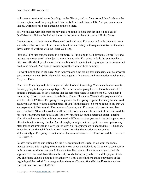with a more meaningful name I could go to the File tab, click on Save As and I could choose the Rename option. And I'm going to call this Fruity Chart and click on OK. And you can now see that my workbook has been named up at the top there.

So I've finished with this chart for now and I'm going to close that tab and if I go back to OneDrive and click on the Refresh button in the browser there of course is Fruity Chart.

I'm now going to create another Excel workbook and what I'm going to do this time is to create a workbook that uses one of the financial functions and take you through one or two of the other key features of working with the Excel Web App.

First of all I'm just going to zoom in a bit more. So I'm going to hold down my Control key and just use my mouse scroll wheel just to zoom in. and what I'm going to do is just put together a little loan affordability calculator. So let me first of all type in the text prompts for the values that need to be entered. And I can of course adjust the width of these columns.

It's worth noting that in the Excel Web App you don't get dialog box launchers. You do however get contextual menus. So if I right click here I get all of my contextual menu options such as Cut, Copy and Paste.

Now what I'm going to do is show you a little bit of cell formatting. The annual interest rate is basically going to be a percentage figure. So in the number group here on the ribbon one of the options is Percentage. So let's assume that the percentage here is going to be 5%. And again I can use my ribbon to take down those decimal places if I want to. The monthly payment we're able to make is €200 and I'm going to use pounds. So I'm going to go for Currency format. And again you can modify those decimal places if you feel the need to. So we're going to say that we are prepared to  $\epsilon$ 200 a month. The number of months, well I'm going to borrow it over five years. So that is 60 months. And now all I need to do is calculate the amount of the loan. And the function I'm going to use in this case is the PV function. So on the Insert tab select Function. Now although many of these things are visually different to what you see in the desktop app very often the function is very similar. And although you might not have quite as many options very often things are arranged in a very similar way. So I'm going to go in and find my PV function. I know that it is a financial function. And I also know that the functions are organized alphabetically so I'm going to use the scroll bar to scroll down to the P section and there we have PV. Click OK.

So let's start entering our options. So the first argument here is rate, so we want the annual interest rate and this is going to be a monthly loan so we do divide it by 12 as we've seen before in this course. And note that you do have the familiar prompts there to remind you of which argument to enter next. Now the number of periods that's going to be D6 and the payment is in D5. The future value is going to be blank so we'll put a zero in there and it's payments at the beginning of the period. So a one goes into the type. Close it off and hit the Enter key and we find that I can borrow  $\epsilon$ 10,642.30.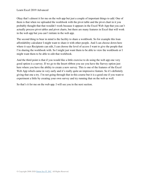Okay that's almost it for me on the web app but just a couple of important things to add. One of them is that when we uploaded the workbook with the pivot table and the pivot chart in it you probably thought that that wouldn't work because it appears in the Excel Web App that you can't actually process pivot tables and pivot charts, but there are many features in Excel that will work in the web app but you can't initiate in the web app.

The second thing to bear in mind is the facility to share a workbook. So for example this loan affordability calculator I might want to share it with other people. And I can choose down here where it says Recipients can edit, I can choose the level of access I want to give the people that I'm sharing the workbook with. So I might just want them to be able to view the workbook or I might want them to be able to edit that workbook.

And the third point is that if you would like a little exercise to do using the web app one very good option is a survey. If we go to the Insert ribbon you see you have the Survey option just here where you have the ability to create a new survey. This is one of the features of the Excel Web App which came in very early and it's really quite an impressive feature. So it's definitely giving that one a try. I'm not going through that in this course but it is a good one if you want to experiment a little by creating your own survey and try running that on the web as well.

So that's it for me on the web app. I will see you in the next section.